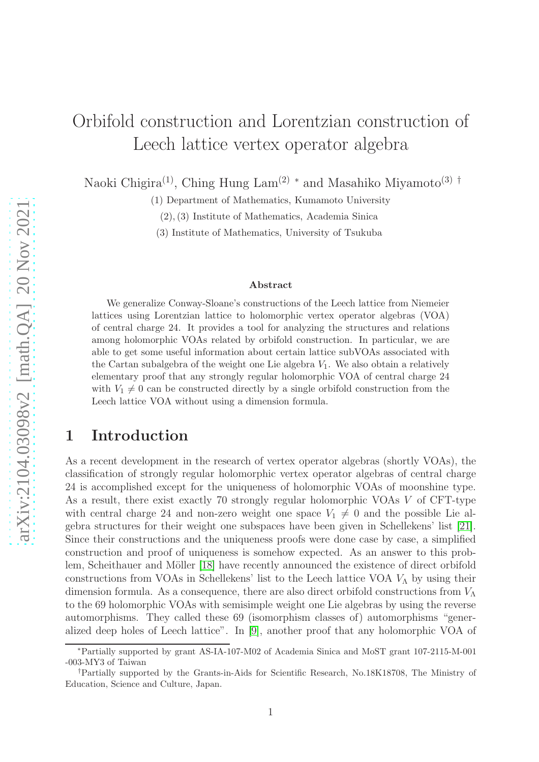# Orbifold construction and Lorentzian construction of Leech lattice vertex operator algebra

Naoki Chigira<sup>(1)</sup>, Ching Hung Lam<sup>(2)</sup> <sup>∗</sup> and Masahiko Miyamoto<sup>(3)</sup> <sup>†</sup>

(1) Department of Mathematics, Kumamoto University

(2),(3) Institute of Mathematics, Academia Sinica

(3) Institute of Mathematics, University of Tsukuba

#### Abstract

We generalize Conway-Sloane's constructions of the Leech lattice from Niemeier lattices using Lorentzian lattice to holomorphic vertex operator algebras (VOA) of central charge 24. It provides a tool for analyzing the structures and relations among holomorphic VOAs related by orbifold construction. In particular, we are able to get some useful information about certain lattice subVOAs associated with the Cartan subalgebra of the weight one Lie algebra  $V_1$ . We also obtain a relatively elementary proof that any strongly regular holomorphic VOA of central charge 24 with  $V_1 \neq 0$  can be constructed directly by a single orbifold construction from the Leech lattice VOA without using a dimension formula.

# 1 Introduction

As a recent development in the research of vertex operator algebras (shortly VOAs), the classification of strongly regular holomorphic vertex operator algebras of central charge 24 is accomplished except for the uniqueness of holomorphic VOAs of moonshine type. As a result, there exist exactly 70 strongly regular holomorphic VOAs V of CFT-type with central charge 24 and non-zero weight one space  $V_1 \neq 0$  and the possible Lie algebra structures for their weight one subspaces have been given in Schellekens' list [\[21\]](#page-39-0). Since their constructions and the uniqueness proofs were done case by case, a simplified construction and proof of uniqueness is somehow expected. As an answer to this prob-lem, Scheithauer and Möller [\[18\]](#page-39-1) have recently announced the existence of direct orbifold constructions from VOAs in Schellekens' list to the Leech lattice VOA  $V_A$  by using their dimension formula. As a consequence, there are also direct orbifold constructions from  $V_{\Lambda}$ to the 69 holomorphic VOAs with semisimple weight one Lie algebras by using the reverse automorphisms. They called these 69 (isomorphism classes of) automorphisms "generalized deep holes of Leech lattice". In [\[9\]](#page-39-2), another proof that any holomorphic VOA of

<sup>∗</sup>Partially supported by grant AS-IA-107-M02 of Academia Sinica and MoST grant 107-2115-M-001 -003-MY3 of Taiwan

<sup>†</sup>Partially supported by the Grants-in-Aids for Scientific Research, No.18K18708, The Ministry of Education, Science and Culture, Japan.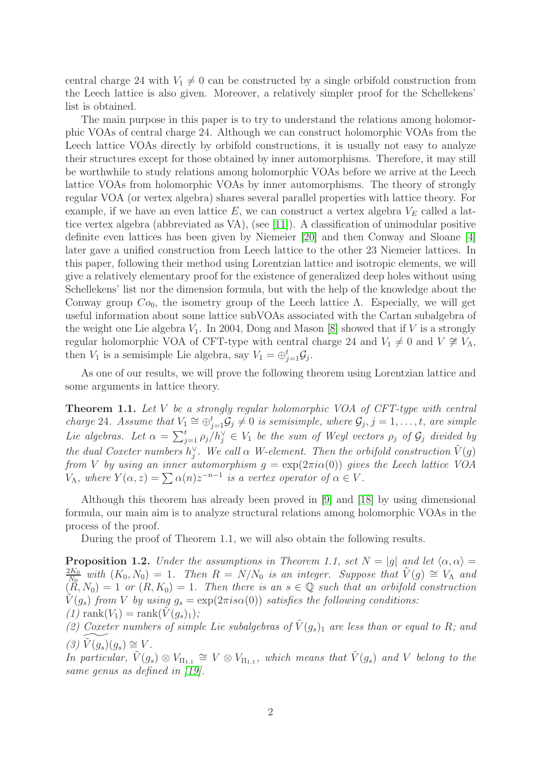central charge 24 with  $V_1 \neq 0$  can be constructed by a single orbifold construction from the Leech lattice is also given. Moreover, a relatively simpler proof for the Schellekens' list is obtained.

The main purpose in this paper is to try to understand the relations among holomorphic VOAs of central charge 24. Although we can construct holomorphic VOAs from the Leech lattice VOAs directly by orbifold constructions, it is usually not easy to analyze their structures except for those obtained by inner automorphisms. Therefore, it may still be worthwhile to study relations among holomorphic VOAs before we arrive at the Leech lattice VOAs from holomorphic VOAs by inner automorphisms. The theory of strongly regular VOA (or vertex algebra) shares several parallel properties with lattice theory. For example, if we have an even lattice  $E$ , we can construct a vertex algebra  $V_E$  called a lattice vertex algebra (abbreviated as VA), (see [\[11\]](#page-39-3)). A classification of unimodular positive definite even lattices has been given by Niemeier [\[20\]](#page-39-4) and then Conway and Sloane [\[4\]](#page-39-5) later gave a unified construction from Leech lattice to the other 23 Niemeier lattices. In this paper, following their method using Lorentzian lattice and isotropic elements, we will give a relatively elementary proof for the existence of generalized deep holes without using Schellekens' list nor the dimension formula, but with the help of the knowledge about the Conway group  $Co_0$ , the isometry group of the Leech lattice Λ. Especially, we will get useful information about some lattice subVOAs associated with the Cartan subalgebra of the weight one Lie algebra  $V_1$ . In 2004, Dong and Mason [\[8\]](#page-39-6) showed that if V is a strongly regular holomorphic VOA of CFT-type with central charge 24 and  $V_1 \neq 0$  and  $V \not\cong V_\Lambda$ , then  $V_1$  is a semisimple Lie algebra, say  $V_1 = \bigoplus_{j=1}^t \mathcal{G}_j$ .

As one of our results, we will prove the following theorem using Lorentzian lattice and some arguments in lattice theory.

<span id="page-1-1"></span>Theorem 1.1. *Let* V *be a strongly regular holomorphic VOA of CFT-type with central charge* 24*.* Assume that  $V_1 \cong \bigoplus_{j=1}^t \mathcal{G}_j \neq 0$  is semisimple, where  $\mathcal{G}_j, j = 1, \ldots, t$ , are simple *Lie algebras.* Let  $\alpha = \sum_{j=1}^t \rho_j / h_j^{\vee} \in V_1$  be the sum of Weyl vectors  $\rho_j$  of  $\mathcal{G}_j$  divided by *the dual Coxeter numbers*  $h_j^{\vee}$ *. We call*  $\alpha$  *W-element. Then the orbifold construction*  $\tilde{V}(g)$ *from V by using an inner automorphism*  $g = \exp(2\pi i \alpha(0))$  *gives the Leech lattice VOA*  $V_{\Lambda}$ *, where*  $Y(\alpha, z) = \sum \alpha(n)z^{-n-1}$  *is a vertex operator of*  $\alpha \in V$ *.* 

Although this theorem has already been proved in [\[9\]](#page-39-2) and [\[18\]](#page-39-1) by using dimensional formula, our main aim is to analyze structural relations among holomorphic VOAs in the process of the proof.

During the proof of Theorem 1.1, we will also obtain the following results.

<span id="page-1-0"></span>**Proposition 1.2.** *Under the assumptions in Theorem 1.1, set*  $N = |g|$  *and let*  $\langle \alpha, \alpha \rangle =$  $2K_{0}$  $\frac{d^2K_0}{N_0}$  with  $(K_0, N_0) = 1$ . Then  $R = N/N_0$  is an integer. Suppose that  $\tilde{V}(g) \cong V_\Lambda$  and  $(R, N_0) = 1$  or  $(R, K_0) = 1$ . Then there is an  $s \in \mathbb{Q}$  such that an orbifold construction  $\hat{V}(q_s)$  *from* V *by using*  $q_s = \exp(2\pi i s \alpha(0))$  *satisfies the following conditions:*  $(1)$  rank $(V_1)$  = rank $(V(g_s)_1)$ ;

(2) Coxeter numbers of simple Lie subalgebras of  $\tilde{V}(g_s)_1$  are less than or equal to R; and  $(3) \tilde{V}(g_s)(g_s) \cong V$ .

*In particular,*  $\tilde{V}(g_s) \otimes V_{\Pi_{1,1}} \cong V \otimes V_{\Pi_{1,1}}$ , which means that  $\tilde{V}(g_s)$  and *V belong to the same genus as defined in [\[19\]](#page-39-7).*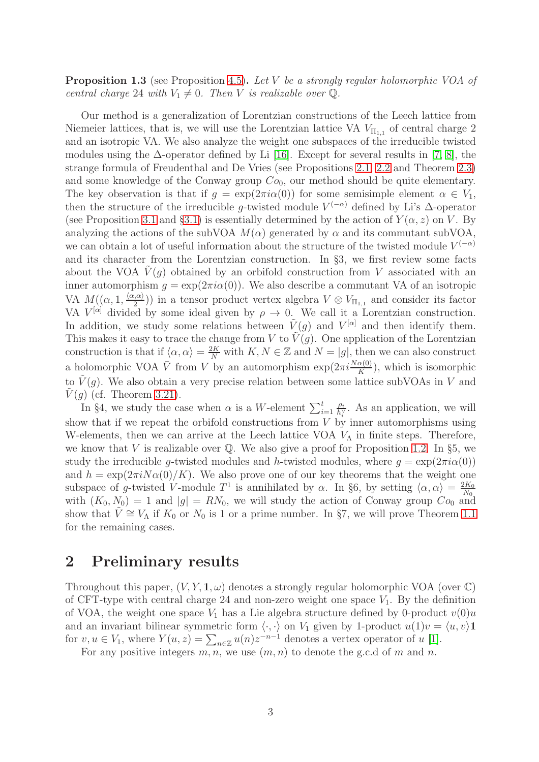Proposition 1.3 (see Proposition [4.5\)](#page-19-0). *Let* V *be a strongly regular holomorphic VOA of central charge* 24 *with*  $V_1 \neq 0$ *. Then V is realizable over*  $\mathbb{Q}$ *.* 

Our method is a generalization of Lorentzian constructions of the Leech lattice from Niemeier lattices, that is, we will use the Lorentzian lattice VA  $V_{\text{II}_{1,1}}$  of central charge 2 and an isotropic VA. We also analyze the weight one subspaces of the irreducible twisted modules using the  $\Delta$ -operator defined by Li [\[16\]](#page-39-8). Except for several results in [\[7,](#page-39-9) [8\]](#page-39-6), the strange formula of Freudenthal and De Vries (see Propositions [2.1,](#page-3-0) [2.2](#page-3-1) and Theorem [2.3\)](#page-3-2) and some knowledge of the Conway group  $Co<sub>0</sub>$ , our method should be quite elementary. The key observation is that if  $q = \exp(2\pi i \alpha(0))$  for some semisimple element  $\alpha \in V_1$ , then the structure of the irreducible g-twisted module  $V^{(-\alpha)}$  defined by Li's  $\Delta$ -operator (see Proposition [3.1](#page-4-0) and §[3.1\)](#page-4-1) is essentially determined by the action of  $Y(\alpha, z)$  on V. By analyzing the actions of the subVOA  $M(\alpha)$  generated by  $\alpha$  and its commutant subVOA, we can obtain a lot of useful information about the structure of the twisted module  $V^{(-\alpha)}$ and its character from the Lorentzian construction. In §3, we first review some facts about the VOA  $\tilde{V}(q)$  obtained by an orbifold construction from V associated with an inner automorphism  $g = \exp(2\pi i \alpha(0))$ . We also describe a commutant VA of an isotropic VA  $M((\alpha, 1, \frac{\langle \alpha, \alpha \rangle}{2}))$  in a tensor product vertex algebra  $V \otimes V_{\Pi_{1,1}}$  and consider its factor VA  $V^{[\alpha]}$  divided by some ideal given by  $\rho \to 0$ . We call it a Lorentzian construction. In addition, we study some relations between  $\tilde{V}(g)$  and  $V^{[\alpha]}$  and then identify them. This makes it easy to trace the change from V to  $\tilde{V}(q)$ . One application of the Lorentzian construction is that if  $\langle \alpha, \alpha \rangle = \frac{2K}{N}$  with  $K, N \in \mathbb{Z}$  and  $N = |g|$ , then we can also construct a holomorphic VOA  $\bar{V}$  from V by an automorphism  $\exp(2\pi i \frac{N\alpha(0)}{K})$ , which is isomorphic to  $\tilde{V}(g)$ . We also obtain a very precise relation between some lattice subVOAs in V and  $V(q)$  (cf. Theorem [3.21\)](#page-13-0).

In §4, we study the case when  $\alpha$  is a W-element  $\sum_{i=1}^{t}$  $\rho_i$  $\frac{\rho_i}{h_i^{\vee}}$ . As an application, we will show that if we repeat the orbifold constructions from  $V$  by inner automorphisms using W-elements, then we can arrive at the Leech lattice VOA  $V_{\Lambda}$  in finite steps. Therefore, we know that V is realizable over  $\mathbb Q$ . We also give a proof for Proposition [1.2.](#page-1-0) In §5, we study the irreducible g-twisted modules and h-twisted modules, where  $q = \exp(2\pi i \alpha(0))$ and  $h = \exp(2\pi i N \alpha(0)/K)$ . We also prove one of our key theorems that the weight one subspace of g-twisted V-module  $T^1$  is annihilated by  $\alpha$ . In §6, by setting  $\langle \alpha, \alpha \rangle = \frac{2K_0}{N_0}$  $N_0$ with  $(K_0, N_0) = 1$  and  $|g| = RN_0$ , we will study the action of Conway group  $Co_0$  and show that  $\tilde{V} \cong V_{\Lambda}$  if  $K_0$  or  $N_0$  is 1 or a prime number. In §7, we will prove Theorem [1.1](#page-1-1) for the remaining cases.

# 2 Preliminary results

Throughout this paper,  $(V, Y, \mathbf{1}, \omega)$  denotes a strongly regular holomorphic VOA (over  $\mathbb{C}$ ) of CFT-type with central charge 24 and non-zero weight one space  $V_1$ . By the definition of VOA, the weight one space  $V_1$  has a Lie algebra structure defined by 0-product  $v(0)u$ and an invariant bilinear symmetric form  $\langle \cdot, \cdot \rangle$  on  $V_1$  given by 1-product  $u(1)v = \langle u, v \rangle$ 1 for  $v, u \in V_1$ , where  $Y(u, z) = \sum_{n \in \mathbb{Z}} u(n) z^{-n-1}$  denotes a vertex operator of u [\[1\]](#page-39-10).

For any positive integers  $m, n$ , we use  $(m, n)$  to denote the g.c.d of m and n.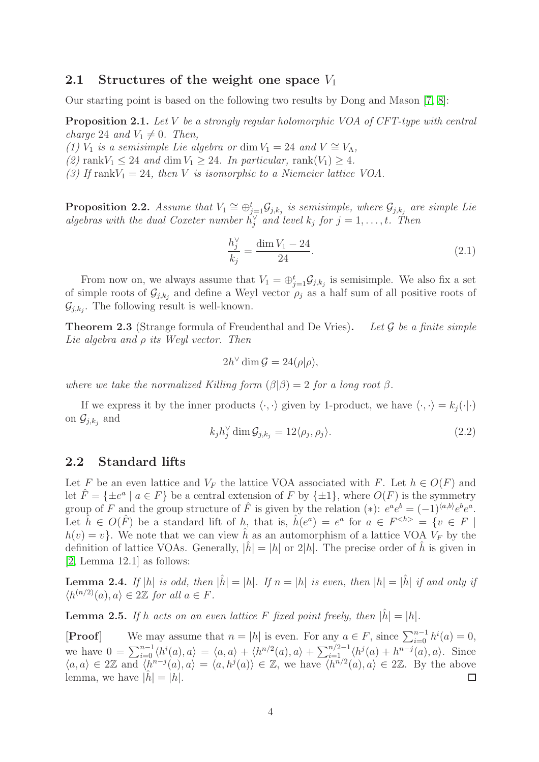# 2.1 Structures of the weight one space  $V_1$

Our starting point is based on the following two results by Dong and Mason [\[7,](#page-39-9) [8\]](#page-39-6):

<span id="page-3-0"></span>Proposition 2.1. *Let* V *be a strongly regular holomorphic VOA of CFT-type with central charge* 24 *and*  $V_1 \neq 0$ *. Then,* 

*(1)*  $V_1$  *is a semisimple Lie algebra or* dim  $V_1 = 24$  *and*  $V \cong V_\Lambda$ ,

 $(2)$  rank $V_1 \leq 24$  *and* dim  $V_1 \geq 24$ *. In particular,* rank $(V_1) \geq 4$ *.* 

*(3) If* rank $V_1 = 24$ *, then V is isomorphic to a Niemeier lattice VOA.* 

<span id="page-3-1"></span>**Proposition 2.2.** Assume that  $V_1 \cong \bigoplus_{j=1}^t \mathcal{G}_{j,k_j}$  is semisimple, where  $\mathcal{G}_{j,k_j}$  are simple Lie *algebras with the dual Coxeter number*  $h_j^{\vee}$  *and level*  $k_j$  *for*  $j = 1, \ldots, t$ *. Then* 

$$
\frac{h_j^{\vee}}{k_j} = \frac{\dim V_1 - 24}{24}.
$$
\n(2.1)

From now on, we always assume that  $V_1 = \bigoplus_{j=1}^t \mathcal{G}_{j,k_j}$  is semisimple. We also fix a set of simple roots of  $\mathcal{G}_{j,k_j}$  and define a Weyl vector  $\rho_j$  as a half sum of all positive roots of  $\mathcal{G}_{j,k_j}$ . The following result is well-known.

<span id="page-3-2"></span>Theorem 2.3 (Strange formula of Freudenthal and De Vries). *Let* G *be a finite simple Lie algebra and* ρ *its Weyl vector. Then*

$$
2h^{\vee} \dim \mathcal{G} = 24(\rho|\rho),
$$

*where we take the normalized Killing form*  $(\beta|\beta) = 2$  *for a long root*  $\beta$ *.* 

If we express it by the inner products  $\langle \cdot, \cdot \rangle$  given by 1-product, we have  $\langle \cdot, \cdot \rangle = k_i(\cdot|\cdot)$ on  $\mathcal{G}_{j,k_j}$  and

$$
k_j h_j^{\vee} \dim \mathcal{G}_{j,k_j} = 12 \langle \rho_j, \rho_j \rangle. \tag{2.2}
$$

### 2.2 Standard lifts

Let F be an even lattice and  $V_F$  the lattice VOA associated with F. Let  $h \in O(F)$  and let  $\hat{F} = {\pm e^a \mid a \in F}$  be a central extension of F by  ${\pm 1}$ , where  $O(F)$  is the symmetry group of F and the group structure of  $\hat{F}$  is given by the relation (\*):  $e^a e^b = (-1)^{\langle a,b\rangle} e^b e^a$ . Let  $\hat{h} \in O(\hat{F})$  be a standard lift of  $h$ , that is,  $\hat{h}(e^a) = e^a$  for  $a \in F^{\leq h>} = \{v \in F \mid$  $h(v) = v$ . We note that we can view h as an automorphism of a lattice VOA  $V_F$  by the definition of lattice VOAs. Generally,  $|h| = |h|$  or 2|h|. The precise order of h is given in [\[2,](#page-39-11) Lemma 12.1] as follows:

**Lemma 2.4.** If  $|h|$  is odd, then  $|\hat{h}| = |h|$ . If  $n = |h|$  is even, then  $|h| = |\hat{h}|$  if and only if  $\langle h^{(n/2)}(a), a \rangle \in 2\mathbb{Z}$  for all  $a \in F$ .

<span id="page-3-3"></span>**Lemma 2.5.** If h acts on an even lattice F fixed point freely, then  $|h| = |h|$ .

[**Proof**] We may assume that  $n = |h|$  is even. For any  $a \in F$ , since  $\sum_{i=0}^{n-1} h^{i}(a) = 0$ , we have  $0 = \sum_{i=0}^{n-1} \langle h^i(a), a \rangle = \langle a, a \rangle + \langle h^{n/2}(a), a \rangle + \sum_{i=1}^{n/2-1} \langle h^j(a) + h^{n-j}(a), a \rangle$ . Since  $\langle a, a \rangle \in 2\mathbb{Z}$  and  $\langle h^{n-j}(a), a \rangle = \langle a, h^j(a) \rangle \in \mathbb{Z}$ , we have  $\langle h^{n/2}(a), a \rangle \in 2\mathbb{Z}$ . By the above lemma, we have  $|h|=|h|$ .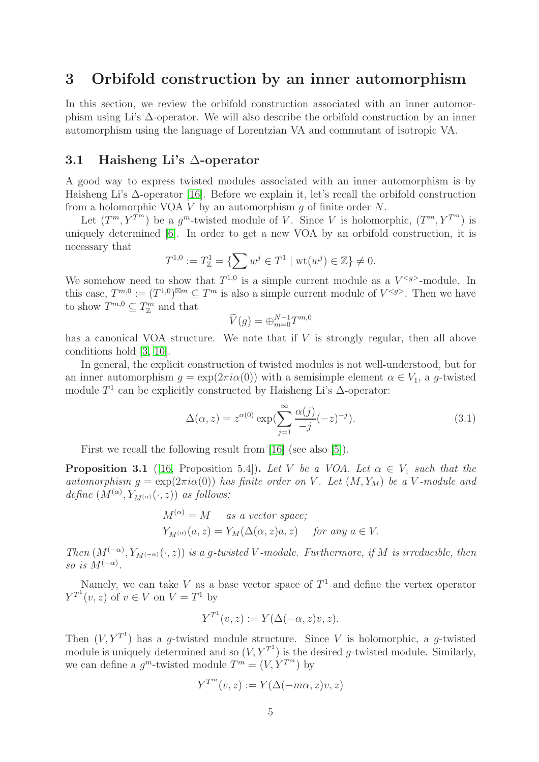# <span id="page-4-2"></span>3 Orbifold construction by an inner automorphism

In this section, we review the orbifold construction associated with an inner automorphism using Li's ∆-operator. We will also describe the orbifold construction by an inner automorphism using the language of Lorentzian VA and commutant of isotropic VA.

### <span id="page-4-1"></span>3.1 Haisheng Li's ∆-operator

A good way to express twisted modules associated with an inner automorphism is by Haisheng Li's ∆-operator [\[16\]](#page-39-8). Before we explain it, let's recall the orbifold construction from a holomorphic VOA  $V$  by an automorphism  $q$  of finite order  $N$ .

Let  $(T^m, Y^{T^m})$  be a  $g^m$ -twisted module of V. Since V is holomorphic,  $(T^m, Y^{T^m})$  is uniquely determined [\[6\]](#page-39-12). In order to get a new VOA by an orbifold construction, it is necessary that

$$
T^{1,0} := T^1_{\mathbb{Z}} = \{ \sum w^j \in T^1 \mid \text{wt}(w^j) \in \mathbb{Z} \} \neq 0.
$$

We somehow need to show that  $T^{1,0}$  is a simple current module as a  $V^{< g>}$ -module. In this case,  $T^{m,0} := (T^{1,0})^{\boxtimes m} \subseteq T^m$  is also a simple current module of  $V^{< g>}.$  Then we have to show  $T^{m,0} \subseteq T^m_{\mathbb{Z}}$  and that

$$
\widetilde{V}(g) = \bigoplus_{m=0}^{N-1} T^{m,0}
$$

has a canonical VOA structure. We note that if V is strongly regular, then all above conditions hold [\[3,](#page-39-13) [10\]](#page-39-14).

In general, the explicit construction of twisted modules is not well-understood, but for an inner automorphism  $g = \exp(2\pi i \alpha(0))$  with a semisimple element  $\alpha \in V_1$ , a g-twisted module  $T^1$  can be explicitly constructed by Haisheng Li's  $\Delta$ -operator:

$$
\Delta(\alpha, z) = z^{\alpha(0)} \exp\left(\sum_{j=1}^{\infty} \frac{\alpha(j)}{-j} (-z)^{-j}\right). \tag{3.1}
$$

First we recall the following result from [\[16\]](#page-39-8) (see also [\[5\]](#page-39-15)).

<span id="page-4-0"></span>**Proposition 3.1** ([\[16,](#page-39-8) Proposition 5.4]). Let V be a VOA. Let  $\alpha \in V_1$  such that the *automorphism*  $g = \exp(2\pi i \alpha(0))$  *has finite order on* V. Let  $(M, Y_M)$  be a V-module and *define*  $(M^{(\alpha)}, Y_{M^{(\alpha)}}(\cdot, z))$  *as follows:* 

$$
M^{(\alpha)} = M \quad \text{as a vector space;}
$$
  

$$
Y_{M^{(\alpha)}}(a, z) = Y_M(\Delta(\alpha, z)a, z) \quad \text{for any } a \in V.
$$

*Then*  $(M^{(-\alpha)}, Y_{M^{(-\alpha)}}(\cdot, z))$  *is a g-twisted* V-module. Furthermore, if M *is irreducible, then so is*  $M^{(-\alpha)}$ .

Namely, we can take V as a base vector space of  $T<sup>1</sup>$  and define the vertex operator  $Y^{T} (v, z)$  of  $v \in V$  on  $V = T^1$  by

$$
Y^{T^1}(v, z) := Y(\Delta(-\alpha, z)v, z).
$$

Then  $(V, Y^{T^1})$  has a g-twisted module structure. Since V is holomorphic, a g-twisted module is uniquely determined and so  $(V, Y^{T^1})$  is the desired g-twisted module. Similarly, we can define a  $g^m$ -twisted module  $T^m = (V, Y^{T^m})$  by

$$
Y^{T^m}(v, z) := Y(\Delta(-m\alpha, z)v, z)
$$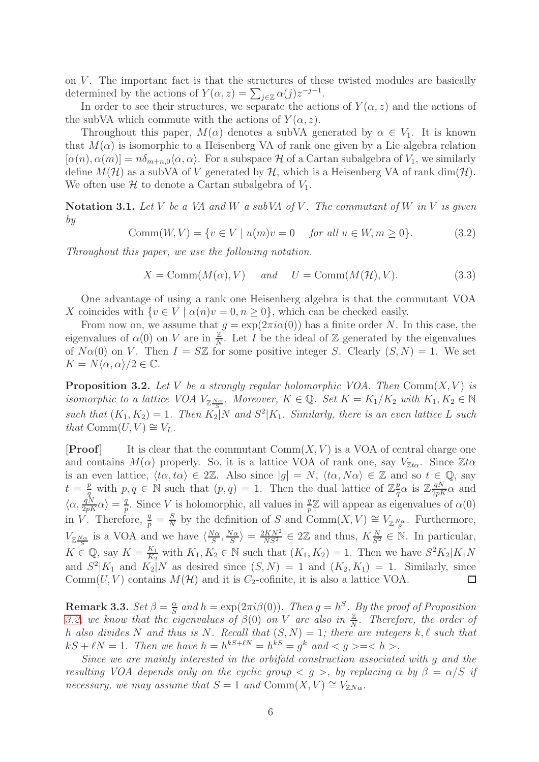on  $V$ . The important fact is that the structures of these twisted modules are basically determined by the actions of  $Y(\alpha, z) = \sum_{j \in \mathbb{Z}} \alpha(j) z^{-j-1}$ .

In order to see their structures, we separate the actions of  $Y(\alpha, z)$  and the actions of the subVA which commute with the actions of  $Y(\alpha, z)$ .

Throughout this paper,  $M(\alpha)$  denotes a subVA generated by  $\alpha \in V_1$ . It is known that  $M(\alpha)$  is isomorphic to a Heisenberg VA of rank one given by a Lie algebra relation  $[\alpha(n), \alpha(m)] = n\delta_{m+n,0}\langle \alpha, \alpha \rangle$ . For a subspace H of a Cartan subalgebra of  $V_1$ , we similarly define  $M(\mathcal{H})$  as a subVA of V generated by  $\mathcal{H}$ , which is a Heisenberg VA of rank dim( $\mathcal{H}$ ). We often use  $\mathcal H$  to denote a Cartan subalgebra of  $V_1$ .

Notation 3.1. *Let* V *be a VA and* W *a subVA of* V *. The commutant of* W *in* V *is given by*

Comm $(W, V) = \{v \in V \mid u(m)v = 0 \text{ for all } u \in W, m \ge 0\}.$  (3.2)

*Throughout this paper, we use the following notation.*

$$
X = \text{Comm}(M(\alpha), V) \quad \text{and} \quad U = \text{Comm}(M(\mathcal{H}), V). \tag{3.3}
$$

One advantage of using a rank one Heisenberg algebra is that the commutant VOA X coincides with  $\{v \in V \mid \alpha(n)v = 0, n \geq 0\}$ , which can be checked easily.

From now on, we assume that  $g = \exp(2\pi i \alpha(0))$  has a finite order N. In this case, the eigenvalues of  $\alpha(0)$  on V are in  $\frac{\mathbb{Z}}{N}$ . Let I be the ideal of Z generated by the eigenvalues of  $N\alpha(0)$  on V. Then  $I = S\mathbb{Z}$  for some positive integer S. Clearly  $(S, N) = 1$ . We set  $K = N\langle \alpha, \alpha \rangle/2 \in \mathbb{C}.$ 

<span id="page-5-0"></span>**Proposition 3.2.** Let V be a strongly regular holomorphic VOA. Then  $Comm(X, V)$  is *isomorphic to a lattice VOA*  $V_{\mathbb{Z}\frac{N\alpha}{S}}$ *. Moreover,*  $K \in \mathbb{Q}$ *. Set*  $K = K_1/K_2$  *with*  $K_1, K_2 \in \mathbb{N}$ such that  $(K_1, K_2) = 1$ . Then  $K_2|N$  and  $S^2|K_1$ . Similarly, there is an even lattice L such *that*  $Comm(U, V) \cong V_L$ .

**[Proof]** It is clear that the commutant  $Comm(X, V)$  is a VOA of central charge one and contains  $M(\alpha)$  properly. So, it is a lattice VOA of rank one, say  $V_{\mathbb{Z}^{\ell}}$ . Since  $\mathbb{Z}^{\ell}$ is an even lattice,  $\langle t\alpha, t\alpha \rangle \in 2\mathbb{Z}$ . Also since  $|g| = N$ ,  $\langle t\alpha, N\alpha \rangle \in \mathbb{Z}$  and so  $t \in \mathbb{Q}$ , say  $t = \frac{p}{a}$  $\frac{p}{q}$  with  $p, q \in \mathbb{N}$  such that  $(p, q) = 1$ . Then the dual lattice of  $\mathbb{Z}_q^p$  $\frac{p}{q}\alpha$  is  $\mathbb{Z} \frac{qN}{2pK} \alpha$  and  $\langle \alpha, \frac{qN}{2pK} \alpha \rangle = \frac{q}{p}$  $\frac{q}{p}$ . Since V is holomorphic, all values in  $\frac{q}{p} \mathbb{Z}$  will appear as eigenvalues of  $\alpha(0)$ in *V*. Therefore,  $\frac{q}{p} = \frac{S}{N}$  $\frac{S}{N}$  by the definition of S and Comm $(X, V) \cong V_{\mathbb{Z}_{\overline{S}}^{N_{\alpha}}}$ . Furthermore, S  $\frac{\partial^2 N}{\partial S}$  =  $\frac{2KN^2}{NS^2} \in 2\mathbb{Z}$  and thus,  $K\frac{N}{S^2} \in \mathbb{N}$ . In particular,  $V_{\mathbb{Z}\frac{N\alpha}{S}}$  is a VOA and we have  $\langle \frac{N\alpha}{S}$  $\frac{\sqrt{a}}{S}, \frac{N\alpha}{S}$  $K \in \mathbb{Q}$ , say  $K = \frac{K_1}{K_2}$  $\frac{K_1}{K_2}$  with  $K_1, K_2 \in \mathbb{N}$  such that  $(K_1, K_2) = 1$ . Then we have  $S^2 K_2 | K_1 N$ and  $S^2|K_1$  and  $K_2|N$  as desired since  $(S, N) = 1$  and  $(K_2, K_1) = 1$ . Similarly, since Comm $(U, V)$  contains  $M(\mathcal{H})$  and it is  $C_2$ -cofinite, it is also a lattice VOA.  $\Box$ 

<span id="page-5-1"></span>**Remark 3.3.**  $Set \beta = \frac{\alpha}{S}$  $\frac{\alpha}{S}$  and  $h = \exp(2\pi i \beta(0))$ . Then  $g = h^S$ . By the proof of Proposition [3.2,](#page-5-0) we know that the eigenvalues of  $\beta(0)$  on V are also in  $\frac{Z}{N}$ . Therefore, the order of h *also divides* N *and thus is* N*. Recall that* (S, N) = 1*; there are integers* k, ℓ *such that*  $kS + \ell N = 1$ . Then we have  $h = h^{kS + \ell N} = h^{kS} = g^k$  and  $\langle g \rangle = \langle h \rangle$ .

*Since we are mainly interested in the orbifold construction associated with* g *and the resulting VOA depends only on the cyclic group*  $\langle g \rangle$ , by replacing  $\alpha$  by  $\beta = \alpha/S$  *if necessary, we may assume that*  $S = 1$  *and*  $Comm(X, V) \cong V_{ZN\alpha}$ .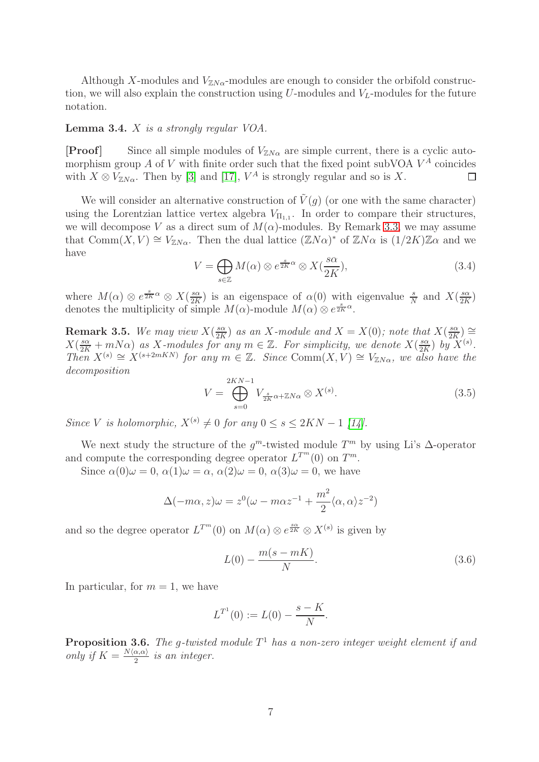Although X-modules and  $V_{ZN\alpha}$ -modules are enough to consider the orbifold construction, we will also explain the construction using  $U$ -modules and  $V_L$ -modules for the future notation.

#### Lemma 3.4. X *is a strongly regular VOA.*

**[Proof]** Since all simple modules of  $V_{ZN\alpha}$  are simple current, there is a cyclic automorphism group A of V with finite order such that the fixed point subVOA  $V^A$  coincides with  $X \otimes V_{\mathbb{Z}N\alpha}$ . Then by [\[3\]](#page-39-13) and [\[17\]](#page-39-16),  $V^A$  is strongly regular and so is X.  $\Box$ 

We will consider an alternative construction of  $\tilde{V}(g)$  (or one with the same character) using the Lorentzian lattice vertex algebra  $V_{\Pi_{1,1}}$ . In order to compare their structures, we will decompose V as a direct sum of  $M(\alpha)$ -modules. By Remark [3.3,](#page-5-1) we may assume that  $Comm(X, V) \cong V_{\mathbb{Z}N\alpha}$ . Then the dual lattice  $(\mathbb{Z}N\alpha)^*$  of  $\mathbb{Z}N\alpha$  is  $(1/2K)\mathbb{Z}\alpha$  and we have

$$
V = \bigoplus_{s \in \mathbb{Z}} M(\alpha) \otimes e^{\frac{s}{2K}\alpha} \otimes X(\frac{s\alpha}{2K}), \tag{3.4}
$$

where  $M(\alpha) \otimes e^{\frac{s}{2K}\alpha} \otimes X(\frac{s\alpha}{2K})$  $\frac{s\alpha}{2K}$ ) is an eigenspace of  $\alpha(0)$  with eigenvalue  $\frac{s}{N}$  and  $X(\frac{s\alpha}{2K})$  $\frac{s\alpha}{2K})$ denotes the multiplicity of simple  $M(\alpha)$ -module  $M(\alpha) \otimes e^{\frac{s}{2K}\alpha}$ .

**Remark 3.5.** We may view  $X(\frac{s\alpha}{2K})$  $\frac{3\alpha}{2K}$ ) as an X-module and  $X = X(0)$ ; note that  $X(\frac{s\alpha}{2K})$  $\frac{s\alpha}{2K}) \cong$  $X(\frac{s\alpha}{2K}+mN\alpha)$  as X-modules for any  $m \in \mathbb{Z}$ . For simplicity, we denote  $X(\frac{s\alpha}{2K})$  $\frac{s\alpha}{2K}$ *) by*  $X^{(s)}$ *. Then*  $X^{(s)} \cong X^{(s+2mKN)}$  *for any*  $m \in \mathbb{Z}$ *. Since* Comm $(X, V) \cong V_{\mathbb{Z}N\alpha}$ *, we also have the decomposition*

<span id="page-6-0"></span>
$$
V = \bigoplus_{s=0}^{2KN-1} V_{\frac{s}{2K}\alpha + \mathbb{Z}N\alpha} \otimes X^{(s)}.
$$
 (3.5)

*Since V is holomorphic,*  $X^{(s)} \neq 0$  *for any*  $0 \leq s \leq 2KN - 1$  [\[14\]](#page-39-17)*.* 

We next study the structure of the  $g^m$ -twisted module  $T^m$  by using Li's  $\Delta$ -operator and compute the corresponding degree operator  $L^{T^m}(0)$  on  $T^m$ .

Since  $\alpha(0)\omega = 0$ ,  $\alpha(1)\omega = \alpha$ ,  $\alpha(2)\omega = 0$ ,  $\alpha(3)\omega = 0$ , we have

$$
\Delta(-m\alpha, z)\omega = z^{0}(\omega - m\alpha z^{-1} + \frac{m^{2}}{2}\langle \alpha, \alpha \rangle z^{-2})
$$

and so the degree operator  $L^{T^m}(0)$  on  $M(\alpha) \otimes e^{\frac{s\alpha}{2K}} \otimes X^{(s)}$  is given by

<span id="page-6-1"></span>
$$
L(0) - \frac{m(s - mK)}{N}.
$$
\n(3.6)

In particular, for  $m = 1$ , we have

$$
L^{T^1}(0) := L(0) - \frac{s - K}{N}.
$$

Proposition 3.6. *The* g*-twisted module* T <sup>1</sup> *has a non-zero integer weight element if and only if*  $K = \frac{N \langle \alpha, \alpha \rangle}{2}$  *is an integer.*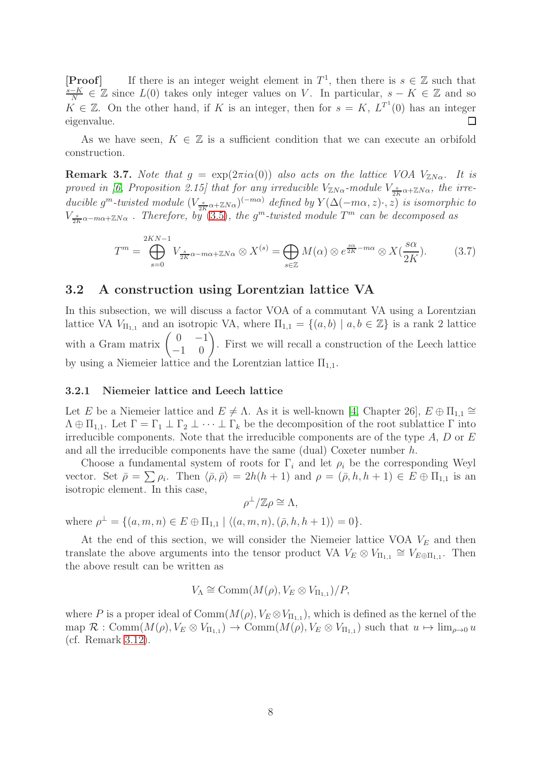**[Proof]** If there is an integer weight element in  $T^1$ , then there is  $s \in \mathbb{Z}$  such that  $\frac{s-K}{N}$  ∈ Z since  $L(0)$  takes only integer values on V. In particular,  $s - K \in \mathbb{Z}$  and so  $K \in \mathbb{Z}$ . On the other hand, if K is an integer, then for  $s = K$ ,  $L^{T}$  (0) has an integer  $\Box$ eigenvalue.

As we have seen,  $K \in \mathbb{Z}$  is a sufficient condition that we can execute an orbifold construction.

<span id="page-7-3"></span>**Remark 3.7.** *Note that*  $g = \exp(2\pi i \alpha(0))$  *also acts on the lattice VOA*  $V_{ZN\alpha}$ . It is *proved in [\[6,](#page-39-12) Proposition 2.15] that for any irreducible*  $V_{\mathbb{Z}N\alpha}$ -module  $V_{\frac{s}{2K}\alpha+\mathbb{Z}N\alpha}$ , the irreducible  $g^m$ -twisted module  $(V_{\frac{s}{2K}\alpha+\mathbb{Z}N\alpha})^{(-m\alpha)}$  defined by  $Y(\Delta(-m\alpha,z)\cdot,z)$  is isomorphic to  $V_{\frac{2K}{2K}\alpha-m\alpha+ZN\alpha}$ . Therefore, by [\(3.5\)](#page-6-0), the g<sup>m</sup>-twisted module  $T^m$  can be decomposed as

<span id="page-7-2"></span>
$$
T^{m} = \bigoplus_{s=0}^{2KN-1} V_{\frac{s}{2K}\alpha - m\alpha + \mathbb{Z}N\alpha} \otimes X^{(s)} = \bigoplus_{s \in \mathbb{Z}} M(\alpha) \otimes e^{\frac{s\alpha}{2K} - m\alpha} \otimes X(\frac{s\alpha}{2K}). \tag{3.7}
$$

# <span id="page-7-1"></span>3.2 A construction using Lorentzian lattice VA

In this subsection, we will discuss a factor VOA of a commutant VA using a Lorentzian lattice VA  $V_{\Pi_{1,1}}$  and an isotropic VA, where  $\Pi_{1,1} = \{(a, b) | a, b \in \mathbb{Z}\}\$ is a rank 2 lattice with a Gram matrix  $\begin{pmatrix} 0 & -1 \\ -1 & 0 \end{pmatrix}$ . First we will recall a construction of the Leech lattice by using a Niemeier lattice and the Lorentzian lattice  $\Pi_{1,1}$ .

#### <span id="page-7-0"></span>3.2.1 Niemeier lattice and Leech lattice

Let E be a Niemeier lattice and  $E \neq \Lambda$ . As it is well-known [\[4,](#page-39-5) Chapter 26],  $E \oplus \Pi_{1,1} \cong$  $\Lambda \oplus \Pi_{1,1}$ . Let  $\Gamma = \Gamma_1 \perp \Gamma_2 \perp \cdots \perp \Gamma_k$  be the decomposition of the root sublattice  $\Gamma$  into irreducible components. Note that the irreducible components are of the type  $A, D$  or  $E$ and all the irreducible components have the same (dual) Coxeter number h.

Choose a fundamental system of roots for  $\Gamma_i$  and let  $\rho_i$  be the corresponding Weyl vector. Set  $\bar{\rho} = \sum \rho_i$ . Then  $\langle \bar{\rho}, \bar{\rho} \rangle = 2h(h+1)$  and  $\rho = (\bar{\rho}, h, h+1) \in E \oplus \Pi_{1,1}$  is an isotropic element. In this case,

$$
\rho^{\perp}/\mathbb{Z}\rho \cong \Lambda,
$$

where  $\rho^{\perp} = \{(a, m, n) \in E \oplus \Pi_{1,1} \mid \langle (a, m, n), (\bar{\rho}, h, h + 1) \rangle = 0 \}.$ 

At the end of this section, we will consider the Niemeier lattice VOA  $V_E$  and then translate the above arguments into the tensor product VA  $V_E \otimes V_{\Pi_{1,1}} \cong V_{E \oplus \Pi_{1,1}}$ . Then the above result can be written as

$$
V_{\Lambda} \cong \text{Comm}(M(\rho), V_E \otimes V_{\Pi_{1,1}})/P,
$$

where P is a proper ideal of  $Comm(M(\rho), V_E \otimes V_{\Pi_{1,1}})$ , which is defined as the kernel of the  $\text{map } \mathcal{R} : \text{Comm}(M(\rho), V_E \otimes V_{\Pi_{1,1}}) \to \text{Comm}(M(\rho), V_E \otimes V_{\Pi_{1,1}})$  such that  $u \mapsto \lim_{\rho \to 0} u$ (cf. Remark [3.12\)](#page-9-0).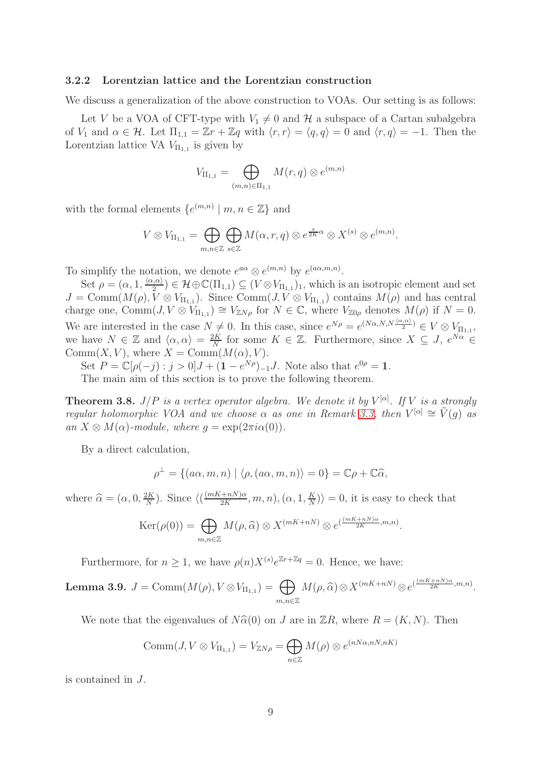#### 3.2.2 Lorentzian lattice and the Lorentzian construction

We discuss a generalization of the above construction to VOAs. Our setting is as follows:

Let V be a VOA of CFT-type with  $V_1 \neq 0$  and H a subspace of a Cartan subalgebra of  $V_1$  and  $\alpha \in \mathcal{H}$ . Let  $\Pi_{1,1} = \mathbb{Z}r + \mathbb{Z}q$  with  $\langle r, r \rangle = \langle q, q \rangle = 0$  and  $\langle r, q \rangle = -1$ . Then the Lorentzian lattice VA  $V_{\Pi_{1,1}}$  is given by

$$
V_{\Pi_{1,1}} = \bigoplus_{(m,n)\in \Pi_{1,1}} M(r,q) \otimes e^{(m,n)}
$$

with the formal elements  $\{e^{(m,n)} | m, n \in \mathbb{Z}\}\$  and

$$
V \otimes V_{\Pi_{1,1}} = \bigoplus_{m,n \in \mathbb{Z}} \bigoplus_{s \in \mathbb{Z}} M(\alpha,r,q) \otimes e^{\frac{s}{2K}\alpha} \otimes X^{(s)} \otimes e^{(m,n)}.
$$

To simplify the notation, we denote  $e^{a\alpha} \otimes e^{(m,n)}$  by  $e^{(a\alpha,m,n)}$ .

Set  $\rho = (\alpha, 1, \frac{\langle \alpha, \alpha \rangle}{2}) \in \mathcal{H} \oplus \mathbb{C}(\Pi_{1,1}) \subseteq (V \otimes V_{\Pi_{1,1}})_1$ , which is an isotropic element and set  $J = \text{Comm}(M(\rho), V \otimes V_{\Pi_{1,1}})$ . Since  $\text{Comm}(J, V \otimes V_{\Pi_{1,1}})$  contains  $M(\rho)$  and has central charge one, Comm $(J, V \otimes V_{\Pi_{1,1}}) \cong V_{\mathbb{Z}N\rho}$  for  $N \in \mathbb{C}$ , where  $V_{\mathbb{Z}0\rho}$  denotes  $M(\rho)$  if  $N = 0$ . We are interested in the case  $N \neq 0$ . In this case, since  $e^{N\rho} = e^{(N\alpha, N, N\frac{(\alpha, \alpha)}{2})} \in V \otimes V_{\Pi_{1,1}}$ , we have  $N \in \mathbb{Z}$  and  $\langle \alpha, \alpha \rangle = \frac{2K}{N}$  $\frac{2K}{N}$  for some  $K \in \mathbb{Z}$ . Furthermore, since  $X \subseteq J$ ,  $e^{N\alpha} \in$ Comm $(X, V)$ , where  $X = \text{Comm}(M(\alpha), V)$ .

Set  $P = \mathbb{C}[\rho(-j) : j > 0]J + (1 - e^{N\rho})-1J$ . Note also that  $e^{0\rho} = 1$ .

The main aim of this section is to prove the following theorem.

<span id="page-8-0"></span>**Theorem 3.8.**  $J/P$  is a vertex operator algebra. We denote it by  $V^{[\alpha]}$ . If V is a strongly *regular holomorphic VOA and we choose*  $\alpha$  *as one in Remark [3.3,](#page-5-1) then*  $V^{[\alpha]} \cong \tilde{V}(g)$  *as an*  $X \otimes M(\alpha)$ -module, where  $q = \exp(2\pi i \alpha(0))$ .

By a direct calculation,

$$
\rho^{\perp} = \{ (a\alpha, m, n) \mid \langle \rho, (a\alpha, m, n) \rangle = 0 \} = \mathbb{C}\rho + \mathbb{C}\widehat{\alpha},
$$

where  $\widehat{\alpha} = (\alpha, 0, \frac{2K}{N})$  $\frac{2K}{N}$ ). Since  $\langle \left(\frac{(mK+nN)\alpha}{2K}\right)$  $\frac{+nN)\alpha}{2K},m,n),(\alpha,1,\frac{K}{N})$  $\frac{K}{N}$ ) = 0, it is easy to check that

$$
\text{Ker}(\rho(0)) = \bigoplus_{m,n \in \mathbb{Z}} M(\rho,\widehat{\alpha}) \otimes X^{(mK+nN)} \otimes e^{(\frac{(mK+nN)\alpha}{2K},m,n)}.
$$

Furthermore, for  $n \geq 1$ , we have  $\rho(n) X^{(s)} e^{\mathbb{Z}r + \mathbb{Z}q} = 0$ . Hence, we have:

<span id="page-8-1"></span>**Lemma 3.9.**  $J = \text{Comm}(M(\rho), V \otimes V_{\Pi_{1,1}}) = \bigoplus$  $m, n \in \mathbb{Z}$  $M(\rho, \widehat{\alpha}) \otimes X^{(mK+nN)} \otimes e^{(\frac{(mK+nN)\alpha}{2K},m,n)}.$ 

We note that the eigenvalues of  $N\hat{\alpha}(0)$  on J are in  $\mathbb{Z}R$ , where  $R = (K, N)$ . Then

$$
\text{Comm}(J, V \otimes V_{\Pi_{1,1}}) = V_{\mathbb{Z}N\rho} = \bigoplus_{n \in \mathbb{Z}} M(\rho) \otimes e^{(nN\alpha, nN, nK)}
$$

is contained in J.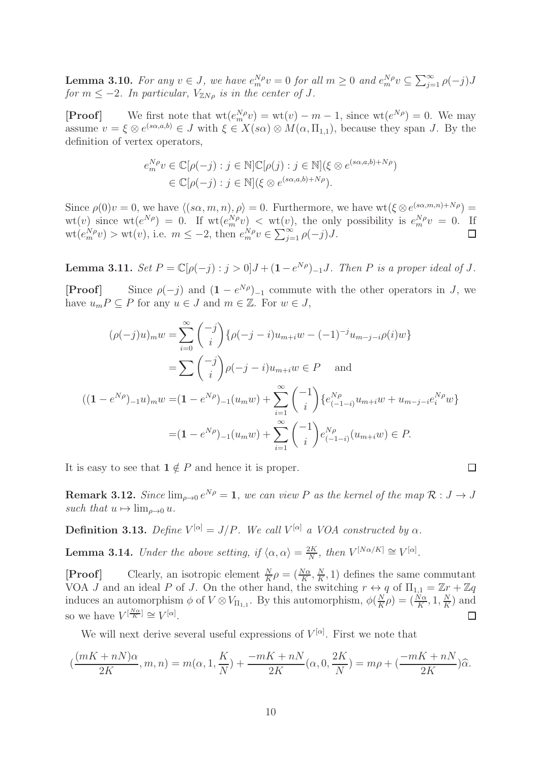<span id="page-9-2"></span>**Lemma 3.10.** For any  $v \in J$ , we have  $e_m^{N\rho}v = 0$  for all  $m \geq 0$  and  $e_m^{N\rho}v \subseteq \sum_{j=1}^{\infty} \rho(-j)J$ *for*  $m \leq -2$ *. In particular,*  $V_{\mathbb{Z}N\rho}$  *is in the center of J.* 

**[Proof]** We first note that  $\text{wt}(e_m^N \rho v) = \text{wt}(v) - m - 1$ , since  $\text{wt}(e^{N\rho}) = 0$ . We may assume  $v = \xi \otimes e^{(s\alpha,a,b)} \in J$  with  $\xi \in X(s\alpha) \otimes M(\alpha,\Pi_{1,1})$ , because they span J. By the definition of vertex operators,

$$
e_m^{N\rho} v \in \mathbb{C}[\rho(-j) : j \in \mathbb{N}] \mathbb{C}[\rho(j) : j \in \mathbb{N}] (\xi \otimes e^{(s\alpha, a, b) + N\rho})
$$
  

$$
\in \mathbb{C}[\rho(-j) : j \in \mathbb{N}] (\xi \otimes e^{(s\alpha, a, b) + N\rho}).
$$

Since  $\rho(0)v = 0$ , we have  $\langle (s\alpha, m, n), \rho \rangle = 0$ . Furthermore, we have wt $(\xi \otimes e^{(s\alpha, m, n) + N\rho}) =$  $\mathrm{wt}(v)$  since  $\mathrm{wt}(e^{N\rho}) = 0$ . If  $\mathrm{wt}(e_m^{N\rho}v) < \mathrm{wt}(v)$ , the only possibility is  $e_m^{N\rho}v = 0$ . If  $\operatorname{wt}(e_m^N p) > \operatorname{wt}(v)$ , i.e.  $m \le -2$ , then  $e_m^N p \in \sum_{j=1}^{\infty} \rho(-j)J$ .

**Lemma 3.11.**  $Set P = \mathbb{C}[\rho(-j) : j > 0]J + (1 - e^{N\rho})_{-1}J$ . Then P is a proper ideal of J.

**[Proof]** Since  $\rho(-j)$  and  $(1 - e^{N\rho})_{-1}$  commute with the other operators in J, we have  $u_m P \subset P$  for any  $u \in J$  and  $m \in \mathbb{Z}$ . For  $w \in J$ ,

$$
(\rho(-j)u)_mw = \sum_{i=0}^{\infty} {\binom{-j}{i}} {\rho(-j-i)u_{m+i}w - (-1)^{-j}u_{m-j-i}\rho(i)w}
$$
  
\n
$$
= \sum {\binom{-j}{i}} \rho(-j-i)u_{m+i}w \in P \text{ and}
$$
  
\n
$$
((1 - e^{N\rho})_{-1}u)_mw = (1 - e^{N\rho})_{-1}(u_mw) + \sum_{i=1}^{\infty} {\binom{-1}{i}} \{e_{(-1-i)}^{N\rho}u_{m+i}w + u_{m-j-i}e_i^{N\rho}w\}
$$
  
\n
$$
= (1 - e^{N\rho})_{-1}(u_mw) + \sum_{i=1}^{\infty} {\binom{-1}{i}} e_{(-1-i)}^{N\rho}(u_{m+i}w) \in P.
$$

It is easy to see that  $1 \notin P$  and hence it is proper.

<span id="page-9-0"></span>**Remark 3.12.** *Since*  $\lim_{\rho \to 0} e^{N\rho} = 1$ , we can view P as the kernel of the map  $\mathcal{R}: J \to J$ *such that*  $u \mapsto \lim_{\rho \to 0} u$ .

 $\Box$ 

<span id="page-9-1"></span>**Definition 3.13.** Define  $V^{[\alpha]} = J/P$ . We call  $V^{[\alpha]}$  a VOA constructed by  $\alpha$ .

<span id="page-9-3"></span>**Lemma 3.14.** *Under the above setting, if*  $\langle \alpha, \alpha \rangle = \frac{2K}{N}$  $\frac{2K}{N}$ *, then*  $V^{[N\alpha/K]} \cong V^{[\alpha]}$ *.* 

**[Proof]** Clearly, an isotropic element  $\frac{N}{K}\rho = \left(\frac{N\alpha}{K}, \frac{N}{K}\right)$  $\frac{N}{K}$ , 1) defines the same commutant VOA J and an ideal P of J. On the other hand, the switching  $r \leftrightarrow q$  of  $\Pi_{1,1} = \mathbb{Z}r + \mathbb{Z}q$ induces an automorphism  $\phi$  of  $V \otimes V_{\Pi_{1,1}}$ . By this automorphism,  $\phi\left(\frac{N}{K}\right)$  $\frac{N}{K}\rho$ ) =  $(\frac{N\alpha}{K}, 1, \frac{N\alpha}{K})$  $\frac{N}{K}$ ) and so we have  $V^{\left[\frac{N\alpha}{K}\right]} \cong V^{\left[\alpha\right]}$ .  $\Box$ 

We will next derive several useful expressions of  $V^{[\alpha]}$ . First we note that

$$
(\frac{(mK+nN)\alpha}{2K},m,n) = m(\alpha,1,\frac{K}{N}) + \frac{-mK+nN}{2K}(\alpha,0,\frac{2K}{N}) = m\rho + (\frac{-mK+nN}{2K})\widehat{\alpha}.
$$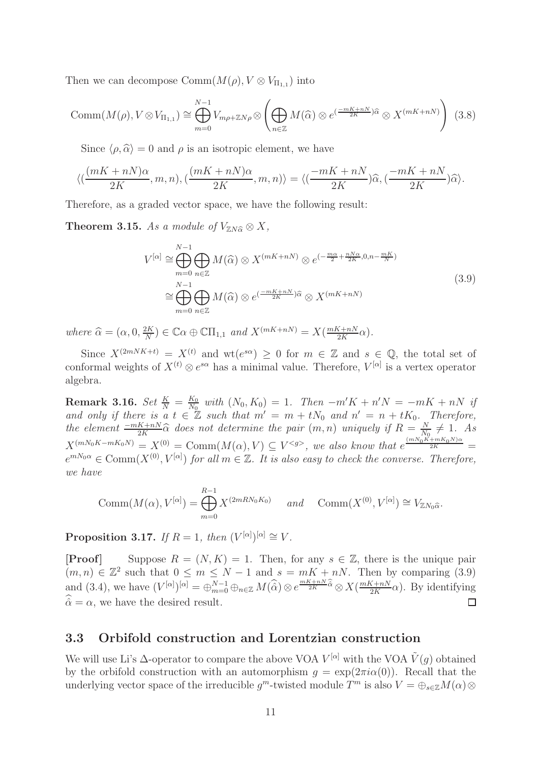Then we can decompose  $\mathrm{Comm}(M(\rho), V \otimes V_{\Pi_{1,1}})$  into

$$
\text{Comm}(M(\rho), V \otimes V_{\Pi_{1,1}}) \cong \bigoplus_{m=0}^{N-1} V_{m\rho + \mathbb{Z}N\rho} \otimes \left( \bigoplus_{n \in \mathbb{Z}} M(\widehat{\alpha}) \otimes e^{(\frac{-mK + nN}{2K})\widehat{\alpha}} \otimes X^{(mK + nN)} \right) (3.8)
$$

Since  $\langle \rho, \hat{\alpha} \rangle = 0$  and  $\rho$  is an isotropic element, we have

$$
\langle (\frac{(mK+nN)\alpha}{2K},m,n),(\frac{(mK+nN)\alpha}{2K},m,n)\rangle = \langle (\frac{-mK+nN}{2K})\widehat{\alpha},(\frac{-mK+nN}{2K})\widehat{\alpha}\rangle.
$$

Therefore, as a graded vector space, we have the following result:

<span id="page-10-2"></span>**Theorem 3.15.** *As a module of*  $V_{ZN\hat{\alpha}} \otimes X$ *,* 

$$
V^{[\alpha]} \cong \bigoplus_{m=0}^{N-1} \bigoplus_{n \in \mathbb{Z}} M(\widehat{\alpha}) \otimes X^{(mK+nN)} \otimes e^{(-\frac{m\alpha}{2} + \frac{nN\alpha}{2K}, 0, n - \frac{mK}{N})}
$$
  

$$
\cong \bigoplus_{m=0}^{N-1} \bigoplus_{n \in \mathbb{Z}} M(\widehat{\alpha}) \otimes e^{(\frac{-mK+nN}{2K})\widehat{\alpha}} \otimes X^{(mK+nN)}
$$
(3.9)

*where*  $\widehat{\alpha} = (\alpha, 0, \frac{2K}{N})$  $\frac{2K}{N}$ )  $\in \mathbb{C}\alpha \oplus \mathbb{C}\Pi_{1,1}$  and  $X^{(mK+nN)} = X(\frac{mK+nN}{2K})$  $\frac{\zeta + nN}{2K}\alpha$ .

Since  $X^{(2mNK+t)} = X^{(t)}$  and wt $(e^{s\alpha}) \geq 0$  for  $m \in \mathbb{Z}$  and  $s \in \mathbb{Q}$ , the total set of conformal weights of  $X^{(t)} \otimes e^{s\alpha}$  has a minimal value. Therefore,  $V^{[\alpha]}$  is a vertex operator algebra.

 $\textbf{Remark 3.16.} \ \textit{Set} \ \frac{K}{N} = \frac{K_0}{N_0}$  $\frac{K_0}{N_0}$  with  $(N_0, K_0) = 1$ . Then  $-m'K + n'N = -mK + nN$  if and only if there is a  $t \in \mathbb{Z}$  such that  $m' = m + tN_0$  and  $n' = n + tK_0$ . Therefore, *the element*  $\frac{-mK+nN}{2K}\widehat{\alpha}$  *does not determine the pair*  $(m, n)$  *uniquely if*  $R = \frac{N}{N_0K}$  $\frac{N}{N_0} \neq 1$ . As  $X^{(mN_0K-mK_0N)} = X^{(0)} = \text{Comm}(M(\alpha), V) \subseteq V^{}$ , we also know that  $e^{\frac{(mN_0K+mK_0N)\alpha}{2K}} =$  $e^{mN_0\alpha} \in \text{Comm}(X^{(0)}, V^{[\alpha]})$  *for all*  $m \in \mathbb{Z}$ . It is also easy to check the converse. Therefore, *we have*

$$
\text{Comm}(M(\alpha), V^{[\alpha]}) = \bigoplus_{m=0}^{R-1} X^{(2mRN_0K_0)} \quad \text{and} \quad \text{Comm}(X^{(0)}, V^{[\alpha]}) \cong V_{\mathbb{Z}N_0\widehat{\alpha}}.
$$

<span id="page-10-1"></span>Proposition 3.17. *If*  $R = 1$ , then  $(V^{[\alpha]})^{[\alpha]} \cong V$ .

[**Proof**] Suppose  $R = (N, K) = 1$ . Then, for any  $s \in \mathbb{Z}$ , there is the unique pair  $(m, n) \in \mathbb{Z}^2$  such that  $0 \leq m \leq N-1$  and  $s = mK + nN$ . Then by comparing (3.9) and (3.4), we have  $(V^{[\alpha]})^{[\alpha]} = \bigoplus_{m=0}^{N-1} \bigoplus_{n \in \mathbb{Z}} M(\widehat{\widehat{\alpha}}) \otimes e^{\frac{mK+nN}{2K} \widehat{\widehat{\alpha}}} \otimes X(\frac{mK+nN}{2K})$  $\frac{K+nN}{2K}\alpha$ ). By identifying  $\hat{\alpha} = \alpha$ , we have the desired result.  $\Box$ 

# <span id="page-10-0"></span>3.3 Orbifold construction and Lorentzian construction

We will use Li's  $\Delta$ -operator to compare the above VOA  $V^{[\alpha]}$  with the VOA  $\tilde{V}(g)$  obtained by the orbifold construction with an automorphism  $g = \exp(2\pi i \alpha(0))$ . Recall that the underlying vector space of the irreducible  $g^m$ -twisted module  $T^m$  is also  $V = \bigoplus_{s \in \mathbb{Z}} M(\alpha) \otimes$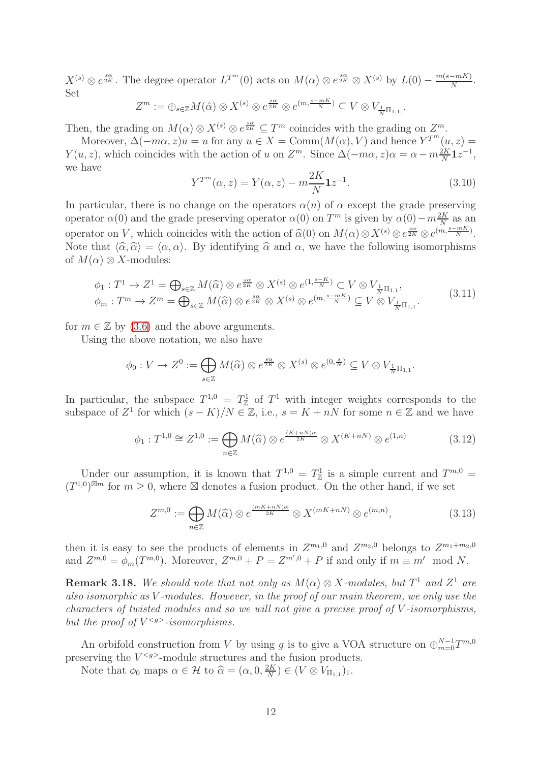$X^{(s)} \otimes e^{\frac{s\alpha}{2K}}$ . The degree operator  $L^{T^m}(0)$  acts on  $M(\alpha) \otimes e^{\frac{s\alpha}{2K}} \otimes X^{(s)}$  by  $L(0) - \frac{m(s-mK)}{N}$ . Set sα

$$
Z^m := \bigoplus_{s \in \mathbb{Z}} M(\hat{\alpha}) \otimes X^{(s)} \otimes e^{\frac{s\alpha}{2K}} \otimes e^{(m, \frac{s - mK}{N})} \subseteq V \otimes V_{\frac{1}{N}\Pi_{1,1}}.
$$

Then, the grading on  $M(\alpha) \otimes X^{(s)} \otimes e^{\frac{s\alpha}{2K}} \subseteq T^m$  coincides with the grading on  $Z^m$ .

Moreover,  $\Delta(-m\alpha, z)u = u$  for any  $u \in X = \text{Comm}(M(\alpha), V)$  and hence  $Y^{T^m}(u, z) =$  $Y(u, z)$ , which coincides with the action of u on  $Z^m$ . Since  $\Delta(-m\alpha, z)\alpha = \alpha - m\frac{2K}{N}1z^{-1}$ , we have

$$
Y^{T^{m}}(\alpha, z) = Y(\alpha, z) - m \frac{2K}{N} \mathbf{1} z^{-1}.
$$
\n(3.10)

In particular, there is no change on the operators  $\alpha(n)$  of  $\alpha$  except the grade preserving operator  $\alpha(0)$  and the grade preserving operator  $\alpha(0)$  on  $T^m$  is given by  $\alpha(0) - m \frac{2K}{N}$  as an operator on V, which coincides with the action of  $\widehat{\alpha}(0)$  on  $M(\alpha) \otimes X^{(s)} \otimes e^{\frac{s\alpha}{2K}} \otimes e^{(m,\frac{s-mK}{N})}$ . Note that  $\langle \hat{\alpha}, \hat{\alpha} \rangle = \langle \alpha, \alpha \rangle$ . By identifying  $\hat{\alpha}$  and  $\alpha$ , we have the following isomorphisms of  $M(\alpha) \otimes X$ -modules:

$$
\phi_1: T^1 \to Z^1 = \bigoplus_{s \in \mathbb{Z}} M(\widehat{\alpha}) \otimes e^{\frac{s\alpha}{2K}} \otimes X^{(s)} \otimes e^{(1, \frac{s-K}{N})} \subset V \otimes V_{\frac{1}{N}\Pi_{1,1}},
$$
  

$$
\phi_m: T^m \to Z^m = \bigoplus_{s \in \mathbb{Z}} M(\widehat{\alpha}) \otimes e^{\frac{s\alpha}{2K}} \otimes X^{(s)} \otimes e^{(m, \frac{s-mK}{N})} \subseteq V \otimes V_{\frac{1}{N}\Pi_{1,1}}.
$$
 (3.11)

for  $m \in \mathbb{Z}$  by [\(3.6\)](#page-6-1) and the above arguments.

Using the above notation, we also have

$$
\phi_0: V \to Z^0 := \bigoplus_{s \in \mathbb{Z}} M(\widehat{\alpha}) \otimes e^{\frac{s\alpha}{2K}} \otimes X^{(s)} \otimes e^{(0, \frac{s}{N})} \subseteq V \otimes V_{\frac{1}{N}\Pi_{1,1}}.
$$

In particular, the subspace  $T^{1,0} = T^1_{\mathbb{Z}}$  of  $T^1$  with integer weights corresponds to the subspace of  $Z^1$  for which  $(s - K)/N \in \mathbb{Z}$ , i.e.,  $s = K + nN$  for some  $n \in \mathbb{Z}$  and we have

$$
\phi_1: T^{1,0} \cong Z^{1,0} := \bigoplus_{n \in \mathbb{Z}} M(\widehat{\alpha}) \otimes e^{\frac{(K+nN)\alpha}{2K}} \otimes X^{(K+nN)} \otimes e^{(1,n)} \tag{3.12}
$$

Under our assumption, it is known that  $T^{1,0} = T^1_{\mathbb{Z}}$  is a simple current and  $T^{m,0} =$  $(T^{1,0})^{\boxtimes m}$  for  $m \geq 0$ , where  $\boxtimes$  denotes a fusion product. On the other hand, if we set

<span id="page-11-0"></span>
$$
Z^{m,0} := \bigoplus_{n \in \mathbb{Z}} M(\widehat{\alpha}) \otimes e^{\frac{(mK + nN)\alpha}{2K}} \otimes X^{(mK + nN)} \otimes e^{(m,n)}, \tag{3.13}
$$

then it is easy to see the products of elements in  $Z^{m_1,0}$  and  $Z^{m_2,0}$  belongs to  $Z^{m_1+m_2,0}$ and  $Z^{m,0} = \phi_m(T^{m,0})$ . Moreover,  $Z^{m,0} + P = Z^{m',0} + P$  if and only if  $m \equiv m' \mod N$ .

**Remark 3.18.** We should note that not only as  $M(\alpha) \otimes X$ -modules, but  $T^1$  and  $Z^1$  are *also isomorphic as* V *-modules. However, in the proof of our main theorem, we only use the characters of twisted modules and so we will not give a precise proof of* V *-isomorphisms,* but the proof of  $V^{}$ -isomorphisms.

An orbifold construction from V by using g is to give a VOA structure on  $\bigoplus_{m=0}^{N-1}T^{m,0}$ preserving the  $V^{< g>}$ -module structures and the fusion products.

Note that  $\phi_0$  maps  $\alpha \in \mathcal{H}$  to  $\widehat{\alpha} = (\alpha, 0, \frac{2K}{N})$  $\frac{2K}{N}$ )  $\in (V \otimes V_{\Pi_{1,1}})_{1}.$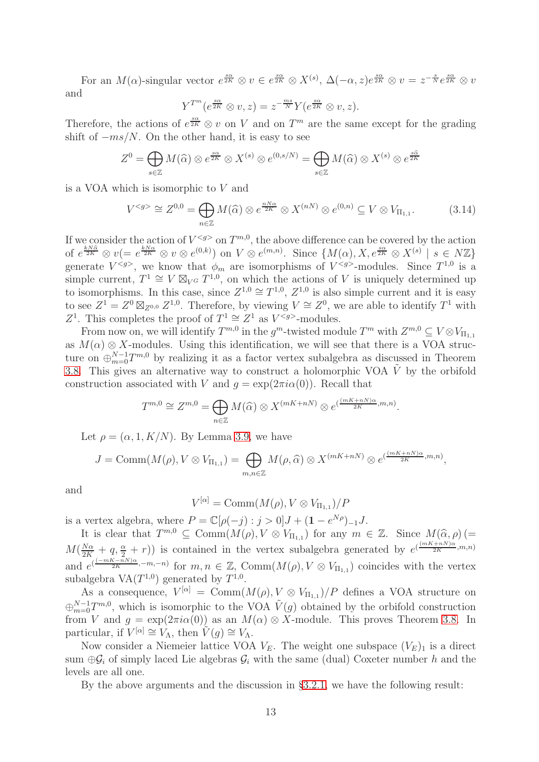For an  $M(\alpha)$ -singular vector  $e^{\frac{s\alpha}{2K}} \otimes v \in e^{\frac{s\alpha}{2K}} \otimes X^{(s)}$ ,  $\Delta(-\alpha, z)e^{\frac{s\alpha}{2K}} \otimes v = z^{-\frac{s}{N}}e^{\frac{s\alpha}{2K}} \otimes v$ and

$$
Y^{T^m}(e^{\frac{s\alpha}{2K}} \otimes v, z) = z^{-\frac{ms}{N}} Y(e^{\frac{s\alpha}{2K}} \otimes v, z).
$$

Therefore, the actions of  $e^{\frac{s\alpha}{2K}} \otimes v$  on V and on  $T^m$  are the same except for the grading shift of  $-ms/N$ . On the other hand, it is easy to see

$$
Z^{0} = \bigoplus_{s \in \mathbb{Z}} M(\widehat{\alpha}) \otimes e^{\frac{s\widehat{\alpha}}{2K}} \otimes X^{(s)} \otimes e^{(0,s/N)} = \bigoplus_{s \in \mathbb{Z}} M(\widehat{\alpha}) \otimes X^{(s)} \otimes e^{\frac{s\widehat{\alpha}}{2K}}
$$

is a VOA which is isomorphic to V and

<span id="page-12-0"></span>
$$
V^{< g>} \cong Z^{0,0} = \bigoplus_{n \in \mathbb{Z}} M(\widehat{\alpha}) \otimes e^{\frac{nN\alpha}{2K}} \otimes X^{(nN)} \otimes e^{(0,n)} \subseteq V \otimes V_{\Pi_{1,1}}.\tag{3.14}
$$

If we consider the action of  $V^{< g>0}$  on  $T^{m,0}$ , the above difference can be covered by the action of  $e^{\frac{kN\hat{\alpha}}{2K}} \otimes v (= e^{\frac{kN\alpha}{2K}} \otimes v \otimes e^{(0,k)})$  on  $V \otimes e^{(m,n)}$ . Since  $\{M(\alpha), X, e^{\frac{s\alpha}{2K}} \otimes X^{(s)} \mid s \in N\mathbb{Z}\}\$ generate  $V^{< g>}$ , we know that  $\phi_m$  are isomorphisms of  $V^{< g>}$ -modules. Since  $T^{1,0}$  is a simple current,  $T^1 \cong V \boxtimes_{V^G} T^{1,0}$ , on which the actions of V is uniquely determined up to isomorphisms. In this case, since  $Z^{1,0} \cong T^{1,0}$ ,  $Z^{1,0}$  is also simple current and it is easy to see  $Z^1 = Z^0 \boxtimes_{Z^{0,0}} Z^{1,0}$ . Therefore, by viewing  $V \cong Z^0$ , we are able to identify  $T^1$  with Z<sup>1</sup>. This completes the proof of  $T^1 \cong Z^1$  as  $V^{< g>}\text{-modules.}$ 

From now on, we will identify  $T^{m,0}$  in the  $g^m$ -twisted module  $T^m$  with  $Z^{m,0} \subseteq V \otimes V_{\Pi_{1,1}}$ as  $M(\alpha) \otimes X$ -modules. Using this identification, we will see that there is a VOA structure on  $\bigoplus_{m=0}^{N-1}T^{m,0}$  by realizing it as a factor vertex subalgebra as discussed in Theorem [3.8.](#page-8-0) This gives an alternative way to construct a holomorphic VOA  $\tilde{V}$  by the orbifold construction associated with V and  $q = \exp(2\pi i \alpha(0))$ . Recall that

$$
T^{m,0} \cong Z^{m,0} = \bigoplus_{n \in \mathbb{Z}} M(\widehat{\alpha}) \otimes X^{(mK+nN)} \otimes e^{(\frac{(mK+nN)\alpha}{2K},m,n)}
$$

.

Let  $\rho = (\alpha, 1, K/N)$ . By Lemma [3.9,](#page-8-1) we have

$$
J = \text{Comm}(M(\rho), V \otimes V_{\Pi_{1,1}}) = \bigoplus_{m,n \in \mathbb{Z}} M(\rho, \widehat{\alpha}) \otimes X^{(mK + nN)} \otimes e^{(\frac{(mK + nN)\alpha}{2K}, m,n)},
$$

and

$$
V^{[\alpha]} = \text{Comm}(M(\rho), V \otimes V_{\Pi_{1,1}})/P
$$

is a vertex algebra, where  $P = \mathbb{C}[\rho(-j) : j > 0]J + (1 - e^{N\rho})^{-1}J$ .

It is clear that  $T^{m,0} \subseteq \text{Comm}(M(\rho), V \otimes V_{\Pi_{1,1}})$  for any  $m \in \mathbb{Z}$ . Since  $M(\widehat{\alpha}, \rho)$   $(=$  $M(\frac{N\alpha}{2K}+q,\frac{\alpha}{2}+r))$  is contained in the vertex subalgebra generated by  $e^{(\frac{(mK+nN)\alpha}{2K},m,n)}$ and  $e^{(\frac{(-mK-nN)\alpha}{2K},-m,-n)}$  for  $m,n \in \mathbb{Z}$ , Comm $(M(\rho), V \otimes V_{\Pi_{1,1}})$  coincides with the vertex subalgebra  $VA(T^{1,0})$  generated by  $T^{1,0}$ .

As a consequence,  $V^{[\alpha]} = \text{Comm}(M(\rho), V \otimes V_{\Pi_{1,1}})/P$  defines a VOA structure on  $\bigoplus_{m=0}^{N-1} T^{m,0}$ , which is isomorphic to the VOA  $\tilde{V}(g)$  obtained by the orbifold construction from V and  $q = \exp(2\pi i\alpha(0))$  as an  $M(\alpha) \otimes X$ -module. This proves Theorem [3.8.](#page-8-0) In particular, if  $V^{[\alpha]} \cong V_{\Lambda}$ , then  $\tilde{V}(g) \cong V_{\Lambda}$ .

Now consider a Niemeier lattice VOA  $V_E$ . The weight one subspace  $(V_E)_1$  is a direct sum  $\oplus \mathcal{G}_i$  of simply laced Lie algebras  $\mathcal{G}_i$  with the same (dual) Coxeter number h and the levels are all one.

By the above arguments and the discussion in §[3.2.1,](#page-7-0) we have the following result: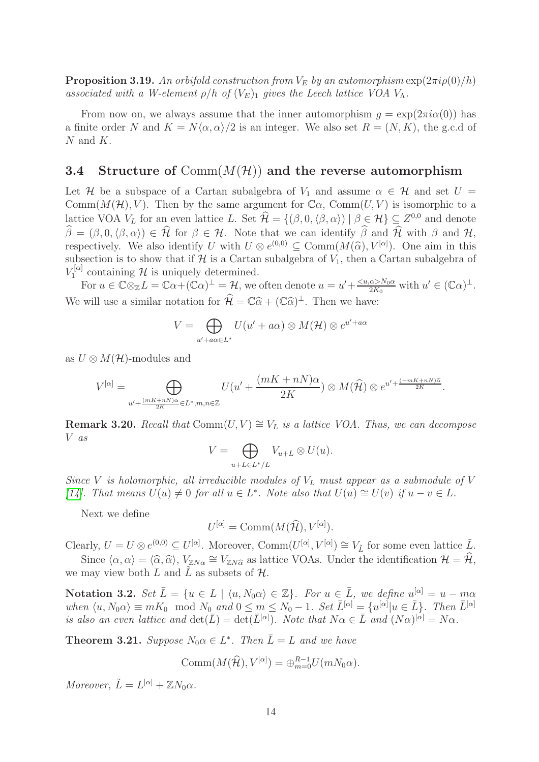**Proposition 3.19.** An orbifold construction from  $V_E$  by an automorphism  $\exp(2\pi i \rho(0)/h)$ *associated with a W-element*  $\rho/h$  *of*  $(V_E)_1$  *gives the Leech lattice VOA*  $V_A$ *.* 

From now on, we always assume that the inner automorphism  $q = \exp(2\pi i \alpha(0))$  has a finite order N and  $K = N(\alpha, \alpha)/2$  is an integer. We also set  $R = (N, K)$ , the g.c.d of  $N$  and  $K$ .

# **3.4** Structure of  $Comm(M(\mathcal{H}))$  and the reverse automorphism

Let H be a subspace of a Cartan subalgebra of  $V_1$  and assume  $\alpha \in H$  and set  $U =$ Comm $(M(\mathcal{H}), V)$ . Then by the same argument for  $\mathbb{C}\alpha$ , Comm $(U, V)$  is isomorphic to a lattice VOA  $V_L$  for an even lattice L. Set  $\mathcal{H} = \{(\beta, 0, \langle \beta, \alpha \rangle) \mid \beta \in \mathcal{H}\}\subseteq Z^{0,0}$  and denote  $\hat{\beta} = (\beta, 0, \langle \beta, \alpha \rangle) \in \hat{\mathcal{H}}$  for  $\beta \in \mathcal{H}$ . Note that we can identify  $\hat{\beta}$  and  $\hat{\mathcal{H}}$  with  $\beta$  and  $\mathcal{H}$ , respectively. We also identify U with  $U \otimes e^{(0,0)} \subseteq \text{Comm}(M(\widehat{\alpha}), V^{[\alpha]}).$  One aim in this subsection is to show that if  $\mathcal H$  is a Cartan subalgebra of  $V_1$ , then a Cartan subalgebra of  $V_{1}^{[\alpha]}$  $T_1^{[\alpha]}$  containing H is uniquely determined.

For  $u \in \mathbb{C} \otimes_{\mathbb{Z}} L = \mathbb{C} \alpha + (\mathbb{C} \alpha)^{\perp} = \mathcal{H}$ , we often denote  $u = u' + \frac{\langle u, \alpha \rangle N_0 \alpha}{2K_0}$  $\frac{\alpha > N_0 \alpha}{2K_0}$  with  $u' \in (\mathbb{C}\alpha)^{\perp}$ . We will use a similar notation for  $\mathcal{H} = \mathbb{C}\hat{\alpha} + (\mathbb{C}\hat{\alpha})^{\perp}$ . Then we have:

$$
V = \bigoplus_{u' + a\alpha \in L^*} U(u' + a\alpha) \otimes M(\mathcal{H}) \otimes e^{u' + a\alpha}
$$

as  $U \otimes M(\mathcal{H})$ -modules and

$$
V^{[\alpha]} = \bigoplus_{u' + \frac{(mK + nN)\alpha}{2K} \in L^*, m, n \in \mathbb{Z}} U(u' + \frac{(mK + nN)\alpha}{2K}) \otimes M(\widehat{\mathcal{H}}) \otimes e^{u' + \frac{(-mK + nN)\widehat{\alpha}}{2K}}.
$$

**Remark 3.20.** *Recall that*  $Comm(U, V) \cong V_L$  *is a lattice VOA. Thus, we can decompose* V *as*

$$
V = \bigoplus_{u+L \in L^*/L} V_{u+L} \otimes U(u).
$$

*Since* V *is holomorphic, all irreducible modules of*  $V_L$  *must appear as a submodule of* V *[\[14\]](#page-39-17). That means*  $U(u) \neq 0$  *for all*  $u \in L^*$ *. Note also that*  $U(u) \cong U(v)$  *if*  $u - v \in L$ *.* 

Next we define

 $U^{[\alpha]} = \text{Comm}(M(\widehat{\mathcal{H}}), V^{[\alpha]}).$ 

Clearly,  $U = U \otimes e^{(0,0)} \subseteq U^{[\alpha]}$ . Moreover, Comm $(U^{[\alpha]}, V^{[\alpha]}) \cong V_{\tilde{L}}$  for some even lattice  $\tilde{L}$ . Since  $\langle \alpha, \alpha \rangle = \langle \widehat{\alpha}, \widehat{\alpha} \rangle$ ,  $V_{\mathbb{Z}N\alpha} \cong V_{\mathbb{Z}N\widehat{\alpha}}$  as lattice VOAs. Under the identification  $\mathcal{H} = \widehat{\mathcal{H}}$ , we may view both L and  $\tilde{L}$  as subsets of H.

**Notation 3.2.** *Set*  $\overline{L} = \{u \in L \mid \langle u, N_0 \alpha \rangle \in \mathbb{Z}\}$ *. For*  $u \in \overline{L}$ *, we define*  $u^{[\alpha]} = u - m\alpha$  $when \langle u, N_0 \alpha \rangle \equiv mK_0 \mod N_0 \text{ and } 0 \leq m \leq N_0 - 1$ . Set  $\bar{L}^{[\alpha]} = \{u^{[\alpha]} | u \in \bar{L}\}\$ . Then  $\bar{L}^{[\alpha]}$ *is also an even lattice and*  $det(\overline{L}) = det(\overline{L}^{[\alpha]})$ *. Note that*  $N\alpha \in \overline{L}$  *and*  $(N\alpha)^{[\alpha]} = N\alpha$ *.* 

<span id="page-13-0"></span>**Theorem 3.21.** *Suppose*  $N_0 \alpha \in L^*$ *. Then*  $\overline{L} = L$  *and we have* 

$$
Comm(M(\widehat{\mathcal{H}}), V^{[\alpha]}) = \bigoplus_{m=0}^{R-1} U(mN_0\alpha).
$$

*Moreover,*  $\tilde{L} = L^{[\alpha]} + \mathbb{Z}N_0\alpha$ .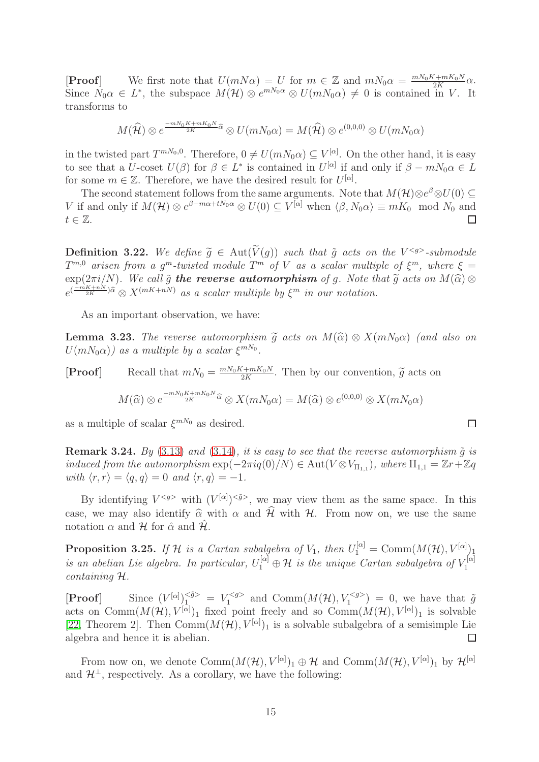**[Proof]** We first note that  $U(mN\alpha) = U$  for  $m \in \mathbb{Z}$  and  $mN_0\alpha = \frac{mN_0K + mK_0N}{2K}$  $rac{1+mK_0N}{2K}\alpha.$ Since  $N_0 \alpha \in L^*$ , the subspace  $M(\mathcal{H}) \otimes e^{mN_0 \alpha} \otimes U(mN_0 \alpha) \neq 0$  is contained in V. It transforms to

$$
M(\widehat{\mathcal{H}}) \otimes e^{\frac{-mN_0K + mK_0N}{2K}\widehat{\alpha}} \otimes U(mN_0\alpha) = M(\widehat{\mathcal{H}}) \otimes e^{(0,0,0)} \otimes U(mN_0\alpha)
$$

in the twisted part  $T^{mN_0,0}$ . Therefore,  $0 \neq U(mN_0\alpha) \subseteq V^{[\alpha]}$ . On the other hand, it is easy to see that a  $U$ -coset  $U(\beta)$  for  $\beta \in L^*$  is contained in  $U^{[\alpha]}$  if and only if  $\beta - mN_0\alpha \in L$ for some  $m \in \mathbb{Z}$ . Therefore, we have the desired result for  $U^{[\alpha]}$ .

The second statement follows from the same arguments. Note that  $M(\mathcal{H})\otimes e^{\beta}\otimes U(0) \subseteq$ V if and only if  $M(\mathcal{H}) \otimes e^{\beta - m\alpha + tN_0\alpha} \otimes U(0) \subseteq V^{[\alpha]}$  when  $\langle \beta, N_0 \alpha \rangle \equiv mK_0 \mod N_0$  and  $t \in \mathbb{Z}$ .

**Definition 3.22.** We define  $\widetilde{g} \in \text{Aut}(\widetilde{V}(g))$  such that  $\widetilde{g}$  acts on the  $V^{g}$ -submodule  $T^{m,0}$  arisen from a g<sup>m</sup>-twisted module  $T^m$  of V as a scalar multiple of  $\xi^m$ , where  $\xi =$  $\exp(2\pi i/N)$ *. We call*  $\tilde{g}$  the reverse automorphism of g. Note that  $\tilde{g}$  acts on  $M(\tilde{\alpha}) \otimes$  $e^{(\frac{-mK+nN}{2K})\hat{\alpha}} \otimes X^{(mK+nN)}$  *as a scalar multiple by*  $\xi^m$  *in our notation.* 

As an important observation, we have:

**Lemma 3.23.** *The reverse automorphism*  $\tilde{q}$  *acts on*  $M(\hat{\alpha}) \otimes X(mN_0\alpha)$  *(and also on*  $U(mN_0\alpha)$ ) as a multiple by a scalar  $\xi^{mN_0}$ .

**[Proof]** Recall that  $mN_0 = \frac{mN_0K + mK_0N}{2K}$  $\frac{(2+ m_{\alpha})}{2K}$ . Then by our convention,  $\widetilde{g}$  acts on

$$
M(\widehat{\alpha}) \otimes e^{\frac{-mN_0K + mK_0N}{2K}\widehat{\alpha}} \otimes X(mN_0\alpha) = M(\widehat{\alpha}) \otimes e^{(0,0,0)} \otimes X(mN_0\alpha)
$$

as a multiple of scalar  $\xi^{mN_0}$  as desired.

<span id="page-14-0"></span>**Remark 3.24.** *By* [\(3.13\)](#page-11-0) *and* [\(3.14\)](#page-12-0)*, it is easy to see that the reverse automorphism*  $\tilde{q}$  *<i>is induced from the automorphism*  $\exp(-2\pi i q(0)/N) \in \text{Aut}(V \otimes V_{\Pi_{1,1}})$ , where  $\Pi_{1,1} = \mathbb{Z}r + \mathbb{Z}q$ *with*  $\langle r, r \rangle = \langle q, q \rangle = 0$  *and*  $\langle r, q \rangle = -1$ *.* 

By identifying  $V^{< g>}$  with  $(V^{[\alpha]})^{< \tilde{g}}$ , we may view them as the same space. In this case, we may also identify  $\hat{\alpha}$  with  $\alpha$  and  $\hat{\mathcal{H}}$  with H. From now on, we use the same notation  $\alpha$  and  $\mathcal{H}$  for  $\hat{\alpha}$  and  $\mathcal{H}$ .

**Proposition 3.25.** If H is a Cartan subalgebra of  $V_1$ , then  $U_1^{[\alpha]} = \text{Comm}(M(\mathcal{H}), V^{[\alpha]})$ *is an abelian Lie algebra. In particular,*  $U_1^{[\alpha]} \oplus \mathcal{H}$  *is the unique Cartan subalgebra of*  $V_1^{[\alpha]}$ 1 *containing* H*.*

[**Proof**] Since  $(V^{[\alpha]})_1^{<\tilde{g}>} = V_1^{}$  $\mathcal{I}_1^{\leq g>}$  and  $\text{Comm}(M(\mathcal{H}), V_1^{\leq g>} ) = 0$ , we have that  $\tilde{g}$ acts on Comm $(M(\mathcal{H}), V^{[\alpha]})_1$  fixed point freely and so Comm $(M(\mathcal{H}), V^{[\alpha]})_1$  is solvable [\[22,](#page-39-18) Theorem 2]. Then  $Comm(M(\mathcal{H}), V^{[\alpha]})_1$  is a solvable subalgebra of a semisimple Lie algebra and hence it is abelian.

From now on, we denote  $\text{Comm}(M(\mathcal{H}), V^{[\alpha]})_1 \oplus \mathcal{H}$  and  $\text{Comm}(M(\mathcal{H}), V^{[\alpha]})_1$  by  $\mathcal{H}^{[\alpha]}$ and  $\mathcal{H}^{\perp}$ , respectively. As a corollary, we have the following:

 $\Box$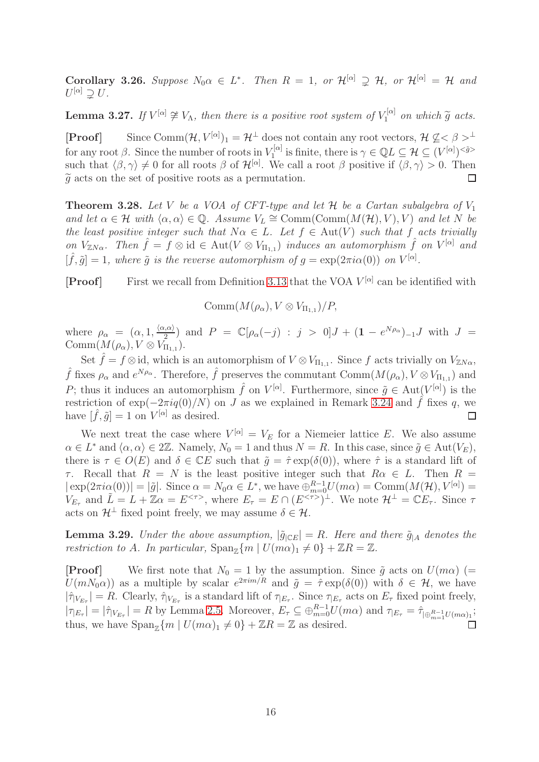<span id="page-15-0"></span>**Corollary 3.26.** Suppose  $N_0 \alpha \in L^*$ . Then  $R = 1$ , or  $\mathcal{H}^{[\alpha]} \supsetneq \mathcal{H}$ , or  $\mathcal{H}^{[\alpha]} = \mathcal{H}$  and  $U^{[\alpha]}\supsetneq U$ .

<span id="page-15-2"></span>**Lemma 3.27.** If  $V^{[\alpha]} \not\cong V_{\Lambda}$ , then there is a positive root system of  $V_1^{[\alpha]}$  $\tilde{q}$ <sup> $\alpha$ </sup> *on which*  $\tilde{g}$  *acts.* 

 $[Proof]$  Since  $Comm(\mathcal{H}, V^{[\alpha]})_1 = \mathcal{H}^{\perp}$  does not contain any root vectors,  $\mathcal{H} \not\subseteq \langle \beta \rangle^{\perp}$ for any root  $\beta$ . Since the number of roots in  $V_1^{[\alpha]}$  $\mathcal{I}^{[\alpha]}_1$  is finite, there is  $\gamma \in \mathbb{Q}L \subseteq \mathcal{H} \subseteq (V^{[\alpha]})^{<\tilde{g}>0}$ such that  $\langle \beta, \gamma \rangle \neq 0$  for all roots  $\beta$  of  $\mathcal{H}^{[\alpha]}$ . We call a root  $\beta$  positive if  $\langle \beta, \gamma \rangle > 0$ . Then  $\tilde{g}$  acts on the set of positive roots as a permutation.

<span id="page-15-3"></span>**Theorem 3.28.** Let V be a VOA of CFT-type and let  $H$  be a Cartan subalgebra of  $V_1$ *and let*  $\alpha \in \mathcal{H}$  *with*  $\langle \alpha, \alpha \rangle \in \mathbb{Q}$ . Assume  $V_L \cong \text{Comm}(\text{Comm}(M(\mathcal{H}), V), V)$  *and let* N *be the least positive integer such that*  $N\alpha \in L$ *. Let*  $f \in Aut(V)$  *such that* f *acts trivially on*  $V_{\mathbb{Z}N\alpha}$ . Then  $\hat{f} = f \otimes id \in Aut(V \otimes V_{\Pi_{1,1}})$  *induces an automorphism*  $\hat{f}$  *on*  $V^{[\alpha]}$  *and*  $[\hat{f}, \tilde{g}] = 1$ , where  $\tilde{g}$  is the reverse automorphism of  $g = \exp(2\pi i \alpha(0))$  on  $V^{[\alpha]}$ .

**[Proof]** First we recall from Definition [3.13](#page-9-1) that the VOA  $V^{[\alpha]}$  can be identified with

$$
Comm(M(\rho_{\alpha}), V \otimes V_{\Pi_{1,1}})/P,
$$

where  $\rho_{\alpha} = (\alpha, 1, \frac{\langle \alpha, \alpha \rangle}{2})$  and  $P = \mathbb{C}[\rho_{\alpha}(-j) : j > 0]J + (1 - e^{N\rho_{\alpha}})_{-1}J$  with  $J =$ Comm $(M(\rho_{\alpha}), V \otimes V_{\Pi_{1,1}}).$ 

Set  $\hat{f} = f \otimes id$ , which is an automorphism of  $V \otimes V_{\Pi_{1,1}}$ . Since f acts trivially on  $V_{\mathbb{Z}N\alpha}$ ,  $\hat{f}$  fixes  $\rho_{\alpha}$  and  $e^{N\rho_{\alpha}}$ . Therefore,  $\hat{f}$  preserves the commutant  $\text{Comm}(M(\rho_{\alpha}), V \otimes V_{\Pi_{1,1}})$  and P; thus it induces an automorphism  $\hat{f}$  on  $V^{[\alpha]}$ . Furthermore, since  $\tilde{g} \in Aut(V^{[\alpha]})$  is the restriction of  $\exp(-2\pi i q(0)/N)$  on J as we explained in Remark [3.24](#page-14-0) and  $\hat{f}$  fixes q, we have  $[\hat{f}, \tilde{q}] = 1$  on  $V^{[\alpha]}$  as desired. have  $[\hat{f}, \tilde{g}] = 1$  on  $V^{[\alpha]}$  as desired.

We next treat the case where  $V^{[\alpha]} = V_E$  for a Niemeier lattice E. We also assume  $\alpha \in L^*$  and  $\langle \alpha, \alpha \rangle \in 2\mathbb{Z}$ . Namely,  $N_0 = 1$  and thus  $N = R$ . In this case, since  $\tilde{g} \in \text{Aut}(V_E)$ , there is  $\tau \in O(E)$  and  $\delta \in \mathbb{C}E$  such that  $\tilde{q} = \hat{\tau} \exp(\delta(0))$ , where  $\hat{\tau}$  is a standard lift of τ. Recall that  $R = N$  is the least positive integer such that  $R\alpha \in L$ . Then  $R =$  $|\exp(2\pi i\alpha(0))| = |\tilde{g}|$ . Since  $\alpha = N_0\alpha \in L^*$ , we have  $\bigoplus_{m=0}^{R-1} U(m\alpha) = \text{Comm}(M(\mathcal{H}), V^{[\alpha]}) =$  $V_{E_{\tau}}$  and  $\tilde{L} = L + \mathbb{Z}\alpha = E^{<\tau>}$ , where  $E_{\tau} = E \cap (E^{<\tau>})^{\perp}$ . We note  $\mathcal{H}^{\perp} = \mathbb{C}E_{\tau}$ . Since  $\tau$ acts on  $\mathcal{H}^{\perp}$  fixed point freely, we may assume  $\delta \in \mathcal{H}$ .

<span id="page-15-1"></span>**Lemma 3.29.** *Under the above assumption,*  $|\tilde{g}_{\vert CE}| = R$ *. Here and there*  $\tilde{g}_{\vert A}$  *denotes the restriction to* A. In particular,  $\text{Span}_{\mathbb{Z}}\{m \mid U(m\alpha)_1 \neq 0\} + \mathbb{Z}R = \mathbb{Z}$ .

**[Proof]** We first note that  $N_0 = 1$  by the assumption. Since  $\tilde{g}$  acts on  $U(m\alpha)$  (=  $U(mN_0\alpha)$  as a multiple by scalar  $e^{2\pi im/R}$  and  $\tilde{g} = \hat{\tau} \exp(\delta(0))$  with  $\delta \in \mathcal{H}$ , we have  $|\hat{\tau}_{|V_{E_{\tau}}}| = R$ . Clearly,  $\hat{\tau}_{|V_{E_{\tau}}}$  is a standard lift of  $\tau_{|E_{\tau}|}$ . Since  $\tau_{|E_{\tau}|}$  acts on  $E_{\tau}$  fixed point freely,  $|\tau_{|E_{\tau}}| = |\hat{\tau}_{|V_{E_{\tau}}}| = R$  by Lemma [2.5.](#page-3-3) Moreover,  $E_{\tau} \subseteq \bigoplus_{m=0}^{R-1} U(m\alpha)$  and  $\tau_{|E_{\tau}|} = \hat{\tau}_{|\bigoplus_{m=1}^{R-1} U(m\alpha)|}$ ; thus, we have  $\text{Span}_{\mathbb{Z}}\{m \mid U(m\alpha)_1 \neq 0\} + \mathbb{Z}R = \mathbb{Z}$  as desired.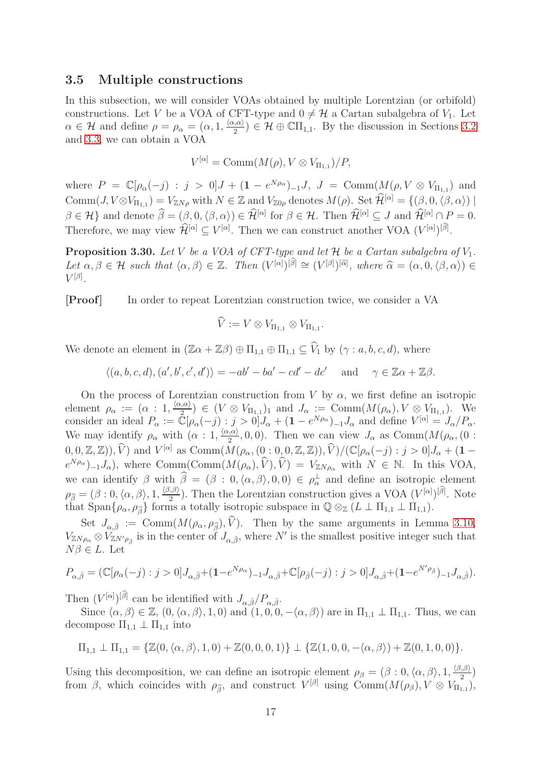### 3.5 Multiple constructions

In this subsection, we will consider VOAs obtained by multiple Lorentzian (or orbifold) constructions. Let V be a VOA of CFT-type and  $0 \neq H$  a Cartan subalgebra of  $V_1$ . Let  $\alpha \in \mathcal{H}$  and define  $\rho = \rho_{\alpha} = (\alpha, 1, \frac{\langle \alpha, \alpha \rangle}{2}) \in \mathcal{H} \oplus \mathbb{C}\Pi_{1,1}$ . By the discussion in Sections [3.2](#page-7-1) and [3.3,](#page-10-0) we can obtain a VOA

$$
V^{[\alpha]} = \text{Comm}(M(\rho), V \otimes V_{\Pi_{1,1}})/P,
$$

where  $P = \mathbb{C}[\rho_{\alpha}(-j) : j > 0]J + (1 - e^{N\rho_{\alpha}})_{-1}J$ ,  $J = \text{Comm}(M(\rho, V \otimes V_{\Pi_{1,1}}))$  and  $\text{Comm}(J, V \otimes V_{\Pi_{1,1}}) = V_{\mathbb{Z}N\rho}$  with  $N \in \mathbb{Z}$  and  $V_{\mathbb{Z}0\rho}$  denotes  $M(\rho)$ . Set  $\mathcal{H}^{[\alpha]} = \{(\beta,0,\langle \beta, \alpha \rangle) \mid \mathcal{H}^{[\alpha]} \in \mathbb{Z} \}$  $\beta \in \mathcal{H}$  and denote  $\hat{\beta} = (\beta, 0, \langle \beta, \alpha \rangle) \in \hat{\mathcal{H}}^{[\alpha]}$  for  $\beta \in \mathcal{H}$ . Then  $\hat{\mathcal{H}}^{[\alpha]} \subseteq J$  and  $\hat{\mathcal{H}}^{[\alpha]} \cap P = 0$ . Therefore, we may view  $\widehat{\mathcal{H}}^{[\alpha]} \subseteq V^{[\alpha]}$ . Then we can construct another VOA  $(V^{[\alpha]})^{[\widehat{\beta}]}$ .

<span id="page-16-0"></span>**Proposition 3.30.** Let V be a VOA of CFT-type and let  $H$  be a Cartan subalgebra of  $V_1$ .  $Let \alpha, \beta \in \mathcal{H} \text{ such that } \langle \alpha, \beta \rangle \in \mathbb{Z}. \text{ Then } (V^{[\alpha]})^{[\widehat{\beta}]} \cong (V^{[\beta]})^{[\widehat{\alpha}]}, \text{ where } \widehat{\alpha} = (\alpha, 0, \langle \beta, \alpha \rangle) \in V^{[\beta]}$  $V^{[\beta]}.$ 

[Proof ] In order to repeat Lorentzian construction twice, we consider a VA

$$
\widehat{V} := V \otimes V_{\Pi_{1,1}} \otimes V_{\Pi_{1,1}}.
$$

We denote an element in  $(\mathbb{Z}\alpha + \mathbb{Z}\beta) \oplus \Pi_{1,1} \oplus \Pi_{1,1} \subseteq \widehat{V}_1$  by  $(\gamma : a, b, c, d)$ , where

$$
\langle (a, b, c, d), (a', b', c', d') \rangle = -ab' - ba' - cd' - dc' \quad \text{and} \quad \gamma \in \mathbb{Z}\alpha + \mathbb{Z}\beta.
$$

On the process of Lorentzian construction from V by  $\alpha$ , we first define an isotropic element  $\rho_{\alpha} := (\alpha : 1, \frac{\langle \alpha, \alpha \rangle}{2}) \in (V \otimes V_{\Pi_{1,1}})_1$  and  $J_{\alpha} := \text{Comm}(M(\rho_{\alpha}), V \otimes V_{\Pi_{1,1}})$ . We consider an ideal  $P_{\alpha} := \mathbb{C}[\rho_{\alpha}(-j) : j > 0]J_{\alpha} + (1 - e^{N\rho_{\alpha}})_{-1}J_{\alpha}$  and define  $V^{[\alpha]} = J_{\alpha}/P_{\alpha}$ . We may identify  $\rho_{\alpha}$  with  $(\alpha: 1, \frac{\langle \alpha, \alpha \rangle}{2}, 0, 0)$ . Then we can view  $J_{\alpha}$  as Comm $(M(\rho_{\alpha}, 0:$  $(0,0,\mathbb{Z},\mathbb{Z}))$ ,  $(\hat{V})$  and  $V^{[\alpha]}$  as  $\text{Comm}(M(\rho_{\alpha},(0,1,0,\mathbb{Z},\mathbb{Z})), \hat{V})/(\mathbb{C}[\rho_{\alpha}(-j):j>0]J_{\alpha}+(1-\mathbb{C}[\rho_{\alpha}(-j):j])$  $e^{N\rho_\alpha}|_{-1}J_\alpha$ , where Comm(Comm $(M(\rho_\alpha), \hat{V}), \hat{V}) = V_{\mathbb{Z}N\rho_\alpha}$  with  $N \in \mathbb{N}$ . In this VOA, we can identify  $\beta$  with  $\beta = (\beta : 0, \langle \alpha, \beta \rangle, 0, 0) \in \rho_{\alpha}^{\perp}$  and define an isotropic element  $\rho_{\widehat{\beta}} = (\beta : 0, \langle \alpha, \beta \rangle, 1, \frac{\langle \beta, \beta \rangle}{2})$ . Then the Lorentzian construction gives a VOA  $(V^{[\alpha]})^{[\widehat{\beta}]}$ . Note that Span $\{\rho_{\alpha}, \rho_{\widehat{\beta}}\}$  forms a totally isotropic subspace in  $\mathbb{Q} \otimes_{\mathbb{Z}} (L \perp \Pi_{1,1} \perp \Pi_{1,1}).$ 

Set  $J_{\alpha,\hat{\beta}} := \text{Comm}(M(\rho_{\alpha}, \rho_{\hat{\beta}}), \hat{V})$ . Then by the same arguments in Lemma [3.10,](#page-9-2)  $V_{\mathbb{Z}N\rho_{\alpha}} \otimes V_{\mathbb{Z}N'\rho_{\beta}}$  is in the center of  $J_{\alpha,\beta}$ , where N' is the smallest positive integer such that  $N\beta \in L$ . Let

$$
P_{\alpha,\hat{\beta}} = (\mathbb{C}[\rho_\alpha(-j) : j > 0]J_{\alpha,\hat{\beta}} + (1 - e^{N\rho_\alpha})^{-1}J_{\alpha,\hat{\beta}} + \mathbb{C}[\rho_{\hat{\beta}}(-j) : j > 0]J_{\alpha,\hat{\beta}} + (1 - e^{N\rho_{\hat{\beta}}})^{-1}J_{\alpha,\hat{\beta}}).
$$

Then  $(V^{[\alpha]})^{[\widehat{\beta}]}$  can be identified with  $J_{\alpha,\widehat{\beta}}/P_{\alpha,\widehat{\beta}}$ .

Since  $\langle \alpha, \beta \rangle \in \mathbb{Z}$ ,  $(0, \langle \alpha, \beta \rangle, 1, 0)$  and  $(1, 0, 0, -\langle \alpha, \beta \rangle)$  are in  $\Pi_{1,1} \perp \Pi_{1,1}$ . Thus, we can decompose  $\Pi_{1,1} \perp \Pi_{1,1}$  into

$$
\Pi_{1,1} \perp \Pi_{1,1} = \{ \mathbb{Z}(0, \langle \alpha, \beta \rangle, 1, 0) + \mathbb{Z}(0, 0, 0, 1) \} \perp \{ \mathbb{Z}(1, 0, 0, -\langle \alpha, \beta \rangle) + \mathbb{Z}(0, 1, 0, 0) \}.
$$

Using this decomposition, we can define an isotropic element  $\rho_{\beta} = (\beta : 0, \langle \alpha, \beta \rangle, 1, \frac{\langle \beta, \beta \rangle}{2})$ from  $\beta$ , which coincides with  $\rho_{\widehat{\beta}}$ , and construct  $V^{[\beta]}$  using  $\text{Comm}(M(\rho_{\beta}), V \otimes V_{\Pi_{1,1}})$ ,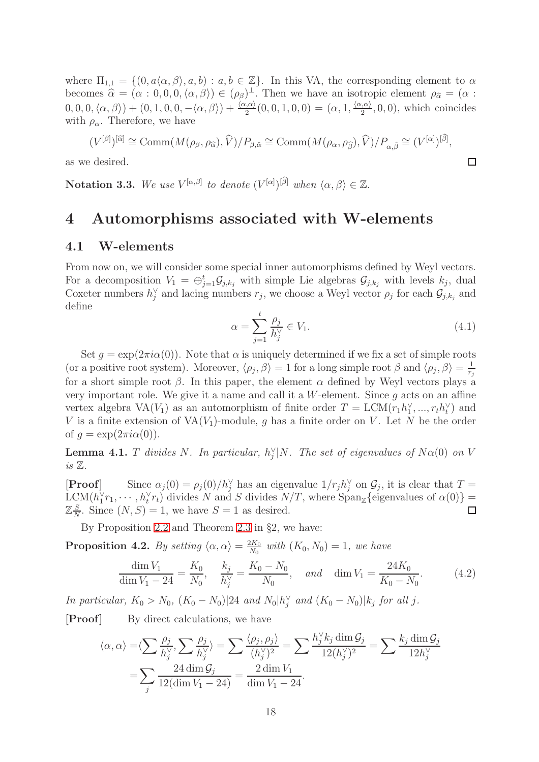where  $\Pi_{1,1} = \{(0, a\langle \alpha, \beta \rangle, a, b): a, b \in \mathbb{Z}\}\.$  In this VA, the corresponding element to  $\alpha$ becomes  $\hat{\alpha} = (\alpha : 0, 0, 0, \langle \alpha, \beta \rangle) \in (\rho_{\beta})^{\perp}$ . Then we have an isotropic element  $\rho_{\hat{\alpha}} = (\alpha : 0, 0, 0, \langle \alpha, \beta \rangle) \in (\alpha \beta) \setminus (\alpha \beta) \setminus (\alpha \beta) \setminus (\alpha \beta) \setminus (\alpha \beta) \setminus (\alpha \beta) \setminus (\alpha \beta) \setminus (\alpha \beta) \setminus (\alpha \beta) \setminus (\alpha \beta) \setminus (\alpha \beta) \setminus (\alpha \beta) \setminus (\alpha \beta$  $(0,0,0,\langle \alpha,\beta \rangle) + (0,1,0,0,-\langle \alpha,\beta \rangle) + \frac{\langle \alpha,\alpha \rangle}{2}(0,0,1,0,0) = (\alpha,1,\frac{\langle \alpha,\alpha \rangle}{2},0,0)$ , which coincides with  $\rho_{\alpha}$ . Therefore, we have

$$
(V^{[\beta]})^{[\widehat{\alpha}]} \cong \text{Comm}(M(\rho_{\beta}, \rho_{\widehat{\alpha}}), \widehat{V})/P_{\beta, \widehat{\alpha}} \cong \text{Comm}(M(\rho_{\alpha}, \rho_{\widehat{\beta}}), \widehat{V})/P_{\alpha, \widehat{\beta}} \cong (V^{[\alpha]})^{[\widehat{\beta}]},
$$

as we desired.

**Notation 3.3.** We use  $V^{[\alpha,\beta]}$  to denote  $(V^{[\alpha]})^{[\widehat{\beta}]}$  when  $\langle \alpha, \beta \rangle \in \mathbb{Z}$ .

# <span id="page-17-2"></span>4 Automorphisms associated with W-elements

## 4.1 W-elements

From now on, we will consider some special inner automorphisms defined by Weyl vectors. For a decomposition  $V_1 = \bigoplus_{j=1}^t \mathcal{G}_{j,k_j}$  with simple Lie algebras  $\mathcal{G}_{j,k_j}$  with levels  $k_j$ , dual Coxeter numbers  $h_j^{\vee}$  and lacing numbers  $r_j$ , we choose a Weyl vector  $\rho_j$  for each  $\mathcal{G}_{j,k_j}$  and define

<span id="page-17-1"></span>
$$
\alpha = \sum_{j=1}^{t} \frac{\rho_j}{h_j^{\vee}} \in V_1.
$$
\n(4.1)

 $\Box$ 

Set  $g = \exp(2\pi i\alpha(0))$ . Note that  $\alpha$  is uniquely determined if we fix a set of simple roots (or a positive root system). Moreover,  $\langle \rho_j, \beta \rangle = 1$  for a long simple root  $\beta$  and  $\langle \rho_j, \beta \rangle = \frac{1}{r_j}$  $r_j$ for a short simple root  $\beta$ . In this paper, the element  $\alpha$  defined by Weyl vectors plays a very important role. We give it a name and call it a  $W$ -element. Since q acts on an affine vertex algebra  $VA(V_1)$  as an automorphism of finite order  $T = LCM(r_1h_1^{\vee},...,r_th_t^{\vee})$  and V is a finite extension of  $VA(V_1)$ -module, g has a finite order on V. Let N be the order of  $g = \exp(2\pi i \alpha(0)).$ 

**Lemma 4.1.** T divides N. In particular,  $h_j^{\vee}|N$ . The set of eigenvalues of  $N\alpha(0)$  on V *is* Z*.*

[**Proof**] Since  $\alpha_j(0) = \rho_j(0)/h_j^{\vee}$  has an eigenvalue  $1/r_jh_j^{\vee}$  on  $\mathcal{G}_j$ , it is clear that  $T =$  $LCM(h_1^{\vee}r_1, \cdots, h_t^{\vee}r_t)$  divides N and S divides  $N/T$ , where  $Span_{\mathbb{Z}}\{$  eigenvalues of  $\alpha(0)\}$  =  $\mathbb{Z} \frac{S}{\Lambda}$  $\frac{S}{N}$ . Since  $(N, S) = 1$ , we have  $S = 1$  as desired.

By Proposition [2.2](#page-3-1) and Theorem [2.3](#page-3-2) in §2, we have:

<span id="page-17-0"></span>**Proposition 4.2.** *By setting*  $\langle \alpha, \alpha \rangle = \frac{2K_0}{N_0}$  $\frac{dK_0}{N_0}$  with  $(K_0, N_0) = 1$ , we have

$$
\frac{\dim V_1}{\dim V_1 - 24} = \frac{K_0}{N_0}, \quad \frac{k_j}{h_j^{\vee}} = \frac{K_0 - N_0}{N_0}, \quad and \quad \dim V_1 = \frac{24K_0}{K_0 - N_0}.
$$
 (4.2)

*In particular,*  $K_0 > N_0$ ,  $(K_0 - N_0)$  | 24 *and*  $N_0 | h_j^{\vee}$  *and*  $(K_0 - N_0) | k_j$  *for all j.* 

**[Proof]** By direct calculations, we have

$$
\langle \alpha, \alpha \rangle = \langle \sum \frac{\rho_j}{h_j^{\vee}}, \sum \frac{\rho_j}{h_j^{\vee}} \rangle = \sum \frac{\langle \rho_j, \rho_j \rangle}{(h_j^{\vee})^2} = \sum \frac{h_j^{\vee} k_j \dim \mathcal{G}_j}{12(h_j^{\vee})^2} = \sum \frac{k_j \dim \mathcal{G}_j}{12h_j^{\vee}}
$$

$$
= \sum_j \frac{24 \dim \mathcal{G}_j}{12(\dim V_1 - 24)} = \frac{2 \dim V_1}{\dim V_1 - 24}.
$$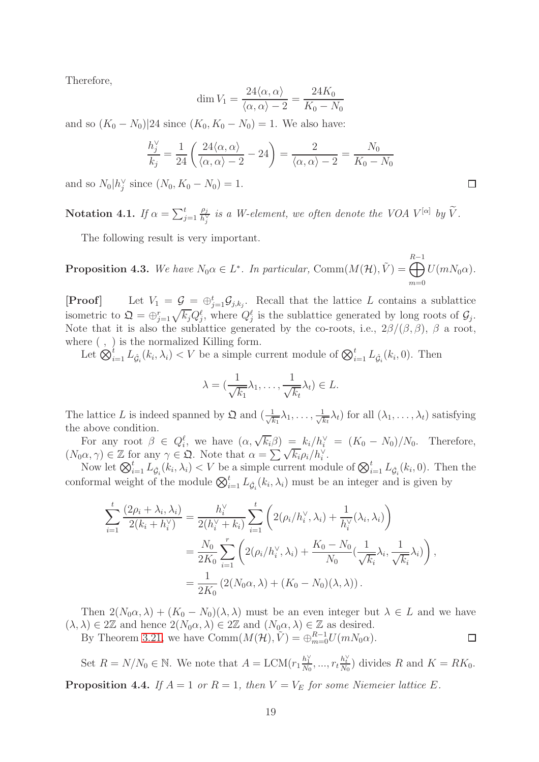Therefore,

$$
\dim V_1 = \frac{24\langle \alpha, \alpha \rangle}{\langle \alpha, \alpha \rangle - 2} = \frac{24K_0}{K_0 - N_0}
$$

and so  $(K_0 - N_0)|24$  since  $(K_0, K_0 - N_0) = 1$ . We also have:

$$
\frac{h_j^{\vee}}{k_j} = \frac{1}{24} \left( \frac{24 \langle \alpha, \alpha \rangle}{\langle \alpha, \alpha \rangle - 2} - 24 \right) = \frac{2}{\langle \alpha, \alpha \rangle - 2} = \frac{N_0}{K_0 - N_0}
$$

and so  $N_0|h_j^{\vee}$  since  $(N_0, K_0 - N_0) = 1$ .

Notation 4.1. *If*  $\alpha = \sum_{j=1}^t$  $\rho_j$  $\frac{\rho_j}{h_j^{\vee}}$  is a W-element, we often denote the VOA  $V^{[\alpha]}$  by  $\tilde{V}$ .

The following result is very important.

<span id="page-18-1"></span>**Proposition 4.3.** We have  $N_0 \alpha \in L^*$ . In particular, Comm $(M(\mathcal{H}), \tilde{V}) = \bigoplus^{R-1}$  $m=0$  $U(mN_0\alpha)$ .

**[Proof]** Let  $V_1 = \mathcal{G}_{\cdot} = \bigoplus_{j=1}^t \mathcal{G}_{j,k_j}$ . Recall that the lattice L contains a sublattice isometric to  $\mathfrak{Q} = \bigoplus_{j=1}^r \sqrt{k_j} Q_j^{\ell}$ , where  $Q_j^{\ell}$  is the sublattice generated by long roots of  $\mathcal{G}_j$ . Note that it is also the sublattice generated by the co-roots, i.e.,  $2\beta/(\beta, \beta)$ ,  $\beta$  a root, where  $( , )$  is the normalized Killing form.

Let  $\bigotimes_{i=1}^t L_{\hat{G}_i}(k_i,\lambda_i) < V$  be a simple current module of  $\bigotimes_{i=1}^t L_{\hat{G}_i}(k_i,0)$ . Then

$$
\lambda = (\frac{1}{\sqrt{k_1}}\lambda_1, \dots, \frac{1}{\sqrt{k_t}}\lambda_t) \in L.
$$

The lattice L is indeed spanned by  $\mathfrak{Q}$  and  $\left(\frac{1}{\sqrt{l}}\right)$  $\frac{1}{k_1}\lambda_1,\ldots,\frac{1}{\sqrt{k}}$  $\frac{1}{k_t}\lambda_t$ ) for all  $(\lambda_1, \ldots, \lambda_t)$  satisfying the above condition.

For any root  $\beta \in Q_i^{\ell}$ , we have  $(\alpha, \sqrt{k_i}\beta) = k_i/h_i^{\vee} = (K_0 - N_0)/N_0$ . Therefore,  $(N_0\alpha, \gamma) \in \mathbb{Z}$  for any  $\gamma \in \mathfrak{Q}$ . Note that  $\alpha = \sum_{i} \sqrt{k_i \rho_i}/h_i^{\vee}$ .

Now let  $\bigotimes_{i=1}^t L_{\hat{\mathcal{G}}_i}(k_i,\lambda_i) < V$  be a simple current module of  $\bigotimes_{i=1}^t L_{\hat{\mathcal{G}}_i}(k_i,0)$ . Then the conformal weight of the module  $\bigotimes_{i=1}^t L_{\hat{G}_i}(k_i, \lambda_i)$  must be an integer and is given by

$$
\sum_{i=1}^{t} \frac{(2\rho_i + \lambda_i, \lambda_i)}{2(k_i + h_i^{\vee})} = \frac{h_i^{\vee}}{2(h_i^{\vee} + k_i)} \sum_{i=1}^{t} \left( 2(\rho_i / h_i^{\vee}, \lambda_i) + \frac{1}{h_i^{\vee}} (\lambda_i, \lambda_i) \right)
$$
  
= 
$$
\frac{N_0}{2K_0} \sum_{i=1}^{r} \left( 2(\rho_i / h_i^{\vee}, \lambda_i) + \frac{K_0 - N_0}{N_0} (\frac{1}{\sqrt{k_i}} \lambda_i, \frac{1}{\sqrt{k_i}} \lambda_i) \right),
$$
  
= 
$$
\frac{1}{2K_0} \left( 2(N_0 \alpha, \lambda) + (K_0 - N_0)(\lambda, \lambda) \right).
$$

Then  $2(N_0\alpha, \lambda) + (K_0 - N_0)(\lambda, \lambda)$  must be an even integer but  $\lambda \in L$  and we have  $(\lambda, \lambda) \in 2\mathbb{Z}$  and hence  $2(N_0\alpha, \lambda) \in 2\mathbb{Z}$  and  $(N_0\alpha, \lambda) \in \mathbb{Z}$  as desired.

By Theorem [3.21,](#page-13-0) we have  $\text{Comm}(M(\mathcal{H}), \tilde{V}) = \bigoplus_{m=0}^{R-1} U(mN_0\alpha)$ .

Set  $R = N/N_0 \in \mathbb{N}$ . We note that  $A = \text{LCM}(r_1 \frac{h_1^{\vee}}{N_0}, ..., r_t \frac{h_t^{\vee}}{N_0})$  divides  $R$  and  $K = RK_0$ .

<span id="page-18-0"></span>**Proposition 4.4.** *If*  $A = 1$  *or*  $R = 1$ *, then*  $V = V_E$  *for some Niemeier lattice E.* 

 $\Box$ 

 $\Box$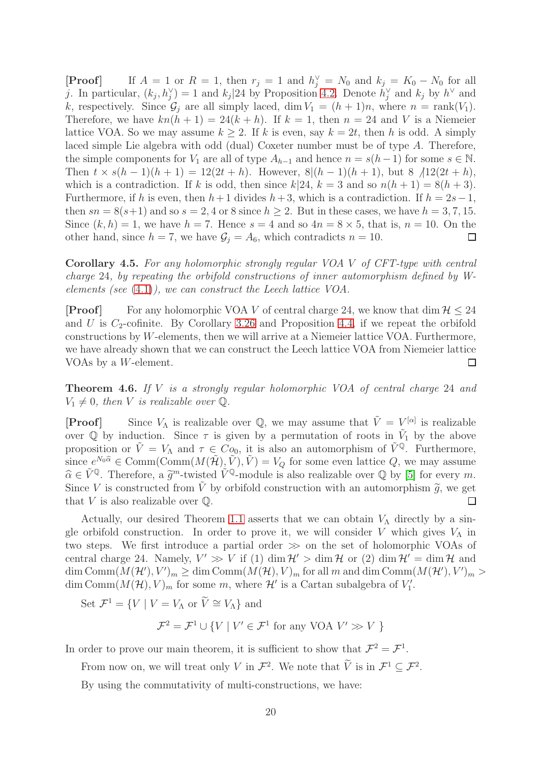**[Proof]** If  $A = 1$  or  $R = 1$ , then  $r_j = 1$  and  $h_j^{\vee} = N_0$  and  $k_j = K_0 - N_0$  for all j. In particular,  $(k_j, h_j^{\vee}) = 1$  and  $k_j$  |24 by Proposition [4.2.](#page-17-0) Denote  $h_j^{\vee}$  and  $k_j$  by  $h^{\vee}$  and k, respectively. Since  $\mathcal{G}_i$  are all simply laced, dim  $V_1 = (h + 1)n$ , where  $n = \text{rank}(V_1)$ . Therefore, we have  $kn(h + 1) = 24(k + h)$ . If  $k = 1$ , then  $n = 24$  and V is a Niemeier lattice VOA. So we may assume  $k \geq 2$ . If k is even, say  $k = 2t$ , then h is odd. A simply laced simple Lie algebra with odd (dual) Coxeter number must be of type A. Therefore, the simple components for  $V_1$  are all of type  $A_{h-1}$  and hence  $n = s(h-1)$  for some  $s \in \mathbb{N}$ . Then  $t \times s(h-1)(h+1) = 12(2t+h)$ . However,  $8|(h-1)(h+1)$ , but  $8 \nmid 12(2t+h)$ , which is a contradiction. If k is odd, then since  $k|24$ ,  $k = 3$  and so  $n(h + 1) = 8(h + 3)$ . Furthermore, if h is even, then  $h+1$  divides  $h+3$ , which is a contradiction. If  $h = 2s-1$ , then  $sn = 8(s+1)$  and so  $s = 2, 4$  or 8 since  $h \geq 2$ . But in these cases, we have  $h = 3, 7, 15$ . Since  $(k, h) = 1$ , we have  $h = 7$ . Hence  $s = 4$  and so  $4n = 8 \times 5$ , that is,  $n = 10$ . On the other hand, since  $h = 7$ , we have  $G_i = A_6$ , which contradicts  $n = 10$ . other hand, since  $h = 7$ , we have  $\mathcal{G}_j = A_6$ , which contradicts  $n = 10$ .

<span id="page-19-0"></span>Corollary 4.5. *For any holomorphic strongly regular VOA* V *of CFT-type with central charge* 24*, by repeating the orbifold constructions of inner automorphism defined by Welements (see* [\(4.1\)](#page-17-1)*), we can construct the Leech lattice VOA.*

**[Proof]** For any holomorphic VOA V of central charge 24, we know that dim  $\mathcal{H} \leq 24$ and U is  $C_2$ -cofinite. By Corollary [3.26](#page-15-0) and Proposition [4.4,](#page-18-0) if we repeat the orbifold constructions by W-elements, then we will arrive at a Niemeier lattice VOA. Furthermore, we have already shown that we can construct the Leech lattice VOA from Niemeier lattice VOAs by a W-element. П

Theorem 4.6. *If* V *is a strongly regular holomorphic VOA of central charge* 24 *and*  $V_1 \neq 0$ , then *V* is realizable over  $\mathbb{Q}$ .

**[Proof]** Since  $V_{\Lambda}$  is realizable over Q, we may assume that  $\tilde{V} = V^{[\alpha]}$  is realizable over  $\overline{Q}$  by induction. Since  $\tau$  is given by a permutation of roots in  $\tilde{V}_1$  by the above proposition or  $\tilde{V} = V_{\Lambda}$  and  $\tau \in Co_0$ , it is also an automorphism of  $\tilde{V}^{\mathbb{Q}}$ . Furthermore, since  $e^{N_0\hat{\alpha}} \in \text{Comm}(\text{Comm}(M(\tilde{\mathcal{H}}), \tilde{V}), \tilde{V}) = V_Q$  for some even lattice Q, we may assume  $\widehat{\alpha} \in \widetilde{V}^{\mathbb{Q}}$ . Therefore, a  $\widetilde{g}^m$ -twisted  $\widetilde{V}^{\mathbb{Q}}$ -module is also realizable over  $\mathbb{Q}$  by [\[5\]](#page-39-15) for every m. Since V is constructed from  $\tilde{V}$  by orbifold construction with an automorphism  $\tilde{g}$ , we get that V is also realizable over  $\mathbb{O}$ . that  $V$  is also realizable over  $\mathbb{Q}$ .

Actually, our desired Theorem [1.1](#page-1-1) asserts that we can obtain  $V_{\Lambda}$  directly by a single orbifold construction. In order to prove it, we will consider V which gives  $V_{\Lambda}$  in two steps. We first introduce a partial order  $\gg$  on the set of holomorphic VOAs of central charge 24. Namely,  $V' \gg V$  if (1) dim  $\mathcal{H}' >$  dim  $\mathcal{H}$  or (2) dim  $\mathcal{H}' =$  dim  $\mathcal{H}$  and  $\dim \text{Comm}(M(\mathcal{H}'), V')_m \geq \dim \text{Comm}(M(\mathcal{H}), V)_m$  for all m and dim  $\text{Comm}(M(\mathcal{H}'), V')_m >$ dim Comm $(M(\mathcal{H}), V)_m$  for some m, where  $\mathcal{H}'$  is a Cartan subalgebra of  $V'_1$ .

Set  $\mathcal{F}^1 = \{ V \mid V = V_\Lambda \text{ or } \overline{V} \cong V_\Lambda \}$  and

 $\mathcal{F}^2 = \mathcal{F}^1 \cup \{ V \mid V' \in \mathcal{F}^1 \text{ for any VOA } V' \gg V \}$ 

In order to prove our main theorem, it is sufficient to show that  $\mathcal{F}^2 = \mathcal{F}^1$ .

From now on, we will treat only V in  $\mathcal{F}^2$ . We note that  $\tilde{V}$  is in  $\mathcal{F}^1 \subseteq \mathcal{F}^2$ .

By using the commutativity of multi-constructions, we have: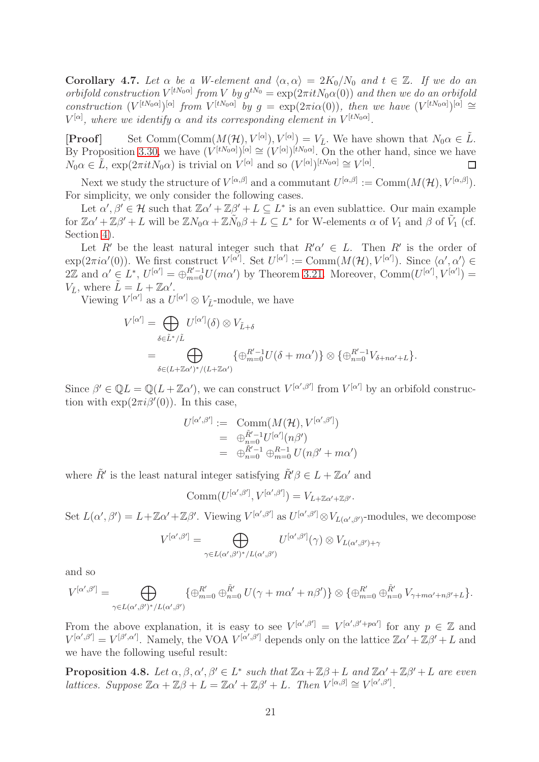Corollary 4.7. Let  $\alpha$  be a W-element and  $\langle \alpha, \alpha \rangle = 2K_0/N_0$  and  $t \in \mathbb{Z}$ . If we do an *orbifold construction*  $V^{[tN_0\alpha]}$  from V by  $g^{tN_0} = \exp(2\pi itN_0\alpha(0))$  and then we do an orbifold *construction*  $(V^{[tN_0\alpha]})^{[\alpha]}$  *from*  $V^{[tN_0\alpha]}$  *by*  $g = \exp(2\pi i\alpha(0))$ *, then we have*  $(V^{[tN_0\alpha]})^{[\alpha]} \cong$  $V^{[\alpha]}$ , where we identify  $\alpha$  and its corresponding element in  $V^{[tN_0\alpha]}$ .

**[Proof]** Set Comm(Comm( $M(\mathcal{H}), V^{[\alpha]}, V^{[\alpha]}$ ),  $V^{[\alpha]}$  We have shown that  $N_0 \alpha \in \tilde{L}$ . By Proposition [3.30,](#page-16-0) we have  $(V^{[tN_0\alpha]})^{[\alpha]} \cong (V^{[\alpha]})^{[tN_0\alpha]}$ . On the other hand, since we have  $N_0\alpha \in \tilde{L}$ ,  $\exp(2\pi itN_0\alpha)$  is trivial on  $\tilde{V}^{[\alpha]}$  and so  $(V^{[\alpha]})^{[tN_0\alpha]} \cong V^{[\alpha]}$ . П

Next we study the structure of  $V^{[\alpha,\beta]}$  and a commutant  $U^{[\alpha,\beta]} := \text{Comm}(M(\mathcal{H}), V^{[\alpha,\beta]}).$ For simplicity, we only consider the following cases.

Let  $\alpha', \beta' \in \mathcal{H}$  such that  $\mathbb{Z}\alpha' + \mathbb{Z}\beta' + L \subseteq L^*$  is an even sublattice. Our main example for  $\mathbb{Z}\alpha' + \mathbb{Z}\beta' + L$  will be  $\mathbb{Z}N_0\alpha + \mathbb{Z}\tilde{N}_0\beta + L \subseteq L^*$  for W-elements  $\alpha$  of  $V_1$  and  $\beta$  of  $\tilde{V}_1$  (cf. Section [4\)](#page-17-2).

Let R' be the least natural integer such that  $R'\alpha' \in L$ . Then R' is the order of  $\exp(2\pi i\alpha'(0))$ . We first construct  $V^{[\alpha']}$ . Set  $U^{[\alpha']} := \text{Comm}(M(\mathcal{H}), V^{[\alpha']})$ . Since  $\langle \alpha', \alpha' \rangle \in$  $2\mathbb{Z}$  and  $\alpha' \in L^*$ ,  $U^{[\alpha']} = \bigoplus_{m=0}^{R'-1} U(m\alpha')$  by Theorem [3.21.](#page-13-0) Moreover, Comm $(U^{[\alpha']}, V^{[\alpha']} ) =$  $V_{\tilde{L}}$ , where  $\tilde{L} = L + \mathbb{Z}\alpha'$ .

Viewing  $V^{[\alpha']}$  as a  $U^{[\alpha']} \otimes V_{\tilde{L}}$ -module, we have

$$
V^{[\alpha']} = \bigoplus_{\delta \in \tilde{L}^*/\tilde{L}} U^{[\alpha']}(\delta) \otimes V_{\tilde{L}+\delta}
$$
  
= 
$$
\bigoplus_{\delta \in (L+\mathbb{Z}\alpha')^*/(L+\mathbb{Z}\alpha')} \{\oplus_{m=0}^{R'-1} U(\delta + m\alpha')\} \otimes \{\oplus_{n=0}^{R'-1} V_{\delta+n\alpha'+L}\}.
$$

Since  $\beta' \in \mathbb{Q}L = \mathbb{Q}(L + \mathbb{Z}\alpha')$ , we can construct  $V^{[\alpha',\beta']}$  from  $V^{[\alpha']}$  by an orbifold construction with  $\exp(2\pi i \beta'(0))$ . In this case,

$$
U^{[\alpha',\beta']} := \text{Comm}(M(\mathcal{H}), V^{[\alpha',\beta']})
$$
  
= 
$$
\bigoplus_{n=0}^{\tilde{R}'-1} U^{[\alpha']}(n\beta')
$$
  
= 
$$
\bigoplus_{n=0}^{\tilde{R}'-1} \bigoplus_{m=0}^{R-1} U(n\beta' + m\alpha')
$$

where  $\tilde{R}'$  is the least natural integer satisfying  $\tilde{R}'\beta \in L + \mathbb{Z}\alpha'$  and

$$
Comm(U^{[\alpha',\beta']}, V^{[\alpha',\beta']}) = V_{L+\mathbb{Z}\alpha'+\mathbb{Z}\beta'}.
$$

Set  $L(\alpha', \beta') = L + \mathbb{Z}\alpha' + \mathbb{Z}\beta'$ . Viewing  $V^{[\alpha', \beta']}$  as  $U^{[\alpha', \beta']} \otimes V_{L(\alpha', \beta')}$ -modules, we decompose

$$
V^{[\alpha',\beta']} = \bigoplus_{\gamma \in L(\alpha',\beta')^*/L(\alpha',\beta')} U^{[\alpha',\beta']}(\gamma) \otimes V_{L(\alpha',\beta')+\gamma}
$$

and so

$$
V^{[\alpha',\beta']} = \bigoplus_{\gamma \in L(\alpha',\beta')^* / L(\alpha',\beta')} \{ \bigoplus_{m=0}^{R'} \bigoplus_{n=0}^{\tilde{R}'} U(\gamma + m\alpha' + n\beta') \} \otimes \{ \bigoplus_{m=0}^{R'} \bigoplus_{n=0}^{\tilde{R}'} V_{\gamma + m\alpha' + n\beta' + L} \}.
$$

From the above explanation, it is easy to see  $V^{[\alpha',\beta']} = V^{[\alpha',\beta'+p\alpha']}$  for any  $p \in \mathbb{Z}$  and  $V^{[\alpha',\beta']} = V^{[\beta',\alpha']}$ . Namely, the VOA  $V^{[\alpha',\beta']}$  depends only on the lattice  $\mathbb{Z}\alpha' + \mathbb{Z}\beta' + L$  and we have the following useful result:

<span id="page-20-0"></span>**Proposition 4.8.** Let  $\alpha, \beta, \alpha', \beta' \in L^*$  such that  $\mathbb{Z}\alpha + \mathbb{Z}\beta + L$  and  $\mathbb{Z}\alpha' + \mathbb{Z}\beta' + L$  are even *lattices.* Suppose  $\mathbb{Z}\alpha + \mathbb{Z}\beta + L = \mathbb{Z}\alpha' + \mathbb{Z}\beta' + L$ . Then  $V^{[\alpha,\beta]} \cong V^{[\alpha',\beta']}$ .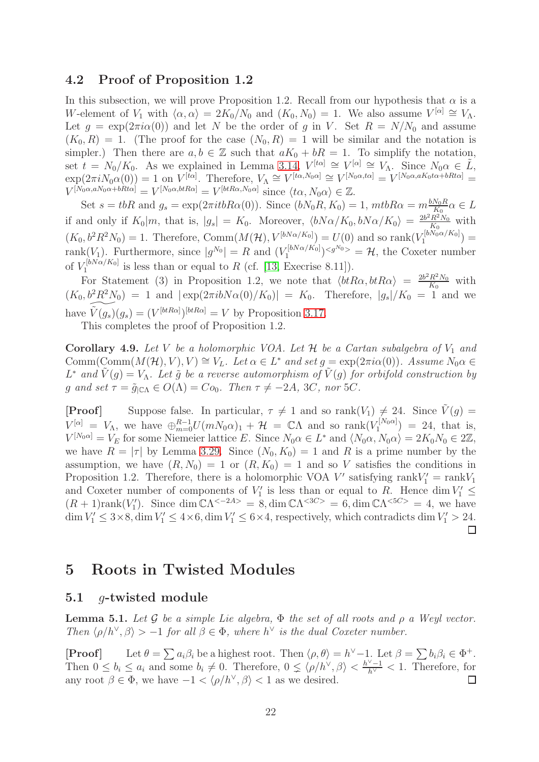# 4.2 Proof of Proposition 1.2

In this subsection, we will prove Proposition 1.2. Recall from our hypothesis that  $\alpha$  is a W-element of  $V_1$  with  $\langle \alpha, \alpha \rangle = 2K_0/N_0$  and  $(K_0, N_0) = 1$ . We also assume  $V^{[\alpha]} \cong V_\Lambda$ . Let  $g = \exp(2\pi i \alpha(0))$  and let N be the order of g in V. Set  $R = N/N_0$  and assume  $(K_0, R) = 1$ . (The proof for the case  $(N_0, R) = 1$  will be similar and the notation is simpler.) Then there are  $a, b \in \mathbb{Z}$  such that  $aK_0 + bR = 1$ . To simplify the notation, set  $t = N_0/K_0$ . As we explained in Lemma [3.14,](#page-9-3)  $V^{[t\alpha]} \cong V^{[\alpha]} \cong V_{\Lambda}$ . Since  $N_0\alpha \in \tilde{L}$ ,  $\exp(2\pi i N_0 \alpha(0)) = 1$  on  $V^{[t\alpha]}$ . Therefore,  $V_\Lambda \cong V^{[t\alpha, N_0\alpha]} \cong V^{[N_0\alpha, t\alpha]} = V^{[N_0\alpha, aK_0t\alpha + bRt\alpha]} =$  $V^{[N_0\alpha,aN_0\alpha+bRt\alpha]} = V^{[N_0\alpha,btR\alpha]} = V^{[btR\alpha,N_0\alpha]}$  since  $\langle t\alpha, N_0\alpha \rangle \in \mathbb{Z}$ .

Set  $s = tbR$  and  $g_s = \exp(2\pi itbR\alpha(0))$ . Since  $(bN_0R, K_0) = 1$ ,  $mtbR\alpha = m\frac{bN_0R}{K_0}\alpha \in L$ if and only if  $K_0|m$ , that is,  $|g_s| = K_0$ . Moreover,  $\langle bN\alpha/K_0, bN\alpha/K_0 \rangle = \frac{2b^2R^2N_0}{K_0}$  $\frac{R^2 N_0}{K_0}$  with  $(K_0, b^2 R^2 N_0) = 1$ . Therefore, Comm $(M(\mathcal{H}), V^{[bN\alpha/K_0]}) = U(0)$  and so rank $(V_1^{[bN_0\alpha/K_0]})$  $i_1^{\lfloor 01\sqrt{0.01/\log(10)} \rfloor} =$ rank $(V_1)$ . Furthermore, since  $|g^{N_0}| = R$  and  $(V_1^{[bN\alpha/K_0]}$  $\binom{[bN\alpha/K_0]}{1}$   $\leq$   $g^{N_0}$   $>$   $=$   $\mathcal{H}$ , the Coxeter number of  $V_1^{[bN\alpha/K_0]}$  $I_1^{\text{poly}\alpha/\Lambda_0}$  is less than or equal to R (cf. [\[13,](#page-39-19) Execrise 8.11]).

For Statement (3) in Proposition 1.2, we note that  $\langle b\hat{R}\alpha, \hat{b}\hat{R}\alpha \rangle = \frac{2b^2R^2N_0}{K_0}$  $\frac{R^2 N_0}{K_0}$  with  $(K_0, b^2 R^2 N_0) = 1$  and  $|\exp(2\pi i b N \alpha(0)/K_0)| = K_0$ . Therefore,  $|g_s|/K_0 = 1$  and we have  $\widetilde{V}(g_s)(g_s) = (V^{[btRa]})^{[btRa]} = V$  by Proposition [3.17.](#page-10-1)

This completes the proof of Proposition 1.2.

**Corollary 4.9.** Let V be a holomorphic VOA. Let  $H$  be a Cartan subalgebra of  $V_1$  and  $\text{Comm}(\text{Comm}(M(\mathcal{H}), V), V) \cong V_L$ *. Let*  $\alpha \in L^*$  *and set*  $g = \exp(2\pi i \alpha(0))$ *. Assume*  $N_0 \alpha \in$  $L^*$  and  $\tilde{V}(g) = V_\Lambda$ . Let  $\tilde{g}$  be a reverse automorphism of  $\tilde{V}(g)$  for orbifold construction by g and set  $\tau = \tilde{g}_{\vert\mathbb{C}\Lambda} \in O(\Lambda) = Co_0$ . Then  $\tau \neq -2A$ , 3C, nor 5C.

**[Proof]** Suppose false. In particular,  $\tau \neq 1$  and so rank $(V_1) \neq 24$ . Since  $\tilde{V}(g)$  =  $V^{[\alpha]} = V_{\Lambda}$ , we have  $\bigoplus_{m=0}^{R-1} U(mN_0\alpha)_1 + \mathcal{H} = \mathbb{C}\Lambda$  and so rank $(V^{[N_0\alpha]}_1)$  $1^{r_1^{[N_0\alpha]}} = 24$ , that is,  $V^{[N_0\alpha]} = V_E$  for some Niemeier lattice E. Since  $N_0\alpha \in L^*$  and  $\langle N_0\alpha, N_0\alpha \rangle = 2K_0N_0 \in 2\mathbb{Z}$ , we have  $R = |\tau|$  by Lemma [3.29.](#page-15-1) Since  $(N_0, K_0) = 1$  and R is a prime number by the assumption, we have  $(R, N_0) = 1$  or  $(R, K_0) = 1$  and so V satisfies the conditions in Proposition 1.2. Therefore, there is a holomorphic VOA  $V'$  satisfying  $\text{rank}V_1' = \text{rank}V_1$ and Coxeter number of components of  $V'_1$  is less than or equal to R. Hence dim  $V'_1 \leq$  $(R + 1)\text{rank}(V'_1)$ . Since  $\dim \mathbb{C}\Lambda^{< -2A>} = 8$ ,  $\dim \mathbb{C}\Lambda^{< 3C>} = 6$ ,  $\dim \mathbb{C}\Lambda^{< 5C>} = 4$ , we have dim  $V'_1 \leq 3 \times 8$ , dim  $V'_1 \leq 4 \times 6$ , dim  $V'_1 \leq 6 \times 4$ , respectively, which contradicts dim  $V'_1 > 24$ .  $\Box$ 

# 5 Roots in Twisted Modules

# 5.1 g-twisted module

<span id="page-21-0"></span>Lemma 5.1. *Let* G *be a simple Lie algebra,* Φ *the set of all roots and* ρ *a Weyl vector. Then*  $\langle \rho/h^\vee, \beta \rangle > -1$  *for all*  $\beta \in \Phi$ *, where*  $h^\vee$  *is the dual Coxeter number.* 

[**Proof**] Let  $\theta = \sum a_i \beta_i$  be a highest root. Then  $\langle \rho, \theta \rangle = h^{\vee} - 1$ . Let  $\beta = \sum b_i \beta_i \in \Phi^+$ . Then  $0 \leq b_i \leq a_i$  and some  $b_i \neq 0$ . Therefore,  $0 \leq \langle \rho/h^{\vee}, \beta \rangle < \frac{h^{\vee}-1}{h^{\vee}} < 1$ . Therefore, for any root  $\beta \in \Phi$ , we have  $-1 < \langle \rho/h^{\vee}, \beta \rangle < 1$  as we desired. ⊔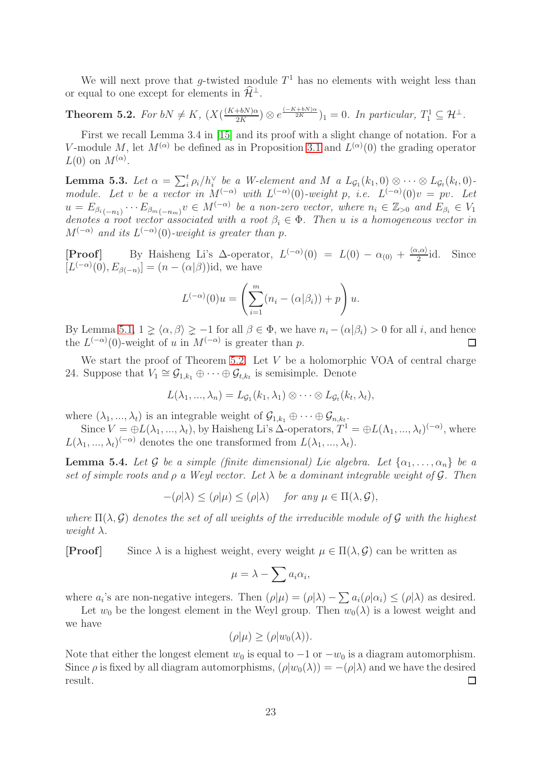We will next prove that g-twisted module  $T<sup>1</sup>$  has no elements with weight less than or equal to one except for elements in  $\hat{\mathcal{H}}^{\perp}$ .

<span id="page-22-0"></span>**Theorem 5.2.** *For*  $bN \neq K$ ,  $(X(\frac{(K+bN)\alpha}{2K})$  $\frac{(-k+hN)\alpha}{2K}$   $\frac{2}{K}$   $\frac{(-K+hN)\alpha}{2K}$   $\bigg\}$   $1 = 0$ *. In particular,*  $T_1^1 \subseteq \mathcal{H}^{\perp}$ *.* 

First we recall Lemma 3.4 in [\[15\]](#page-39-20) and its proof with a slight change of notation. For a V-module M, let  $M^{(\alpha)}$  be defined as in Proposition [3.1](#page-4-0) and  $L^{(\alpha)}(0)$  the grading operator  $L(0)$  on  $M^{(\alpha)}$ .

**Lemma 5.3.** Let  $\alpha = \sum_{i}^{t} \rho_i / h_i^{\vee}$  be a W-element and M a  $L_{\mathcal{G}_1}(k_1, 0) \otimes \cdots \otimes L_{\mathcal{G}_t}(k_t, 0)$ *module. Let* v *be a vector in*  $M^{(-\alpha)}$  *with*  $L^{(-\alpha)}(0)$ -weight p, *i.e.*  $L^{(-\alpha)}(0)v = pv$ . Let  $u = E_{\beta_{i}(-n_{1})} \cdots E_{\beta_{m}(-n_{m})} v \in M^{(-\alpha)}$  be a non-zero vector, where  $n_{i} \in \mathbb{Z}_{>0}$  and  $E_{\beta_{i}} \in V_{1}$ *denotes a root vector associated with a root*  $\beta_i \in \Phi$ . Then *u is a homogeneous vector in*  $M^{(-\alpha)}$  and its  $L^{(-\alpha)}(0)$ -weight is greater than p.

[**Proof**] By Haisheng Li's  $\Delta$ -operator,  $L^{(-\alpha)}(0) = L(0) - \alpha_{(0)} + \frac{\langle \alpha, \alpha \rangle}{2}$ Since  $[L^{(-\alpha)}(0), E_{\beta(-n)}] = (n - (\alpha|\beta))$ id, we have

$$
L^{(-\alpha)}(0)u = \left(\sum_{i=1}^m (n_i - (\alpha|\beta_i)) + p\right)u.
$$

By Lemma [5.1,](#page-21-0)  $1 \ge \langle \alpha, \beta \rangle \ge -1$  for all  $\beta \in \Phi$ , we have  $n_i - (\alpha|\beta_i) > 0$  for all *i*, and hence the  $L^{(-\alpha)}(0)$ -weight of *u* in  $M^{(-\alpha)}$  is greater than *p*. the  $L^{(-\alpha)}(0)$ -weight of u in  $M^{(-\alpha)}$  is greater than p.

We start the proof of Theorem [5.2.](#page-22-0) Let  $V$  be a holomorphic VOA of central charge 24. Suppose that  $V_1 \cong \mathcal{G}_{1,k_1} \oplus \cdots \oplus \mathcal{G}_{t,k_t}$  is semisimple. Denote

$$
L(\lambda_1, ..., \lambda_n) = L_{\mathcal{G}_1}(k_1, \lambda_1) \otimes \cdots \otimes L_{\mathcal{G}_t}(k_t, \lambda_t),
$$

where  $(\lambda_1, ..., \lambda_t)$  is an integrable weight of  $\mathcal{G}_{1,k_1} \oplus \cdots \oplus \mathcal{G}_{n,k_t}$ .

Since  $V = \bigoplus L(\lambda_1, ..., \lambda_t)$ , by Haisheng Li's  $\Delta$ -operators,  $T^1 = \bigoplus L(\Lambda_1, ..., \lambda_t)^{(-\alpha)}$ , where  $L(\lambda_1, ..., \lambda_t)^{(-\alpha)}$  denotes the one transformed from  $L(\lambda_1, ..., \lambda_t)$ .

<span id="page-22-1"></span>**Lemma 5.4.** Let G be a simple (finite dimensional) Lie algebra. Let  $\{\alpha_1, \ldots, \alpha_n\}$  be a *set of simple roots and* ρ *a Weyl vector. Let* λ *be a dominant integrable weight of* G*. Then*

$$
-(\rho|\lambda) \le (\rho|\mu) \le (\rho|\lambda) \quad \text{for any } \mu \in \Pi(\lambda, \mathcal{G}),
$$

*where*  $\Pi(\lambda, \mathcal{G})$  *denotes the set of all weights of the irreducible module of*  $\mathcal{G}$  *with the highest weight*  $\lambda$ *.* 

**[Proof]** Since  $\lambda$  is a highest weight, every weight  $\mu \in \Pi(\lambda, \mathcal{G})$  can be written as

$$
\mu = \lambda - \sum a_i \alpha_i,
$$

where  $a_i$ 's are non-negative integers. Then  $(\rho|\mu) = (\rho|\lambda) - \sum a_i(\rho|\alpha_i) \leq (\rho|\lambda)$  as desired.

Let  $w_0$  be the longest element in the Weyl group. Then  $w_0(\lambda)$  is a lowest weight and we have

$$
(\rho|\mu) \ge (\rho|w_0(\lambda)).
$$

Note that either the longest element  $w_0$  is equal to  $-1$  or  $-w_0$  is a diagram automorphism. Since  $\rho$  is fixed by all diagram automorphisms,  $(\rho|w_0(\lambda)) = -(\rho|\lambda)$  and we have the desired result. result.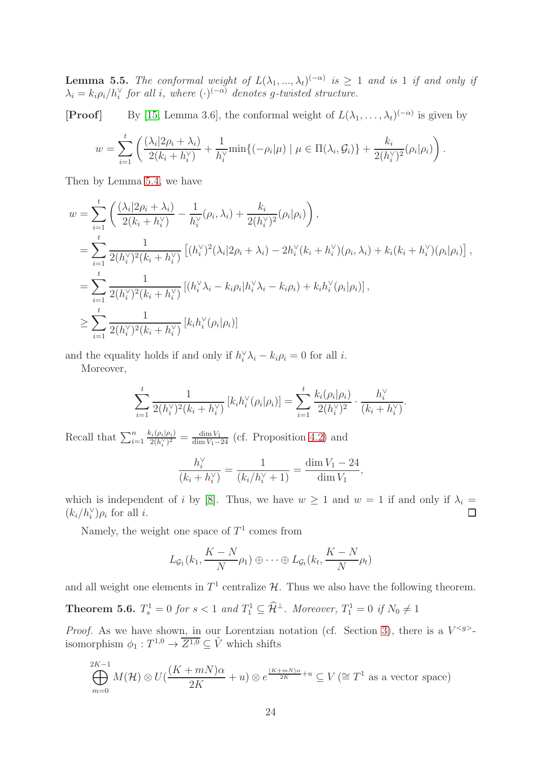<span id="page-23-0"></span>**Lemma 5.5.** *The conformal weight of*  $L(\lambda_1, ..., \lambda_t)^{(-\alpha)}$  *is*  $\geq 1$  *and is* 1 *if and only if*  $\lambda_i = k_i \rho_i / h_i^{\vee}$  for all *i*, where  $(\cdot)^{(-\alpha)}$  denotes g-twisted structure.

**[Proof]** By [\[15,](#page-39-20) Lemma 3.6], the conformal weight of  $L(\lambda_1, \ldots, \lambda_t)^{(-\alpha)}$  is given by

$$
w = \sum_{i=1}^t \left( \frac{(\lambda_i | 2\rho_i + \lambda_i)}{2(k_i + h_i^{\vee})} + \frac{1}{h_i^{\vee}} \min\{(-\rho_i | \mu) \mid \mu \in \Pi(\lambda_i, \mathcal{G}_i)\} + \frac{k_i}{2(h_i^{\vee})^2} (\rho_i | \rho_i) \right).
$$

Then by Lemma [5.4,](#page-22-1) we have

$$
w = \sum_{i=1}^{t} \left( \frac{(\lambda_i | 2\rho_i + \lambda_i)}{2(k_i + h_i^{\vee})} - \frac{1}{h_i^{\vee}} (\rho_i, \lambda_i) + \frac{k_i}{2(h_i^{\vee})^2} (\rho_i | \rho_i) \right),
$$
  
\n
$$
= \sum_{i=1}^{t} \frac{1}{2(h_i^{\vee})^2(k_i + h_i^{\vee})} \left[ (h_i^{\vee})^2(\lambda_i | 2\rho_i + \lambda_i) - 2h_i^{\vee}(k_i + h_i^{\vee}) (\rho_i, \lambda_i) + k_i(k_i + h_i^{\vee}) (\rho_i | \rho_i) \right],
$$
  
\n
$$
= \sum_{i=1}^{t} \frac{1}{2(h_i^{\vee})^2(k_i + h_i^{\vee})} \left[ (h_i^{\vee} \lambda_i - k_i \rho_i | h_i^{\vee} \lambda_i - k_i \rho_i) + k_i h_i^{\vee} (\rho_i | \rho_i) \right],
$$
  
\n
$$
\geq \sum_{i=1}^{t} \frac{1}{2(h_i^{\vee})^2(k_i + h_i^{\vee})} \left[ k_i h_i^{\vee} (\rho_i | \rho_i) \right]
$$

and the equality holds if and only if  $h_i^{\vee} \lambda_i - k_i \rho_i = 0$  for all *i*.

Moreover,

$$
\sum_{i=1}^t \frac{1}{2(h_i^{\vee})^2(k_i + h_i^{\vee})} \left[ k_i h_i^{\vee}(\rho_i | \rho_i) \right] = \sum_{i=1}^t \frac{k_i(\rho_i | \rho_i)}{2(h_i^{\vee})^2} \cdot \frac{h_i^{\vee}}{(k_i + h_i^{\vee})}.
$$

Recall that  $\sum_{i=1}^{n} \frac{k_i(\rho_i|\rho_i)}{2(h_i^{\vee})^2} = \frac{\dim V_1}{\dim V_1 - 24}$  (cf. Proposition [4.2\)](#page-17-0) and

$$
\frac{h_i^{\vee}}{(k_i + h_i^{\vee})} = \frac{1}{(k_i/h_i^{\vee} + 1)} = \frac{\dim V_1 - 24}{\dim V_1},
$$

which is independent of *i* by [\[8\]](#page-39-6). Thus, we have  $w \ge 1$  and  $w = 1$  if and only if  $\lambda_i = (k_i/h_i^{\vee})\rho_i$  for all *i*.  $(k_i/h_i^{\vee})\rho_i$  for all *i*.

Namely, the weight one space of  $T^1$  comes from

$$
L_{\mathcal{G}_1}(k_1, \frac{K-N}{N}\rho_1) \oplus \cdots \oplus L_{\mathcal{G}_t}(k_t, \frac{K-N}{N}\rho_t)
$$

and all weight one elements in  $T^1$  centralize  $\mathcal{H}$ . Thus we also have the following theorem.

<span id="page-23-1"></span>**Theorem 5.6.**  $T_s^1 = 0$  for  $s < 1$  and  $T_1^1 \subseteq \hat{\mathcal{H}}^{\perp}$ . Moreover,  $T_1^1 = 0$  if  $N_0 \neq 1$ 

*Proof.* As we have shown, in our Lorentzian notation (cf. Section [3\)](#page-4-2), there is a  $V^{}\cdot$ isomorphism  $\phi_1: T^{1,0} \to \overline{Z^{1,0}} \subseteq \tilde{V}$  which shifts

$$
\bigoplus_{m=0}^{2K-1} M(\mathcal{H}) \otimes U\left(\frac{(K+mN)\alpha}{2K}+u\right) \otimes e^{\frac{(K+mN)\alpha}{2K}+u} \subseteq V\left(\cong T^1 \text{ as a vector space}\right)
$$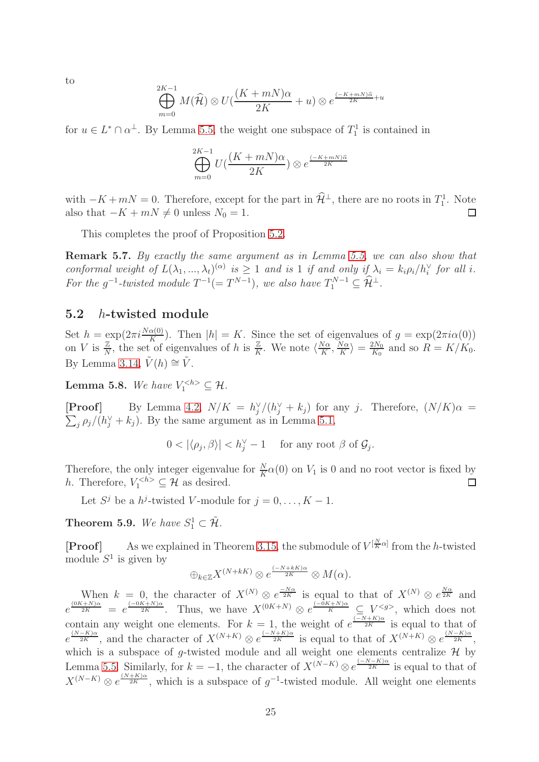to

$$
\bigoplus_{m=0}^{2K-1} M(\widehat{\mathcal{H}}) \otimes U\left(\frac{(K+mN)\alpha}{2K}+u\right) \otimes e^{\frac{(-K+mN)\widehat{\alpha}}{2K}+u}
$$

for  $u \in L^* \cap \alpha^{\perp}$ . By Lemma [5.5,](#page-23-0) the weight one subspace of  $T_1^1$  is contained in

$$
\bigoplus_{m=0}^{2K-1} U\left(\frac{(K+mN)\alpha}{2K}\right) \otimes e^{\frac{(-K+mN)\widehat{\alpha}}{2K}}
$$

with  $-K+mN=0$ . Therefore, except for the part in  $\hat{\mathcal{H}}^{\perp}$ , there are no roots in  $T_1^1$ . Note also that  $-K + mN \neq 0$  unless  $N_0 = 1$ .  $\Box$ 

This completes the proof of Proposition [5.2.](#page-22-0)

Remark 5.7. *By exactly the same argument as in Lemma [5.5,](#page-23-0) we can also show that conformal weight of*  $L(\lambda_1, ..., \lambda_t)^{(\alpha)}$  is  $\geq 1$  *and is* 1 *if and only if*  $\lambda_i = k_i \rho_i / h_i^{\vee}$  *for all i.* For the  $g^{-1}$ -twisted module  $T^{-1}(=T^{N-1})$ , we also have  $T_1^{N-1} \subseteq \widehat{\mathcal{H}}^{\perp}$ .

# 5.2 h-twisted module

Set  $h = \exp(2\pi i \frac{N\alpha(0)}{K})$ . Then  $|h| = K$ . Since the set of eigenvalues of  $g = \exp(2\pi i \alpha(0))$ on V is  $\frac{\mathbb{Z}}{N}$ , the set of eigenvalues of h is  $\frac{\mathbb{Z}}{K}$ . We note  $\langle \frac{N\alpha}{K} \rangle$  $\frac{N\alpha}{K}, \frac{N\alpha}{K}$  $\frac{N\alpha}{K}\rangle = \frac{2N_0}{K_0}$  $\frac{2N_0}{K_0}$  and so  $R = K/K_0$ . By Lemma [3.14,](#page-9-3)  $\tilde{V}(h) \cong \tilde{V}$ .

**Lemma 5.8.** We have  $V_1^{\langle h \rangle} \subseteq \mathcal{H}$ .

**[Proof]** By Lemma [4.2,](#page-17-0)  $N/K = h_j^{\vee}/(h_j^{\vee} + k_j)$  for any j. Therefore,  $(N/K)\alpha =$  $\sum_j \rho_j/(h_j^{\vee} + k_j)$ . By the same argument as in Lemma [5.1,](#page-21-0)

$$
0 < |\langle \rho_j, \beta \rangle| < h_j^{\vee} - 1 \quad \text{ for any root } \beta \text{ of } \mathcal{G}_j.
$$

Therefore, the only integer eigenvalue for  $\frac{N}{K}\alpha(0)$  on  $V_1$  is 0 and no root vector is fixed by h. Therefore,  $V_1^{< h>} \subseteq \mathcal{H}$  as desired. П

Let  $S^j$  be a  $h^j$ -twisted V-module for  $j = 0, ..., K - 1$ .

**Theorem 5.9.** We have  $S_1^1 \subset \tilde{\mathcal{H}}$ .

**[Proof]** As we explained in Theorem [3.15,](#page-10-2) the submodule of  $V^{[\frac{N}{K}\alpha]}$  from the h-twisted module  $S^1$  is given by

$$
\bigoplus_{k\in\mathbb{Z}}X^{(N+kK)}\otimes e^{\frac{(-N+kK)\alpha}{2K}}\otimes M(\alpha).
$$

When  $k = 0$ , the character of  $X^{(N)} \otimes e^{\frac{-N\alpha}{2K}}$  is equal to that of  $X^{(N)} \otimes e^{\frac{N\alpha}{2K}}$  and  $e^{\frac{(0K+N)\alpha}{2K}} = e^{\frac{(-0K+N)\alpha}{2K}}$ . Thus, we have  $X^{(0K+N)} \otimes e^{\frac{(-0K+N)\alpha}{K}} \subseteq V^{}$ , which does not contain any weight one elements. For  $k = 1$ , the weight of  $e^{\frac{(-N+K)\alpha}{2K}}$  is equal to that of  $e^{\frac{(N-K)\alpha}{2K}}$ , and the character of  $X^{(N+K)} \otimes e^{\frac{(-N+K)\alpha}{2K}}$  is equal to that of  $X^{(N+K)} \otimes e^{\frac{(N-K)\alpha}{2K}}$ , which is a subspace of g-twisted module and all weight one elements centralize  $H$  by Lemma [5.5.](#page-23-0) Similarly, for  $k = -1$ , the character of  $X^{(N-K)} \otimes e^{\frac{(-N-K)\alpha}{2K}}$  is equal to that of  $X^{(N-K)} \otimes e^{\frac{(N+K)\alpha}{2K}}$ , which is a subspace of  $g^{-1}$ -twisted module. All weight one elements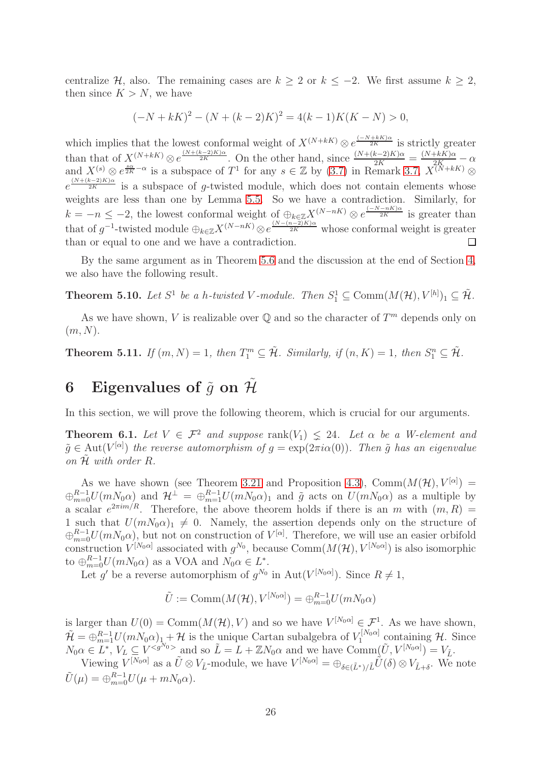centralize H, also. The remaining cases are  $k \geq 2$  or  $k \leq -2$ . We first assume  $k \geq 2$ , then since  $K > N$ , we have

$$
(-N + kK)^{2} - (N + (k - 2)K)^{2} = 4(k - 1)K(K - N) > 0,
$$

which implies that the lowest conformal weight of  $X^{(N+kK)} \otimes e^{\frac{(-N+kK)\alpha}{2K}}$  is strictly greater than that of  $X^{(N+kK)} \otimes e^{\frac{(N+(k-2)K)\alpha}{2K}}$ . On the other hand, since  $\frac{(N+(k-2)K)\alpha}{2K} = \frac{(N+kK)\alpha}{2K+1K}\alpha$ and  $X^{(s)} \otimes e^{\frac{s\alpha}{2K} - \alpha}$  is a subspace of  $T^1$  for any  $s \in \mathbb{Z}$  by  $(3.7)$  in Remark [3.7,](#page-7-3)  $X^{(N+kK)} \otimes$  $e^{\frac{(N+(k-2)K)\alpha}{2K}}$  is a subspace of g-twisted module, which does not contain elements whose weights are less than one by Lemma [5.5.](#page-23-0) So we have a contradiction. Similarly, for  $k = -n \leq -2$ , the lowest conformal weight of  $\bigoplus_{k \in \mathbb{Z}} X^{(N-nK)} \otimes e^{\frac{(-N-nK)\alpha}{2K}}$  is greater than that of  $g^{-1}$ -twisted module  $\bigoplus_{k\in\mathbb{Z}} X^{(N-nK)} \otimes e^{\frac{(N-(n-2)K)\alpha}{2K}}$  whose conformal weight is greater than or equal to one and we have a contradiction.  $\Box$ 

By the same argument as in Theorem [5.6](#page-23-1) and the discussion at the end of Section [4,](#page-17-2) we also have the following result.

**Theorem 5.10.** Let  $S^1$  be a h-twisted V-module. Then  $S^1_1 \subseteq \text{Comm}(M(\mathcal{H}), V^{[h]})_1 \subseteq \tilde{\mathcal{H}}$ .

As we have shown, V is realizable over  $\mathbb Q$  and so the character of  $T^m$  depends only on  $(m, N)$ .

**Theorem 5.11.** If  $(m, N) = 1$ , then  $T_1^m \subseteq \tilde{\mathcal{H}}$ . Similarly, if  $(n, K) = 1$ , then  $S_1^n \subseteq \tilde{\mathcal{H}}$ .

# 6 Eigenvalues of  $\tilde{q}$  on  $\tilde{\mathcal{H}}$

In this section, we will prove the following theorem, which is crucial for our arguments.

<span id="page-25-0"></span>**Theorem 6.1.** Let  $V \in \mathcal{F}^2$  and suppose rank $(V_1) \leq 24$ . Let  $\alpha$  be a W-element and  $\tilde{g} \in \text{Aut}(V^{[\alpha]})$  the reverse automorphism of  $g = \exp(2\pi i \alpha(0))$ . Then  $\tilde{g}$  has an eigenvalue *on*  $\mathcal{\tilde{H}}$  *with order*  $R$ *.* 

As we have shown (see Theorem [3.21](#page-13-0) and Proposition [4.3\)](#page-18-1), Comm $(M(\mathcal{H}), V^{[\alpha]}) =$  $\bigoplus_{m=0}^{R-1} U(mN_0\alpha)$  and  $\mathcal{H}^{\perp} = \bigoplus_{m=1}^{R-1} U(mN_0\alpha)_1$  and  $\tilde{g}$  acts on  $U(mN_0\alpha)$  as a multiple by a scalar  $e^{2\pi im/R}$ . Therefore, the above theorem holds if there is an m with  $(m, R)$  = 1 such that  $U(mN_0\alpha)_1 \neq 0$ . Namely, the assertion depends only on the structure of  $\oplus_{m=0}^{R-1} U(mN_0\alpha)$ , but not on construction of  $V^{[\alpha]}$ . Therefore, we will use an easier orbifold construction  $V^{[N_0\alpha]}$  associated with  $g^{N_0}$ , because  $\text{Comm}(M(\mathcal{H}), V^{[N_0\alpha]})$  is also isomorphic to  $\bigoplus_{m=0}^{R-1} U(mN_0\alpha)$  as a VOA and  $N_0\alpha \in L^*$ .

Let g' be a reverse automorphism of  $g^{N_0}$  in  $\text{Aut}(V^{[N_0\alpha]})$ . Since  $R \neq 1$ ,

$$
\tilde{U} := \text{Comm}(M(\mathcal{H}), V^{[N_0 \alpha]}) = \bigoplus_{m=0}^{R-1} U(mN_0 \alpha)
$$

is larger than  $U(0) = \text{Comm}(M(\mathcal{H}), V)$  and so we have  $V^{[N_0 \alpha]} \in \mathcal{F}^1$ . As we have shown,  $\tilde{\mathcal{H}} = \bigoplus_{m=1}^{R-1} U(mN_0\alpha)_{1} + \mathcal{H}$  is the unique Cartan subalgebra of  $V_1^{[N_0\alpha]}$  $\widetilde{\mathcal{H}}$  containing  $\mathcal{H}$ . Since  $N_0 \alpha \in L^*, V_L \subseteq V^{\leq g^{N_0}}$  and so  $\tilde{L} = L + \mathbb{Z} N_0 \alpha$  and we have  $\text{Comm}(\tilde{U}, V^{[N_0 \alpha]}) = V_{\tilde{L}}$ .

Viewing  $V^{[N_0\alpha]}$  as a  $\tilde{U}\otimes V_{\tilde{L}}$ -module, we have  $V^{[N_0\alpha]} = \bigoplus_{\delta\in(\tilde{L}^*)/\tilde{L}} \tilde{U}(\delta)\otimes V_{\tilde{L}+\delta}$ . We note  $\tilde{U}(\mu) = \bigoplus_{m=0}^{R-1} U(\mu + mN_0\alpha).$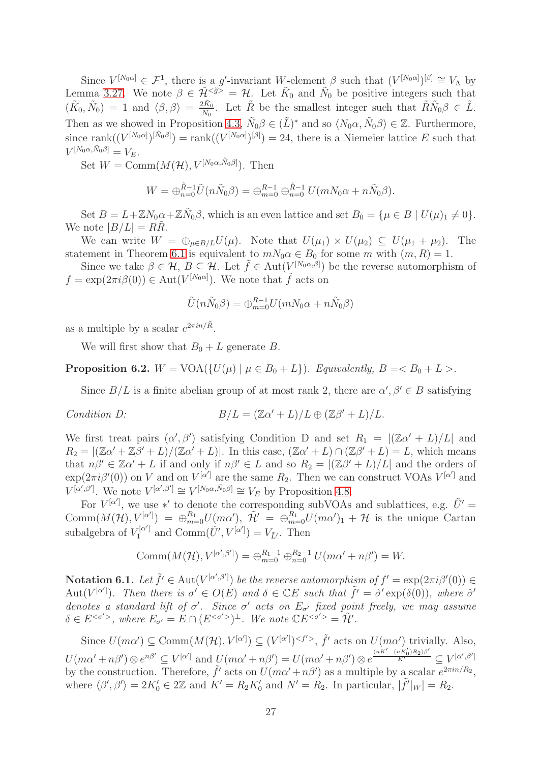Since  $V^{[N_0\alpha]} \in \mathcal{F}^1$ , there is a g'-invariant W-element  $\beta$  such that  $(V^{[N_0\alpha]})^{[\beta]} \cong V_{\Lambda}$  by Lemma [3.27.](#page-15-2) We note  $\beta \in \tilde{\mathcal{H}}^{<\tilde{g}>} = \mathcal{H}$ . Let  $\tilde{K}_0$  and  $\tilde{N}_0$  be positive integers such that  $(\tilde{K}_0, \tilde{N}_0) = 1$  and  $\langle \beta, \beta \rangle = \frac{2\tilde{K}_0}{\tilde{N}_0}$  $\frac{2\tilde{K}_0}{\tilde{N}_0}$ . Let  $\tilde{R}$  be the smallest integer such that  $\tilde{R}\tilde{N}_0\beta \in \tilde{L}$ . Then as we showed in Proposition [4.3,](#page-18-1)  $\tilde{N}_0 \beta \in (\tilde{L})^*$  and so  $\langle N_0 \alpha, \tilde{N}_0 \beta \rangle \in \mathbb{Z}$ . Furthermore, since rank $((V^{[N_0\alpha]})^{[\tilde{N}_0\beta]}) = \text{rank}((V^{[N_0\alpha]})^{[\beta]}) = 24$ , there is a Niemeier lattice E such that  $V^{[N_0\alpha,\tilde{N}_0\beta]}=V_E.$ 

Set  $W = \text{Comm}(M(\mathcal{H}), V^{[N_0\alpha, \tilde{N}_0\beta]})$ . Then

$$
W = \bigoplus_{n=0}^{\tilde{R}-1} \tilde{U}(n\tilde{N}_0\beta) = \bigoplus_{m=0}^{R-1} \bigoplus_{n=0}^{\tilde{R}-1} U(mN_0\alpha + n\tilde{N}_0\beta).
$$

Set  $B = L + \mathbb{Z}N_0\alpha + \mathbb{Z}\tilde{N}_0\beta$ , which is an even lattice and set  $B_0 = {\mu \in B \mid U(\mu)_1 \neq 0}.$ We note  $|B/L| = R\tilde{R}$ .

We can write  $W = \bigoplus_{\mu \in B/L} U(\mu)$ . Note that  $U(\mu_1) \times U(\mu_2) \subseteq U(\mu_1 + \mu_2)$ . The statement in Theorem [6.1](#page-25-0) is equivalent to  $mN_0\alpha \in B_0$  for some m with  $(m, R) = 1$ .

Since we take  $\beta \in \mathcal{H}, B \subseteq \mathcal{H}$ . Let  $\tilde{f} \in \text{Aut}(V^{[N_0\alpha,\beta]})$  be the reverse automorphism of  $f = \exp(2\pi i \beta(0)) \in \text{Aut}(V^{[N_0\alpha]})$ . We note that  $\tilde{f}$  acts on

$$
\tilde{U}(n\tilde{N}_0\beta) = \bigoplus_{m=0}^{R-1} U(mN_0\alpha + n\tilde{N}_0\beta)
$$

as a multiple by a scalar  $e^{2\pi i n/\tilde{R}}$ .

We will first show that  $B_0 + L$  generate B.

<span id="page-26-0"></span>**Proposition 6.2.**  $W = \text{VOA}(\{U(\mu) \mid \mu \in B_0 + L\})$ *. Equivalently,*  $B = \langle B_0 + L \rangle$ *.* 

Since  $B/L$  is a finite abelian group of at most rank 2, there are  $\alpha', \beta' \in B$  satisfying

Condition D: 
$$
B/L = (\mathbb{Z}\alpha' + L)/L \oplus (\mathbb{Z}\beta' + L)/L.
$$

We first treat pairs  $(\alpha', \beta')$  satisfying Condition D and set  $R_1 = |(\mathbb{Z}\alpha' + L)/L|$  and  $R_2 = |(\mathbb{Z}\alpha' + \mathbb{Z}\beta' + L)/(\mathbb{Z}\alpha' + L)|$ . In this case,  $(\mathbb{Z}\alpha' + L) \cap (\mathbb{Z}\beta' + L) = L$ , which means that  $n\beta' \in \mathbb{Z}\alpha' + L$  if and only if  $n\beta' \in L$  and so  $R_2 = |(\mathbb{Z}\beta' + L)/L|$  and the orders of  $\exp(2\pi i\beta'(0))$  on V and on  $V^{[\alpha']}$  are the same  $R_2$ . Then we can construct VOAs  $V^{[\alpha']}$  and  $V^{[\alpha',\beta']}$ . We note  $V^{[\alpha',\beta']} \cong V^{[N_0\alpha,\tilde{N}_0\beta]} \cong V_E$  by Proposition [4.8.](#page-20-0)

For  $V^{[\alpha']}$ , we use \*' to denote the corresponding subVOAs and sublattices, e.g.  $\tilde{U}' =$  $\text{Comm}(M(\mathcal{H}), V^{[\alpha']}_{n}) = \bigoplus_{m=0}^{R_1} U(m\alpha'), \ \tilde{\mathcal{H}}' = \bigoplus_{m=0}^{R_1} U(m\alpha')_1 + \mathcal{H}$  is the unique Cartan subalgebra of  $V_1^{[\alpha']}$  and  $\text{Comm}(\tilde{U}', V^{[\alpha']} ) = V_{\tilde{L}'}.$  Then

$$
Comm(M(\mathcal{H}), V^{[\alpha', \beta']}) = \bigoplus_{m=0}^{R_1 - 1} \bigoplus_{n=0}^{R_2 - 1} U(m\alpha' + n\beta') = W.
$$

Notation 6.1. Let  $\tilde{f}' \in \text{Aut}(V^{[\alpha',\beta']})$  be the reverse automorphism of  $f' = \exp(2\pi i \beta'(0)) \in$ Aut $(V^{[\alpha']}$ ). Then there is  $\sigma' \in O(E)$  and  $\delta \in \mathbb{C}E$  such that  $\tilde{f}' = \hat{\sigma}' \exp(\delta(0))$ , where  $\hat{\sigma}'$ *denotes a standard lift of*  $\sigma'$ . Since  $\sigma'$  acts on  $E_{\sigma'}$  fixed point freely, we may assume  $\delta \in E^{< \sigma'}$ , where  $E_{\sigma'} = E \cap (E^{< \sigma'} )^{\perp}$ . We note  $\mathbb{C} E^{< \sigma'} = \tilde{\mathcal{H}}'$ .

Since  $U(m\alpha') \subseteq \text{Comm}(M(\mathcal{H}), V^{[\alpha']} ) \subseteq (V^{[\alpha']} )^{}, \tilde{f}'$  acts on  $U(m\alpha')$  trivially. Also,  $U(m\alpha' + n\beta') \otimes e^{n\beta'} \subseteq V^{[\alpha']}$  and  $U(m\alpha' + n\beta') = U(m\alpha' + n\beta') \otimes e^{\frac{(nK' - (nK_0')R_2)\beta'}{K'}} \subseteq V^{[\alpha',\beta']}$ by the construction. Therefore,  $\tilde{f}'$  acts on  $U(m\alpha' + n\beta')$  as a multiple by a scalar  $e^{2\pi i n/R_2}$ , where  $\langle \beta', \beta' \rangle = 2K'_0 \in 2\mathbb{Z}$  and  $K' = R_2K'_0$  and  $N' = R_2$ . In particular,  $|\tilde{f}'|_{W}| = R_2$ .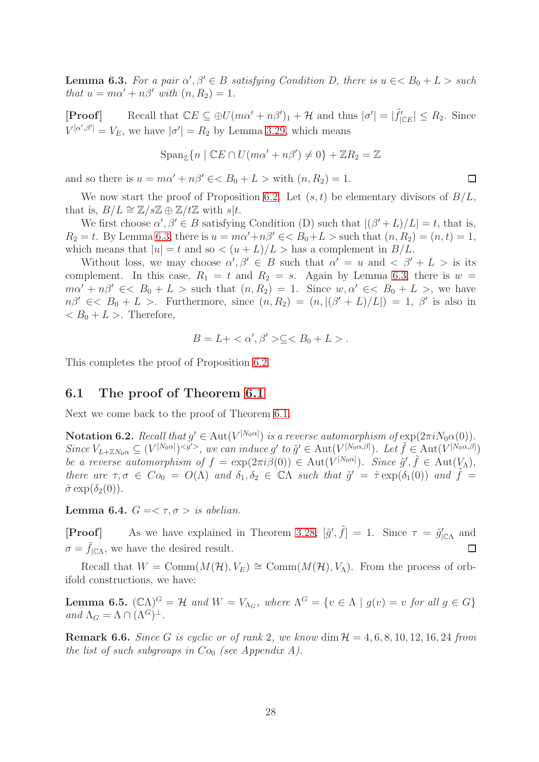<span id="page-27-0"></span>**Lemma 6.3.** For a pair  $\alpha', \beta' \in B$  satisfying Condition D, there is  $u \in B_0 + L >$  such *that*  $u = m\alpha' + n\beta'$  *with*  $(n, R_2) = 1$ .

[**Proof**] Recall that  $\mathbb{C}E \subseteq \bigoplus U(m\alpha' + n\beta')_1 + \mathcal{H}$  and thus  $|\sigma'| = |\tilde{f}|_{\mathbb{C}E}| \leq R_2$ . Since  $V^{[\alpha',\beta']} = V_E$ , we have  $|\sigma'| = R_2$  by Lemma [3.29,](#page-15-1) which means

$$
\mathrm{Span}_{\mathbb{Z}}\{n \mid \mathbb{C}E \cap U(m\alpha' + n\beta') \neq 0\} + \mathbb{Z}R_2 = \mathbb{Z}
$$

 $\Box$ 

and so there is  $u = m\alpha' + n\beta' \in < B_0 + L >$  with  $(n, R_2) = 1$ .

We now start the proof of Proposition [6.2.](#page-26-0) Let  $(s, t)$  be elementary divisors of  $B/L$ , that is,  $B/L \cong \mathbb{Z}/s\mathbb{Z} \oplus \mathbb{Z}/t\mathbb{Z}$  with  $s|t$ .

We first choose  $\alpha', \beta' \in B$  satisfying Condition (D) such that  $|(\beta' + L)/L| = t$ , that is,  $R_2 = t$ . By Lemma [6.3,](#page-27-0) there is  $u = m\alpha' + n\beta' \in \mathbb{R}$   $\leq B_0 + L >$  such that  $(n, R_2) = (n, t) = 1$ , which means that  $|u| = t$  and so  $\lt (u + L)/L$  is a complement in  $B/L$ .

Without loss, we may choose  $\alpha', \beta' \in B$  such that  $\alpha' = u$  and  $\langle \beta' + L \rangle$  is its complement. In this case,  $R_1 = t$  and  $R_2 = s$ . Again by Lemma [6.3,](#page-27-0) there is  $w =$  $m\alpha' + n\beta' \leq B_0 + L$  > such that  $(n, R_2) = 1$ . Since  $w, \alpha' \leq B_0 + L$  >, we have  $n\beta' \in \langle B_0 + L \rangle$ . Furthermore, since  $(n, R_2) = (n, |(\beta' + L)/L|) = 1$ ,  $\beta'$  is also in  $< B_0 + L >$ . Therefore,

$$
B = L + \langle \alpha', \beta' \rangle \subseteq \langle B_0 + L \rangle.
$$

This completes the proof of Proposition [6.2.](#page-26-0)

# 6.1 The proof of Theorem [6.1](#page-25-0)

Next we come back to the proof of Theorem [6.1.](#page-25-0)

 $\textbf{Notation 6.2.}$  *Recall that*  $g' \in \text{Aut}(V^{[N_0\alpha]})$  *is a reverse automorphism of*  $\exp(2\pi i N_0\alpha(0))$ .  $Since V_{L+\mathbb{Z}N_0\alpha} \subseteq (V^{[N_0\alpha]})^{, we can induce g' \ to \ \tilde{g}' \in Aut(V^{[N_0\alpha,\beta]}).$  Let  $\tilde{f} \in Aut(V^{[N_0\alpha,\beta]})$ *be a reverse automorphism of*  $f = \exp(2\pi i \beta(0)) \in \text{Aut}(V^{[N_0\alpha]})$ *. Since*  $\tilde{g}'$ ,  $\tilde{f} \in \text{Aut}(V_\Lambda)$ , *there are*  $\tau, \sigma \in Co_0 = O(\Lambda)$  *and*  $\delta_1, \delta_2 \in \mathbb{C}\Lambda$  *such that*  $\tilde{g}' = \hat{\tau} \exp(\delta_1(0))$  *and*  $\tilde{f} =$  $\hat{\sigma}$  exp( $\delta_2(0)$ ).

Lemma 6.4.  $G = \langle \tau, \sigma \rangle$  *is abelian.* 

**[Proof]** As we have explained in Theorem [3.28,](#page-15-3)  $[\tilde{g}', \tilde{f}] = 1$ . Since  $\tau = \tilde{g}'_{|\mathbb{C}\Lambda}$  and  $\sigma = f_{\text{ICA}}$ , we have the desired result.  $\Box$ 

Recall that  $W = \text{Comm}(M(\mathcal{H}), V_E) \cong \text{Comm}(M(\mathcal{H}), V_\Lambda)$ . From the process of orbifold constructions, we have:

**Lemma 6.5.**  $(C\Lambda)^G = H$  and  $W = V_{\Lambda_G}$ , where  $\Lambda^G = \{v \in \Lambda \mid g(v) = v \text{ for all } g \in G\}$  $and \ \Lambda_G = \Lambda \cap (\Lambda^G)^{\perp}.$ 

**Remark 6.6.** *Since* G *is cyclic or of rank* 2, we know dim  $H = 4, 6, 8, 10, 12, 16, 24$  *from the list of such subgroups in*  $Co_0$  *(see Appendix A).*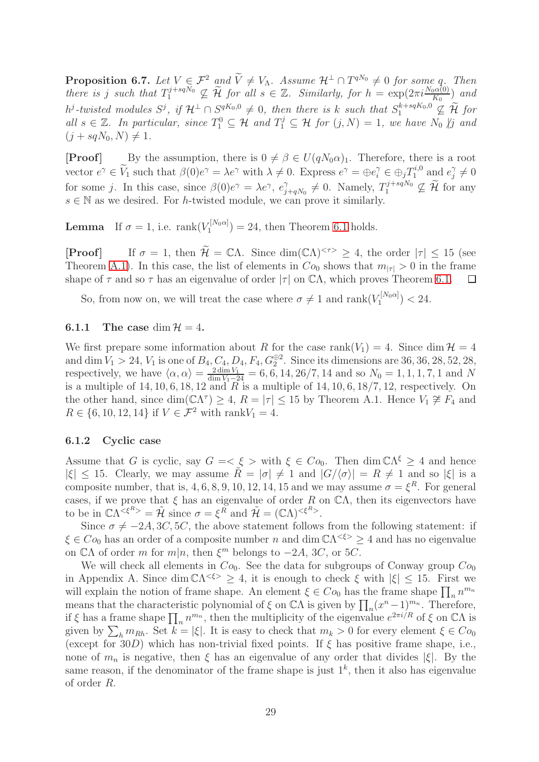<span id="page-28-1"></span>**Proposition 6.7.** Let  $V \in \mathcal{F}^2$  and  $V \neq V_\Lambda$ . Assume  $\mathcal{H}^{\perp} \cap T^{qN_0} \neq 0$  for some q. Then *there is* j such that  $T_1^{j+sqN_0} \nsubseteq \widetilde{\mathcal{H}}$  for all  $s \in \mathbb{Z}$ . Similarly, for  $h = \exp(2\pi i \frac{N_0 \alpha(0)}{K_0})$  and  $h^j$ -twisted modules  $S^j$ , if  $\mathcal{H}^{\perp} \cap S^{qK_0,0} \neq 0$ , then there is k such that  $S_1^{k+sqK_0,0} \nsubseteq \widetilde{\mathcal{H}}$  for all  $s \in \mathbb{Z}$ . In particular, since  $T_1^0 \subseteq \mathcal{H}$  and  $T_1^j \subseteq \mathcal{H}$  for  $(j, N) = 1$ , we have  $N_0 \nmid j$  and  $(j + sqN_0, N) \neq 1.$ 

**[Proof]** By the assumption, there is  $0 \neq \beta \in U(qN_0\alpha)_1$ . Therefore, there is a root vector  $e^{\gamma} \in \widetilde{V}_1$  such that  $\beta(0)e^{\gamma} = \lambda e^{\gamma}$  with  $\lambda \neq 0$ . Express  $e^{\gamma} = \bigoplus e_i^{\gamma} \in \bigoplus_j T_1^{i,0}$  $i^{i,0}$  and  $e_j^{\gamma}$  $_j^\gamma \neq 0$ for some j. In this case, since  $\beta(0)e^{\gamma} = \lambda e^{\gamma}, e^{\gamma}$  $\gamma_{j+qN_0} \neq 0$ . Namely,  $T_1^{j+sqN_0}$  $\mathcal{L}_1^{j+sq \nu_0} \nsubseteq \mathcal{H}$  for any  $s \in \mathbb{N}$  as we desired. For *h*-twisted module, we can prove it similarly.

**Lemma** If  $\sigma = 1$ , i.e. rank $(V_1^{[N_0\alpha]}$  $T_1^{[N_0\alpha]}$  = 24, then Theorem [6.1](#page-25-0) holds.

**[Proof]** If  $\sigma = 1$ , then  $\widetilde{\mathcal{H}} = \mathbb{C}\Lambda$ . Since  $\dim(\mathbb{C}\Lambda)^{<\tau>} \geq 4$ , the order  $|\tau| \leq 15$  (see Theorem [A.1\)](#page-37-0). In this case, the list of elements in  $Co_0$  shows that  $m_{|\tau|} > 0$  in the frame shape of  $\tau$  and so  $\tau$  has an eigenvalue of order  $|\tau|$  on  $\mathbb{C}\Lambda$ , which proves Theorem [6.1.](#page-25-0) □

So, from now on, we will treat the case where  $\sigma \neq 1$  and  $\text{rank}(V_1^{[N_0\alpha]}$  $24.$ <sup> $(1^{(1)}(0)$ </sup> $) < 24.$ 

#### <span id="page-28-0"></span>6.1.1 The case dim  $\mathcal{H} = 4$ .

We first prepare some information about R for the case rank( $V_1$ ) = 4. Since dim  $\mathcal{H} = 4$ and dim  $V_1 > 24$ ,  $V_1$  is one of  $B_4, C_4, D_4, F_4, G_2^{\oplus 2}$ . Since its dimensions are 36, 36, 28, 52, 28, respectively, we have  $\langle \alpha, \alpha \rangle = \frac{2 \dim V_1}{\dim V_1 - 24} = 6, 6, 14, 26/7, 14$  and so  $N_0 = 1, 1, 1, 7, 1$  and N is a multiple of 14, 10, 6, 18, 12 and R is a multiple of 14, 10, 6,  $\frac{18}{7}$ , 12, respectively. On the other hand, since  $\dim(\mathbb{C}\Lambda^{\tau}) \geq 4$ ,  $R = |\tau| \leq 15$  by Theorem A.1. Hence  $V_1 \not\cong F_4$  and  $R \in \{6, 10, 12, 14\}$  if  $V \in \mathcal{F}^2$  with rank $V_1 = 4$ .

#### 6.1.2 Cyclic case

Assume that G is cyclic, say  $G = \langle \xi \rangle$  with  $\xi \in Co_0$ . Then dim  $\mathbb{C}\Lambda^{\xi} \geq 4$  and hence  $|\xi| \leq 15$ . Clearly, we may assume  $\tilde{R} = |\sigma| \neq 1$  and  $|G/\langle \sigma \rangle| = R \neq 1$  and so  $|\xi|$  is a composite number, that is, 4, 6, 8, 9, 10, 12, 14, 15 and we may assume  $\sigma = \xi^R$ . For general cases, if we prove that  $\xi$  has an eigenvalue of order R on  $\mathbb{C}\Lambda$ , then its eigenvectors have to be in  $\mathbb{C}\Lambda^{<\xi^R>} = \tilde{\mathcal{H}}$  since  $\sigma = \xi^R$  and  $\tilde{\mathcal{H}} = (\mathbb{C}\Lambda)^{<\xi^R>}$ .

Since  $\sigma \neq -2A, 3C, 5C$ , the above statement follows from the following statement: if  $\xi \in Co_0$  has an order of a composite number n and dim  $\mathbb{C}\Lambda<sup>{\xi}>2</sup>$  4 and has no eigenvalue on  $\mathbb{C}\Lambda$  of order m for  $m|n$ , then  $\xi^m$  belongs to  $-2A$ , 3C, or 5C.

We will check all elements in  $Co_0$ . See the data for subgroups of Conway group  $Co_0$ in Appendix A. Since  $\dim \mathbb{C}\Lambda^{<\epsilon>} \geq 4$ , it is enough to check  $\xi$  with  $|\xi| \leq 15$ . First we will explain the notion of frame shape. An element  $\xi \in Co_0$  has the frame shape  $\prod_n n^{m_n}$ means that the characteristic polynomial of  $\xi$  on  $\mathbb{C}\Lambda$  is given by  $\prod_n(x^n-1)^{m_n}$ . Therefore, if  $\xi$  has a frame shape  $\prod_n n^{m_n}$ , then the multiplicity of the eigenvalue  $e^{2\pi i/R}$  of  $\xi$  on  $\mathbb{C}\Lambda$  is given by  $\sum_{h} m_{Rh}$ . Set  $k = |\xi|$ . It is easy to check that  $m_k > 0$  for every element  $\xi \in Co_0$ (except for 30D) which has non-trivial fixed points. If  $\xi$  has positive frame shape, i.e., none of  $m_n$  is negative, then  $\xi$  has an eigenvalue of any order that divides  $|\xi|$ . By the same reason, if the denominator of the frame shape is just  $1<sup>k</sup>$ , then it also has eigenvalue of order R.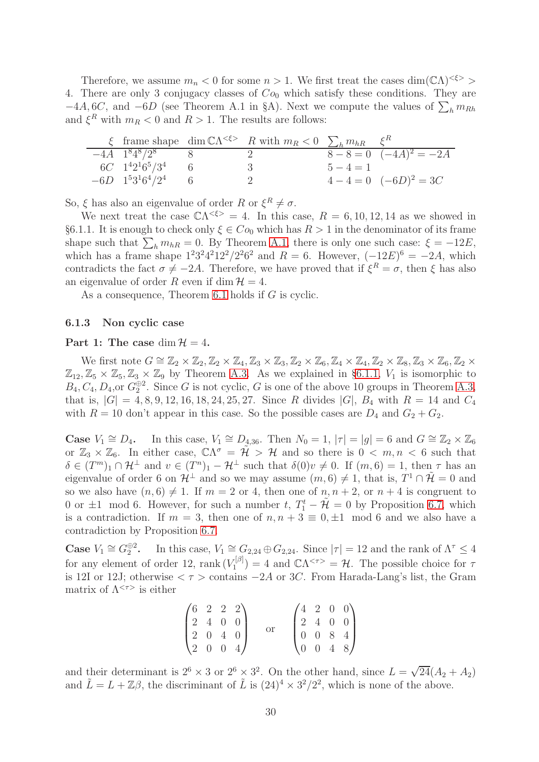Therefore, we assume  $m_n < 0$  for some  $n > 1$ . We first treat the cases dim( $\mathbb{C}\Lambda$ )<sup>< $\xi$ >></sup> 4. There are only 3 conjugacy classes of  $Co_0$  which satisfy these conditions. They are  $-4A, 6C,$  and  $-6D$  (see Theorem A.1 in §A). Next we compute the values of  $\sum_{h} m_{Rh}$ and  $\xi^R$  with  $m_R < 0$  and  $R > 1$ . The results are follows:

|                              | $\xi$ frame shape dim $\mathbb{C}\Lambda^{<\xi>}$ R with $m_R < 0$ $\sum_h m_{hR} \xi^R$ |             |                       |
|------------------------------|------------------------------------------------------------------------------------------|-------------|-----------------------|
| $-4A$ $1^84^8/2^8$           | $\cdot$                                                                                  |             | $8-8=0$ $(-4A)^2=-2A$ |
| $6C \quad 1^4 2^1 6^5 / 3^4$ |                                                                                          | $5 - 4 = 1$ |                       |
| $-6D \quad 1^53^16^4/2^4$    |                                                                                          |             | $4-4=0$ $(-6D)^2=3C$  |

So,  $\xi$  has also an eigenvalue of order R or  $\xi^R \neq \sigma$ .

We next treat the case  $\mathbb{C}\Lambda^{<\xi>} = 4$ . In this case,  $R = 6, 10, 12, 14$  as we showed in §6.1.1. It is enough to check only  $\xi \in Co_0$  which has  $R > 1$  in the denominator of its frame shape such that  $\sum_{h} m_{hR} = 0$ . By Theorem [A.1,](#page-37-0) there is only one such case:  $\xi = -12E$ , which has a frame shape  $1^23^24^212^2/2^26^2$  and  $R = 6$ . However,  $(-12E)^6 = -2A$ , which contradicts the fact  $\sigma \neq -2A$ . Therefore, we have proved that if  $\xi^R = \sigma$ , then  $\xi$  has also an eigenvalue of order R even if dim  $\mathcal{H} = 4$ .

As a consequence, Theorem [6.1](#page-25-0) holds if G is cyclic.

#### 6.1.3 Non cyclic case

#### Part 1: The case dim  $\mathcal{H} = 4$ .

We first note  $G \cong \mathbb{Z}_2 \times \mathbb{Z}_2$ ,  $\mathbb{Z}_2 \times \mathbb{Z}_4$ ,  $\mathbb{Z}_3 \times \mathbb{Z}_3$ ,  $\mathbb{Z}_2 \times \mathbb{Z}_6$ ,  $\mathbb{Z}_4 \times \mathbb{Z}_4$ ,  $\mathbb{Z}_2 \times \mathbb{Z}_8$ ,  $\mathbb{Z}_3 \times \mathbb{Z}_6$ ,  $\mathbb{Z}_2 \times$  $\mathbb{Z}_{12}, \mathbb{Z}_5 \times \mathbb{Z}_5, \mathbb{Z}_3 \times \mathbb{Z}_9$  by Theorem [A.3.](#page-38-0) As we explained in §[6.1.1,](#page-28-0)  $V_1$  is isomorphic to  $B_4, C_4, D_4$ , or  $G_2^{\oplus 2}$ . Since G is not cyclic, G is one of the above 10 groups in Theorem [A.3,](#page-38-0) that is,  $|G| = 4, 8, 9, 12, 16, 18, 24, 25, 27$ . Since R divides  $|G|$ ,  $B_4$  with  $R = 14$  and  $C_4$ with  $R = 10$  don't appear in this case. So the possible cases are  $D_4$  and  $G_2 + G_2$ .

**Case**  $V_1 \cong D_4$ . In this case,  $V_1 \cong D_{4,36}$ . Then  $N_0 = 1$ ,  $|\tau| = |g| = 6$  and  $G \cong \mathbb{Z}_2 \times \mathbb{Z}_6$ or  $\mathbb{Z}_3 \times \mathbb{Z}_6$ . In either case,  $\mathbb{C}\Lambda^{\sigma} = \tilde{\mathcal{H}} > \mathcal{H}$  and so there is  $0 < m, n < 6$  such that  $\delta \in (T^m)_1 \cap \mathcal{H}^{\perp}$  and  $v \in (T^n)_1 - \mathcal{H}^{\perp}$  such that  $\delta(0)v \neq 0$ . If  $(m, 6) = 1$ , then  $\tau$  has an eigenvalue of order 6 on  $\mathcal{H}^{\perp}$  and so we may assume  $(m, 6) \neq 1$ , that is,  $T^1 \cap \tilde{\mathcal{H}} = 0$  and so we also have  $(n, 6) \neq 1$ . If  $m = 2$  or 4, then one of  $n, n + 2$ , or  $n + 4$  is congruent to 0 or  $\pm 1$  mod 6. However, for such a number t,  $T_1^t - \tilde{\mathcal{H}} = 0$  by Proposition [6.7,](#page-28-1) which is a contradiction. If  $m = 3$ , then one of  $n, n + 3 \equiv 0, \pm 1 \mod 6$  and we also have a contradiction by Proposition [6.7.](#page-28-1)

**Case**  $V_1 \cong G_2^{\oplus 2}$ . In this case,  $V_1 \cong G_{2,24} \oplus G_{2,24}$ . Since  $|\tau| = 12$  and the rank of  $\Lambda^{\tau} \leq 4$ for any element of order 12, rank  $(V_1^{[\beta]}$  $\mathcal{L}^{[\beta]}_1$  = 4 and  $\mathbb{C}\Lambda^{<\tau>} = \mathcal{H}$ . The possible choice for  $\tau$ is 12I or 12J; otherwise  $\langle \tau \rangle$  contains  $-2A$  or 3C. From Harada-Lang's list, the Gram matrix of  $\Lambda^{<\tau>}\;$  is either

| $(6 \t2 \t2 \t2)$                             |  |  |                                               |  | $(4 \t2 \t0 \t0)$                             |
|-----------------------------------------------|--|--|-----------------------------------------------|--|-----------------------------------------------|
| $\begin{bmatrix} 2 & 4 & 0 & 0 \end{bmatrix}$ |  |  |                                               |  | $\begin{bmatrix} 2 & 4 & 0 & 0 \end{bmatrix}$ |
| $\begin{bmatrix} 2 & 0 & 4 & 0 \end{bmatrix}$ |  |  |                                               |  | $\begin{bmatrix} 0 & 0 & 8 & 4 \end{bmatrix}$ |
| $\begin{pmatrix} 2 & 0 & 0 & 4 \end{pmatrix}$ |  |  | $\begin{pmatrix} 0 & 0 & 4 & 8 \end{pmatrix}$ |  |                                               |

and their determinant is  $2^6 \times 3$  or  $2^6 \times 3^2$ . On the other hand, since  $L = \sqrt{24}(A_2 + A_2)$ and  $\tilde{L} = L + \mathbb{Z}\beta$ , the discriminant of  $\tilde{L}$  is  $(24)^4 \times 3^2/2^2$ , which is none of the above.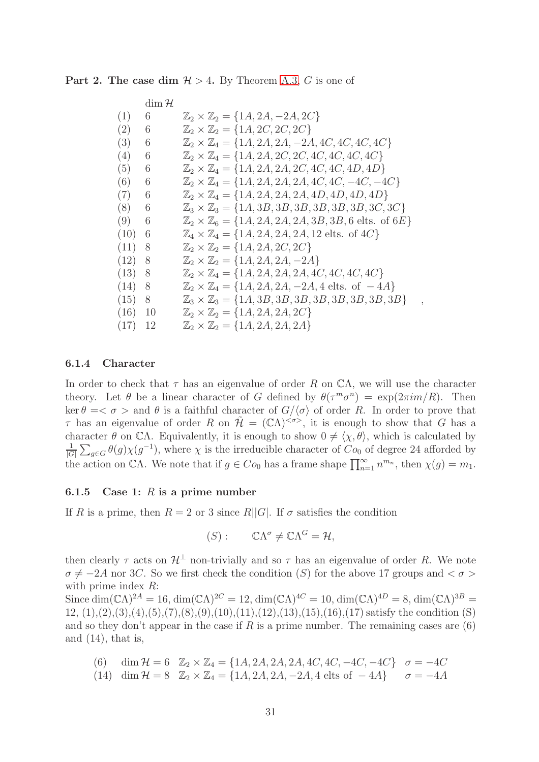|  |  |  |  |  |  |  |  | <b>Part 2. The case dim </b> $H > 4$ . By Theorem A.3, G is one of |  |  |  |  |  |
|--|--|--|--|--|--|--|--|--------------------------------------------------------------------|--|--|--|--|--|
|--|--|--|--|--|--|--|--|--------------------------------------------------------------------|--|--|--|--|--|

|           | $\dim \mathcal{H}$ |                                                                                         |  |
|-----------|--------------------|-----------------------------------------------------------------------------------------|--|
| (1)       | 6                  | $\mathbb{Z}_2 \times \mathbb{Z}_2 = \{1A, 2A, -2A, 2C\}$                                |  |
| (2)       | 6                  | $\mathbb{Z}_2 \times \mathbb{Z}_2 = \{1A, 2C, 2C, 2C\}$                                 |  |
| (3)       | 6                  | $\mathbb{Z}_2 \times \mathbb{Z}_4 = \{1A, 2A, 2A, -2A, 4C, 4C, 4C, 4C\}$                |  |
| (4)       | 6                  | $\mathbb{Z}_2 \times \mathbb{Z}_4 = \{1A, 2A, 2C, 2C, 4C, 4C, 4C, 4C\}$                 |  |
| (5)       | 6                  | $\mathbb{Z}_2 \times \mathbb{Z}_4 = \{1A, 2A, 2A, 2C, 4C, 4C, 4D, 4D\}$                 |  |
| (6)       | 6                  | $\mathbb{Z}_2 \times \mathbb{Z}_4 = \{1A, 2A, 2A, 2A, 4C, 4C, -4C, -4C\}$               |  |
| (7)       | 6                  | $\mathbb{Z}_2 \times \mathbb{Z}_4 = \{1A, 2A, 2A, 2A, 4D, 4D, 4D, 4D\}$                 |  |
| (8)       | 6                  | $\mathbb{Z}_3 \times \mathbb{Z}_3 = \{1A, 3B, 3B, 3B, 3B, 3B, 3B, 3C, 3C\}$             |  |
| (9)       | 6                  | $\mathbb{Z}_2 \times \mathbb{Z}_6 = \{1A, 2A, 2A, 2A, 3B, 3B, 6 \text{ elts. of } 6E\}$ |  |
| (10)      | 6                  | $\mathbb{Z}_4 \times \mathbb{Z}_4 = \{1A, 2A, 2A, 2A, 12 \text{ elts. of } 4C\}$        |  |
| (11)      | 8                  | $\mathbb{Z}_2 \times \mathbb{Z}_2 = \{1A, 2A, 2C, 2C\}$                                 |  |
| (12)      | 8                  | $\mathbb{Z}_2 \times \mathbb{Z}_2 = \{1A, 2A, 2A, -2A\}$                                |  |
| (13)      | 8                  | $\mathbb{Z}_2 \times \mathbb{Z}_4 = \{1A, 2A, 2A, 2A, 4C, 4C, 4C, 4C\}$                 |  |
| (14)      | 8                  | $\mathbb{Z}_2 \times \mathbb{Z}_4 = \{1A, 2A, 2A, -2A, 4 \text{ elts. of } -4A\}$       |  |
| (15)      | 8                  | $\mathbb{Z}_3 \times \mathbb{Z}_3 = \{1A, 3B, 3B, 3B, 3B, 3B, 3B, 3B, 3B\}$             |  |
| $(16)$ 10 |                    | $\mathbb{Z}_2 \times \mathbb{Z}_2 = \{1A, 2A, 2A, 2C\}$                                 |  |
| (17)      | - 12               | $\mathbb{Z}_2 \times \mathbb{Z}_2 = \{1A, 2A, 2A, 2A\}$                                 |  |

#### 6.1.4 Character

In order to check that  $\tau$  has an eigenvalue of order R on  $\mathbb{C}\Lambda$ , we will use the character theory. Let  $\theta$  be a linear character of G defined by  $\theta(\tau^m \sigma^n) = \exp(2\pi i m/R)$ . Then ker  $\theta = \langle \sigma \rangle$  and  $\theta$  is a faithful character of  $G/\langle \sigma \rangle$  of order R. In order to prove that  $\tau$  has an eigenvalue of order R on  $\mathcal{H} = (\mathbb{C}\Lambda)^{<\sigma>}$ , it is enough to show that G has a character  $\theta$  on CΛ. Equivalently, it is enough to show  $0 \neq \langle \chi, \theta \rangle$ , which is calculated by 1  $\frac{1}{|G|}\sum_{g\in G}\theta(g)\chi(g^{-1}),$  where  $\chi$  is the irreducible character of  $C_{o_0}$  of degree 24 afforded by the action on CΛ. We note that if  $g \in Co_0$  has a frame shape  $\prod_{n=1}^{\infty} n^{m_n}$ , then  $\chi(g) = m_1$ .

#### 6.1.5 Case 1:  $R$  is a prime number

If R is a prime, then  $R = 2$  or 3 since R||G|. If  $\sigma$  satisfies the condition

$$
(S): \qquad \mathbb{C}\Lambda^{\sigma}\neq \mathbb{C}\Lambda^G=\mathcal{H},
$$

then clearly  $\tau$  acts on  $\mathcal{H}^{\perp}$  non-trivially and so  $\tau$  has an eigenvalue of order R. We note  $\sigma \neq -2A$  nor 3C. So we first check the condition (S) for the above 17 groups and  $\langle \sigma \rangle$ with prime index  $R$ :

Since  $\dim(\mathbb{C}\Lambda)^{2A} = 16$ ,  $\dim(\mathbb{C}\Lambda)^{2C} = 12$ ,  $\dim(\mathbb{C}\Lambda)^{4C} = 10$ ,  $\dim(\mathbb{C}\Lambda)^{4D} = 8$ ,  $\dim(\mathbb{C}\Lambda)^{3B} = 8$  $12, (1), (2), (3), (4), (5), (7), (8), (9), (10), (11), (12), (13), (15), (16), (17)$  satisfy the condition (S) and so they don't appear in the case if  $R$  is a prime number. The remaining cases are  $(6)$ and  $(14)$ , that is,

- (6) dim  $\mathcal{H} = 6$   $\mathbb{Z}_2 \times \mathbb{Z}_4 = \{1A, 2A, 2A, 2A, 4C, 4C, -4C, -4C\}$   $\sigma = -4C$
- (14) dim  $\mathcal{H} = 8$   $\mathbb{Z}_2 \times \mathbb{Z}_4 = \{1A, 2A, 2A, -2A, 4 \text{ elts of } -4A\}$   $\sigma = -4A$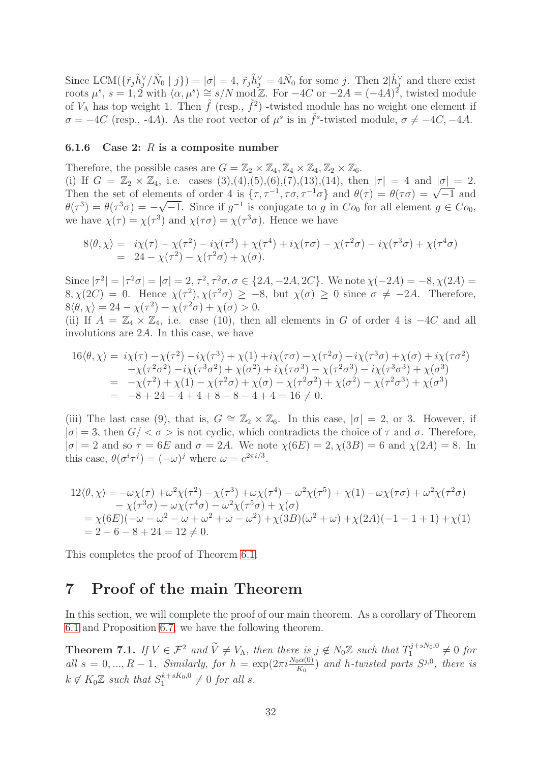Since LCM( $\{\tilde{r}_j \tilde{h}_j^{\vee}/\tilde{N}_0 | j \}$ ) =  $|\sigma| = 4$ ,  $\tilde{r}_j \tilde{h}_j^{\vee} = 4\tilde{N}_0$  for some j. Then  $2|\tilde{h}_j^{\vee}|$  and there exist roots  $\mu^s$ ,  $s = 1, 2$  with  $\langle \alpha, \mu^s \rangle \cong s/N \mod \mathbb{Z}$ . For  $-4C$  or  $-2A = (-4A)^2$ , twisted module of  $V_{\Lambda}$  has top weight 1. Then  $\tilde{f}$  (resp.,  $\tilde{f}^2$ ) -twisted module has no weight one element if  $\sigma = -4C$  (resp., -4A). As the root vector of  $\mu^s$  is in  $\tilde{f}^s$ -twisted module,  $\sigma \neq -4C, -4A$ .

#### 6.1.6 Case 2:  $R$  is a composite number

Therefore, the possible cases are  $G = \mathbb{Z}_2 \times \mathbb{Z}_4, \mathbb{Z}_4 \times \mathbb{Z}_4, \mathbb{Z}_2 \times \mathbb{Z}_6$ . (i) If  $G = \mathbb{Z}_2 \times \mathbb{Z}_4$ , i.e. cases  $(3),(4),(5),(6),(7),(13),(14)$ , then  $|\tau| = 4$  and  $|\sigma| = 2$ . Then the set of elements of order 4 is  $\{\tau, \tau^{-1}, \tau\sigma, \tau^{-1}\sigma\}$  and  $\theta(\tau) = \theta(\tau\sigma) = \sqrt{-1}$  and  $\theta(\tau^3) = \theta(\tau^3 \sigma) = -\sqrt{-1}$ . Since if  $g^{-1}$  is conjugate to g in  $Co_0$  for all element  $g \in Co_0$ , we have  $\chi(\tau) = \chi(\tau^3)$  and  $\chi(\tau\sigma) = \chi(\tau^3\sigma)$ . Hence we have

$$
8\langle \theta, \chi \rangle = i\chi(\tau) - \chi(\tau^2) - i\chi(\tau^3) + \chi(\tau^4) + i\chi(\tau\sigma) - \chi(\tau^2\sigma) - i\chi(\tau^3\sigma) + \chi(\tau^4\sigma) = 24 - \chi(\tau^2) - \chi(\tau^2\sigma) + \chi(\sigma).
$$

Since  $|\tau^2| = |\tau^2 \sigma| = |\sigma| = 2$ ,  $\tau^2$ ,  $\tau^2 \sigma$ ,  $\sigma \in \{2A, -2A, 2C\}$ . We note  $\chi(-2A) = -8$ ,  $\chi(2A) = -8$  $8, \chi(2C) = 0$ . Hence  $\chi(\tau^2), \chi(\tau^2\sigma) \ge -8$ , but  $\chi(\sigma) \ge 0$  since  $\sigma \ne -2A$ . Therefore,  $8\langle \theta, \chi \rangle = 24 - \chi(\tau^2) - \chi(\tau^2 \sigma) + \chi(\sigma) > 0.$ 

(ii) If  $A = \mathbb{Z}_4 \times \mathbb{Z}_4$ , i.e. case (10), then all elements in G of order 4 is  $-4C$  and all involutions are 2A. In this case, we have

$$
16\langle \theta, \chi \rangle = i\chi(\tau) - \chi(\tau^2) - i\chi(\tau^3) + \chi(1) + i\chi(\tau\sigma) - \chi(\tau^2\sigma) - i\chi(\tau^3\sigma) + \chi(\sigma) + i\chi(\tau\sigma^2) - \chi(\tau^2\sigma^2) - i\chi(\tau^3\sigma^2) + \chi(\sigma^2) + i\chi(\tau\sigma^3) - \chi(\tau^2\sigma^3) - i\chi(\tau^3\sigma^3) + \chi(\sigma^3) = -\chi(\tau^2) + \chi(1) - \chi(\tau^2\sigma) + \chi(\sigma) - \chi(\tau^2\sigma^2) + \chi(\sigma^2) - \chi(\tau^2\sigma^3) + \chi(\sigma^3) = -8 + 24 - 4 + 4 + 8 - 8 - 4 + 4 = 16 \neq 0.
$$

(iii) The last case (9), that is,  $G \cong \mathbb{Z}_2 \times \mathbb{Z}_6$ . In this case,  $|\sigma| = 2$ , or 3. However, if  $|\sigma| = 3$ , then  $G / \langle \sigma \rangle$  is not cyclic, which contradicts the choice of  $\tau$  and  $\sigma$ . Therefore,  $|\sigma| = 2$  and so  $\tau = 6E$  and  $\sigma = 2A$ . We note  $\chi(6E) = 2$ ,  $\chi(3B) = 6$  and  $\chi(2A) = 8$ . In this case,  $\theta(\sigma^i \tau^j) = (-\omega)^j$  where  $\omega = e^{2\pi i/3}$ .

$$
12\langle \theta, \chi \rangle = -\omega \chi(\tau) + \omega^2 \chi(\tau^2) - \chi(\tau^3) + \omega \chi(\tau^4) - \omega^2 \chi(\tau^5) + \chi(1) - \omega \chi(\tau \sigma) + \omega^2 \chi(\tau^2 \sigma) - \chi(\tau^3 \sigma) + \omega \chi(\tau^4 \sigma) - \omega^2 \chi(\tau^5 \sigma) + \chi(\sigma) = \chi(6E)(-\omega - \omega^2 - \omega + \omega^2 + \omega - \omega^2) + \chi(3B)(\omega^2 + \omega) + \chi(2A)(-1 - 1 + 1) + \chi(1) = 2 - 6 - 8 + 24 = 12 \neq 0.
$$

This completes the proof of Theorem [6.1.](#page-25-0)

# 7 Proof of the main Theorem

In this section, we will complete the proof of our main theorem. As a corollary of Theorem [6.1](#page-25-0) and Proposition [6.7,](#page-28-1) we have the following theorem.

**Theorem 7.1.** *If*  $V \in \mathcal{F}^2$  *and*  $\widetilde{V} \neq V_\Lambda$ *, then there is*  $j \notin N_0 \mathbb{Z}$  *such that*  $T_1^{j+sN_0,0} \neq 0$  *for*  $all s = 0, ..., R - 1$ . Similarly, for  $h = \exp(2\pi i \frac{N_0 \alpha(0)}{K_0})$  and h-twisted parts  $S^{j,0}$ , there is  $k \notin K_0 \mathbb{Z}$  such that  $S_1^{k+sK_0,0}$  $1^{(k+sK_0,0)} \neq 0$  for all s.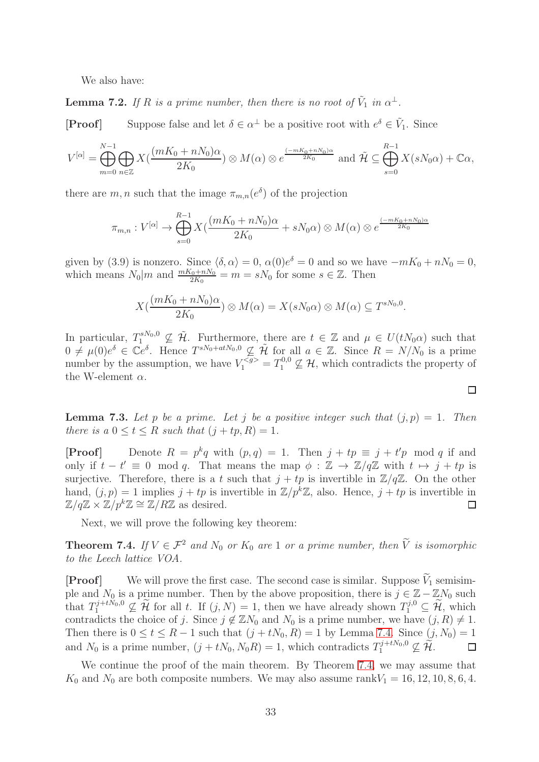We also have:

<span id="page-32-1"></span>**Lemma 7.2.** If R is a prime number, then there is no root of  $\tilde{V}_1$  in  $\alpha^{\perp}$ .

**[Proof]** Suppose false and let  $\delta \in \alpha^{\perp}$  be a positive root with  $e^{\delta} \in \tilde{V}_1$ . Since

$$
V^{[\alpha]} = \bigoplus_{m=0}^{N-1} \bigoplus_{n \in \mathbb{Z}} X\left(\frac{(mK_0 + nN_0)\alpha}{2K_0}\right) \otimes M(\alpha) \otimes e^{\frac{(-mK_0 + nN_0)\alpha}{2K_0}} \text{ and } \tilde{\mathcal{H}} \subseteq \bigoplus_{s=0}^{R-1} X(sN_0\alpha) + \mathbb{C}\alpha,
$$

there are  $m, n$  such that the image  $\pi_{m,n}(e^{\delta})$  of the projection

$$
\pi_{m,n}: V^{[\alpha]} \to \bigoplus_{s=0}^{R-1} X(\frac{(mK_0 + nN_0)\alpha}{2K_0} + sN_0\alpha) \otimes M(\alpha) \otimes e^{\frac{(-mK_0 + nN_0)\alpha}{2K_0}}
$$

given by (3.9) is nonzero. Since  $\langle \delta, \alpha \rangle = 0$ ,  $\alpha(0)e^{\delta} = 0$  and so we have  $-mK_0 + nN_0 = 0$ , which means  $N_0|m$  and  $\frac{mK_0+nN_0}{2K_0}=m=sN_0$  for some  $s \in \mathbb{Z}$ . Then

$$
X(\frac{(mK_0+nN_0)\alpha}{2K_0})\otimes M(\alpha)=X(sN_0\alpha)\otimes M(\alpha)\subseteq T^{sN_0,0}.
$$

In particular,  $T_1^{sN_0,0} \nsubseteq \tilde{\mathcal{H}}$ . Furthermore, there are  $t \in \mathbb{Z}$  and  $\mu \in U(tN_0\alpha)$  such that  $0 \neq \mu(0)e^{\delta} \in \mathbb{C}e^{\delta}$ . Hence  $T^{sN_0+atN_0,0} \nsubseteq \tilde{\mathcal{H}}$  for all  $a \in \mathbb{Z}$ . Since  $R = N/N_0$  is a prime number by the assumption, we have  $V_1^{< g>} = T_1^{0,0} \nsubseteq \mathcal{H}$ , which contradicts the property of the W-element  $\alpha$ .

**Lemma 7.3.** Let p be a prime. Let j be a positive integer such that  $(j, p) = 1$ . Then *there is a*  $0 \leq t \leq R$  *such that*  $(j + tp, R) = 1$ *.* 

**[Proof]** Denote  $R = p^k q$  with  $(p, q) = 1$ . Then  $j + tp \equiv j + t'p \mod q$  if and only if  $t - t' \equiv 0 \mod q$ . That means the map  $\phi : \mathbb{Z} \to \mathbb{Z}/q\mathbb{Z}$  with  $t \mapsto j + tp$  is surjective. Therefore, there is a t such that  $j + tp$  is invertible in  $\mathbb{Z}/q\mathbb{Z}$ . On the other hand,  $(j, p) = 1$  implies  $j + tp$  is invertible in  $\mathbb{Z}/p^k\mathbb{Z}$ , also. Hence,  $j + tp$  is invertible in  $\mathbb{Z}/q\mathbb{Z} \times \mathbb{Z}/p^k\mathbb{Z} \cong \mathbb{Z}/R\mathbb{Z}$  as desired. □

Next, we will prove the following key theorem:

<span id="page-32-0"></span>**Theorem 7.4.** *If*  $V \in \mathcal{F}^2$  *and*  $N_0$  *or*  $K_0$  *are* 1 *or a prime number, then*  $\tilde{V}$  *is isomorphic to the Leech lattice VOA.*

**[Proof]** We will prove the first case. The second case is similar. Suppose  $\widetilde{V}_1$  semisimple and  $N_0$  is a prime number. Then by the above proposition, there is  $j \in \mathbb{Z} - \mathbb{Z}N_0$  such that  $T_1^{j+tN_0,0}$  $\mathbb{Z}^{j+tN_0,0} \nsubseteq \widetilde{\mathcal{H}}$  for all t. If  $(j, N) = 1$ , then we have already shown  $T_1^{j,0} \subseteq \widetilde{\mathcal{H}}$ , which contradicts the choice of j. Since  $j \notin \mathbb{Z}N_0$  and  $N_0$  is a prime number, we have  $(j, R) \neq 1$ . Then there is  $0 \le t \le R - 1$  such that  $(j + tN_0, R) = 1$  by Lemma [7.4.](#page-32-0) Since  $(j, N_0) = 1$  and  $N_0$  is a prime number,  $(j + tN_0, N_0R) = 1$ , which contradicts  $T_1^{j+tN_0,0} \nsubseteq \widetilde{\mathcal{H}}$ . and  $N_0$  is a prime number,  $(j + tN_0, N_0R) = 1$ , which contradicts  $T_1^{j + tN_0, 0}$  $a_1^{\mathcal{Q}+tN_0,0}\nsubseteq \mathcal{H}.$ 

We continue the proof of the main theorem. By Theorem [7.4,](#page-32-0) we may assume that  $K_0$  and  $N_0$  are both composite numbers. We may also assume rank $V_1 = 16, 12, 10, 8, 6, 4$ .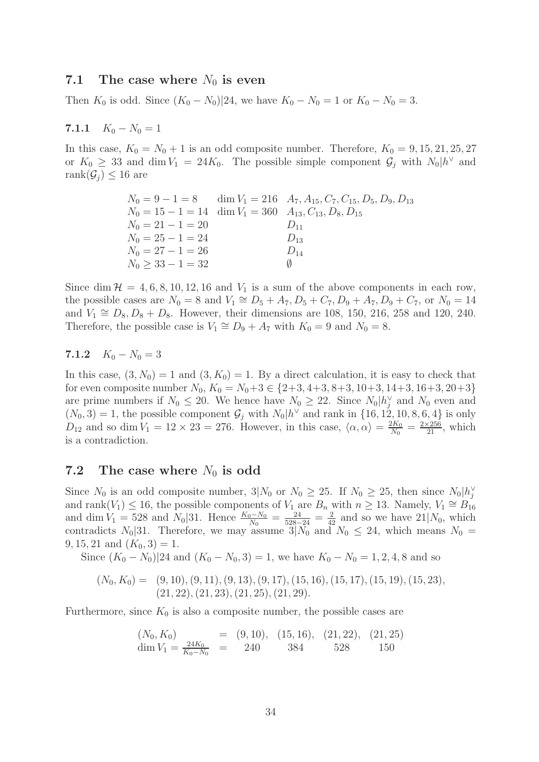### 7.1 The case where  $N_0$  is even

Then  $K_0$  is odd. Since  $(K_0 - N_0)|24$ , we have  $K_0 - N_0 = 1$  or  $K_0 - N_0 = 3$ .

# 7.1.1  $K_0 - N_0 = 1$

In this case,  $K_0 = N_0 + 1$  is an odd composite number. Therefore,  $K_0 = 9, 15, 21, 25, 27$ or  $K_0 \geq 33$  and dim  $V_1 = 24K_0$ . The possible simple component  $\mathcal{G}_j$  with  $N_0|h^{\vee}$  and rank $(\mathcal{G}_i) \leq 16$  are

|                                                                            | $N_0 = 9 - 1 = 8$ dim $V_1 = 216$ $A_7, A_{15}, C_7, C_{15}, D_5, D_9, D_{13}$ |
|----------------------------------------------------------------------------|--------------------------------------------------------------------------------|
| $N_0 = 15 - 1 = 14$ dim $V_1 = 360$ $A_{13}$ , $C_{13}$ , $D_8$ , $D_{15}$ |                                                                                |
| $N_0 = 21 - 1 = 20$                                                        | $D_{11}$                                                                       |
| $N_0 = 25 - 1 = 24$                                                        | $D_{13}$                                                                       |
| $N_0 = 27 - 1 = 26$                                                        | $D_{14}$                                                                       |
| $N_0 > 33 - 1 = 32$                                                        | $\sqrt{ }$                                                                     |
|                                                                            |                                                                                |

Since dim  $\mathcal{H} = 4, 6, 8, 10, 12, 16$  and  $V_1$  is a sum of the above components in each row, the possible cases are  $N_0 = 8$  and  $V_1 \cong D_5 + A_7, D_5 + C_7, D_9 + A_7, D_9 + C_7$ , or  $N_0 = 14$ and  $V_1 \cong D_8, D_8 + D_8$ . However, their dimensions are 108, 150, 216, 258 and 120, 240. Therefore, the possible case is  $V_1 \cong D_9 + A_7$  with  $K_0 = 9$  and  $N_0 = 8$ .

# 7.1.2  $K_0 - N_0 = 3$

In this case,  $(3, N_0) = 1$  and  $(3, K_0) = 1$ . By a direct calculation, it is easy to check that for even composite number  $N_0$ ,  $K_0 = N_0 + 3 \in \{2+3, 4+3, 8+3, 10+3, 14+3, 16+3, 20+3\}$ are prime numbers if  $N_0 \leq 20$ . We hence have  $N_0 \geq 22$ . Since  $N_0 \mid h_j^{\vee}$  and  $N_0$  even and  $(N_0, 3) = 1$ , the possible component  $\mathcal{G}_j$  with  $N_0|h^{\vee}$  and rank in  $\{16, 12, 10, 8, 6, 4\}$  is only  $D_{12}$  and so dim  $V_1 = 12 \times 23 = 276$ . However, in this case,  $\langle \alpha, \alpha \rangle = \frac{2K_0}{N_0}$  $\frac{2K_0}{N_0} = \frac{2 \times 256}{21}$ , which is a contradiction.

# 7.2 The case where  $N_0$  is odd

Since  $N_0$  is an odd composite number,  $3|N_0$  or  $N_0 \ge 25$ . If  $N_0 \ge 25$ , then since  $N_0 \cancel{h}_j^{\vee}$ and rank $(V_1) \le 16$ , the possible components of  $V_1$  are  $B_n$  with  $n \ge 13$ . Namely,  $V_1 \cong B_{16}$ and dim  $V_1 = 528$  and  $N_0/31$ . Hence  $\frac{K_0 - N_0}{N_0} = \frac{24}{528-24} = \frac{2}{42}$  and so we have  $21/N_0$ , which contradicts  $N_0$ [31. Therefore, we may assume  $3|N_0$  and  $N_0 \le 24$ , which means  $N_0 =$ 9, 15, 21 and  $(K_0, 3) = 1$ .

Since  $(K_0 - N_0)|24$  and  $(K_0 - N_0, 3) = 1$ , we have  $K_0 - N_0 = 1, 2, 4, 8$  and so

$$
(N_0, K_0) = (9, 10), (9, 11), (9, 13), (9, 17), (15, 16), (15, 17), (15, 19), (15, 23), (21, 22), (21, 23), (21, 25), (21, 29).
$$

Furthermore, since  $K_0$  is also a composite number, the possible cases are

$$
(N_0, K_0)
$$
 = (9, 10), (15, 16), (21, 22), (21, 25)  
dim  $V_1 = \frac{24K_0}{K_0 - N_0}$  = 240 384 528 150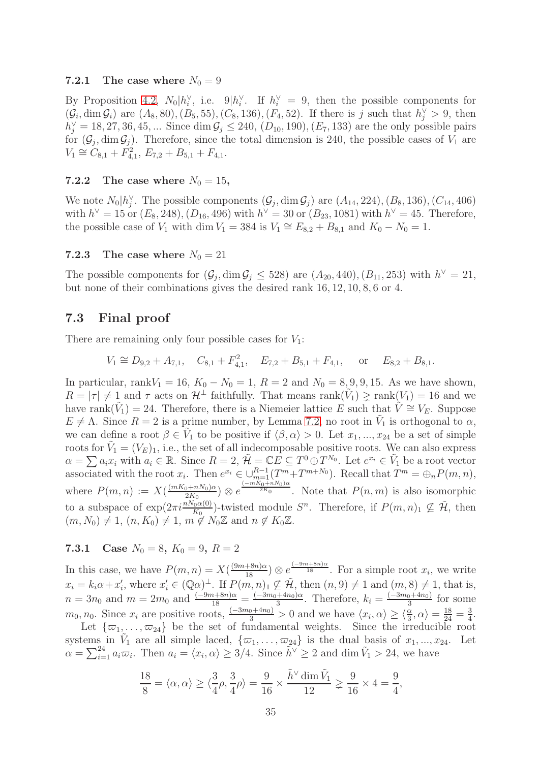#### 7.2.1 The case where  $N_0 = 9$

By Proposition [4.2,](#page-17-0)  $N_0|h_i^{\vee}$ , i.e.  $9|h_i^{\vee}$ . If  $h_i^{\vee} = 9$ , then the possible components for  $(\mathcal{G}_i, \dim \mathcal{G}_i)$  are  $(A_8, 80), (B_5, 55), (C_8, 136), (F_4, 52)$ . If there is j such that  $h_j^{\vee} > 9$ , then  $h_j^{\vee} = 18, 27, 36, 45, ...$  Since dim  $\mathcal{G}_j \le 240$ ,  $(D_{10}, 190)$ ,  $(E_7, 133)$  are the only possible pairs for  $(\mathcal{G}_j, \dim \mathcal{G}_j)$ . Therefore, since the total dimension is 240, the possible cases of  $V_1$  are  $V_1 \cong C_{8,1} + F_{4,1}^2$ ,  $E_{7,2} + B_{5,1} + F_{4,1}$ .

### 7.2.2 The case where  $N_0 = 15$ ,

We note  $N_0|h_j^{\vee}$ . The possible components  $(\mathcal{G}_j, \dim \mathcal{G}_j)$  are  $(A_{14}, 224), (B_8, 136), (C_{14}, 406)$ with  $h^{\vee} = 15$  or  $(E_8, 248), (D_{16}, 496)$  with  $h^{\vee} = 30$  or  $(B_{23}, 1081)$  with  $h^{\vee} = 45$ . Therefore, the possible case of  $V_1$  with dim  $V_1 = 384$  is  $V_1 \cong E_{8,2} + B_{8,1}$  and  $K_0 - N_0 = 1$ .

## 7.2.3 The case where  $N_0 = 21$

The possible components for  $(\mathcal{G}_j, \dim \mathcal{G}_j \leq 528)$  are  $(A_{20}, 440), (B_{11}, 253)$  with  $h^{\vee} = 21$ , but none of their combinations gives the desired rank 16, 12, 10, 8, 6 or 4.

# 7.3 Final proof

There are remaining only four possible cases for  $V_1$ :

$$
V_1 \cong D_{9,2} + A_{7,1}, \quad C_{8,1} + F_{4,1}^2, \quad E_{7,2} + B_{5,1} + F_{4,1}, \quad \text{or} \quad E_{8,2} + B_{8,1}.
$$

In particular, rank $V_1 = 16$ ,  $K_0 - N_0 = 1$ ,  $R = 2$  and  $N_0 = 8, 9, 9, 15$ . As we have shown,  $R = |\tau| \neq 1$  and  $\tau$  acts on  $\mathcal{H}^{\perp}$  faithfully. That means  $\text{rank}(\tilde{V}_1) \geq \text{rank}(V_1) = 16$  and we have rank $(\tilde{V}_1) = 24$ . Therefore, there is a Niemeier lattice E such that  $\tilde{V} \cong V_E$ . Suppose  $E \neq \Lambda$ . Since  $R = 2$  is a prime number, by Lemma [7.2,](#page-32-1) no root in  $\tilde{V}_1$  is orthogonal to  $\alpha$ , we can define a root  $\beta \in V_1$  to be positive if  $\langle \beta, \alpha \rangle > 0$ . Let  $x_1, ..., x_{24}$  be a set of simple roots for  $\tilde{V}_1 = (V_E)_1$ , i.e., the set of all indecomposable positive roots. We can also express  $\alpha = \sum a_i x_i$  with  $a_i \in \mathbb{R}$ . Since  $R = 2$ ,  $\tilde{\mathcal{H}} = \mathbb{C}E \subseteq T^0 \oplus T^{N_0}$ . Let  $e^{x_i} \in \tilde{V}_1$  be a root vector associated with the root  $x_i$ . Then  $e^{x_i} \in \bigcup_{m=1}^{R-1} (T^m + T^{m+N_0})$ . Recall that  $T^m = \bigoplus_n P(m,n)$ , where  $P(m,n) := X(\frac{(mK_0+nN_0)\alpha}{2K_0})$  $\frac{(2(N+1)R_0)(\alpha)}{2K_0}$   $\otimes$   $e^{\frac{(-mK_0+nN_0)\alpha}{2K_0}}$ . Note that  $P(n,m)$  is also isomorphic to a subspace of  $\exp(2\pi i \frac{nN_0\alpha(0)}{K_0})$ -twisted module  $S^n$ . Therefore, if  $P(m, n)_1 \nsubseteq \tilde{\mathcal{H}}$ , then  $(m, N_0) \neq 1, (n, K_0) \neq 1, m \notin N_0\mathbb{Z}$  and  $n \notin K_0\mathbb{Z}$ .

### <span id="page-34-0"></span>7.3.1 Case  $N_0 = 8$ ,  $K_0 = 9$ ,  $R = 2$

In this case, we have  $P(m,n) = X(\frac{(9m+8n)\alpha}{18}) \otimes e^{\frac{(-9m+8n)\alpha}{18}}$ . For a simple root  $x_i$ , we write  $x_i = k_i \alpha + x'_i$ , where  $x'_i \in (\mathbb{Q}\alpha)^{\perp}$ . If  $P(m, n)_1 \not\subseteq \tilde{\mathcal{H}}$ , then  $(n, 9) \neq 1$  and  $(m, 8) \neq 1$ , that is,  $n = 3n_0$  and  $m = 2m_0$  and  $\frac{(-9m+8n)\alpha}{18} = \frac{(-3m_0+4n_0)\alpha}{3}$ . Therefore,  $k_i = \frac{(-3m_0+4n_0)}{3}$  for some  $m_0, n_0$ . Since  $x_i$  are positive roots,  $\frac{(-3m_0+4n_0)}{3} > 0$  and we have  $\langle x_i, \alpha \rangle \ge \langle \frac{\alpha}{3}, \alpha \rangle = \frac{18}{24} = \frac{3}{4}$  $\frac{3}{4}$ .

Let  $\{\varpi_1, \ldots, \varpi_{24}\}$  be the set of fundamental weights. Since the irreducible root systems in  $V_1$  are all simple laced,  $\{\varpi_1, \ldots, \varpi_{24}\}$  is the dual basis of  $x_1, \ldots, x_{24}$ . Let  $\alpha = \sum_{i=1}^{24} a_i \varpi_i$ . Then  $a_i = \langle x_i, \alpha \rangle \geq 3/4$ . Since  $\tilde{h}^{\vee} \geq 2$  and dim  $\tilde{V}_1 > 24$ , we have

$$
\frac{18}{8} = \langle \alpha, \alpha \rangle \ge \langle \frac{3}{4}\rho, \frac{3}{4}\rho \rangle = \frac{9}{16} \times \frac{\tilde{h}^{\vee} \dim \tilde{V}_1}{12} \ge \frac{9}{16} \times 4 = \frac{9}{4},
$$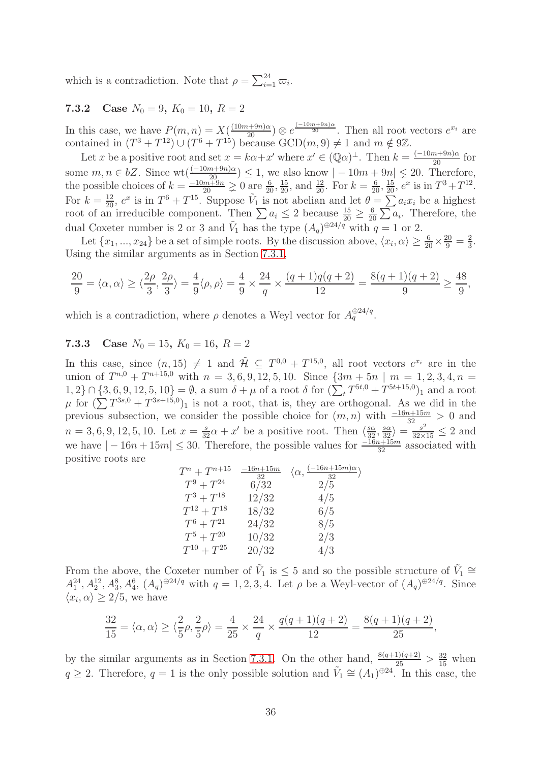which is a contradiction. Note that  $\rho = \sum_{i=1}^{24} \varpi_i$ .

# 7.3.2 Case  $N_0 = 9$ ,  $K_0 = 10$ ,  $R = 2$

In this case, we have  $P(m, n) = X(\frac{(10m+9n)\alpha}{20}) \otimes e^{\frac{(-10m+9n)\alpha}{20}}$ . Then all root vectors  $e^{x_i}$  are contained in  $(T^3 + T^{12}) \cup (T^6 + T^{15})$  because  $GCD(m, 9) \neq 1$  and  $m \notin 9\mathbb{Z}$ .

Let x be a positive root and set  $x = k\alpha + x'$  where  $x' \in (\mathbb{Q}\alpha)^{\perp}$ . Then  $k = \frac{(-10m+9n)\alpha}{20}$  for some  $m, n \in bZ$ . Since  $\text{wt}(\frac{(-10m+9n)\alpha}{10\alpha^2\alpha}) \leq 1$ , we also know  $|-10m+9n| \leq 20$ . Therefore, the possible choices of  $k = \frac{-10m+9n}{20} \ge 0$  are  $\frac{6}{20}, \frac{15}{20}$ , and  $\frac{12}{20}$ . For  $k = \frac{6}{20}, \frac{15}{20}, e^x$  is in  $T^3 + T^{12}$ . For  $k = \frac{12}{20}$ ,  $e^x$  is in  $T^6 + T^{15}$ . Suppose  $\tilde{V}_1$  is not abelian and let  $\theta = \sum a_i x_i$  be a highest root of an irreducible component. Then  $\sum a_i \leq 2$  because  $\frac{15}{20} \geq \frac{6}{20}$  $\frac{6}{20} \sum a_i$ . Therefore, the dual Coxeter number is 2 or 3 and  $\tilde{V}_1$  has the type  $(A_q)^{\oplus 24/q}$  with  $q=1$  or 2.

Let  $\{x_1, ..., x_{24}\}$  be a set of simple roots. By the discussion above,  $\langle x_i, \alpha \rangle \ge \frac{6}{20} \times \frac{20}{9} = \frac{2}{3}$  $\frac{2}{3}$ . Using the similar arguments as in Section [7.3.1,](#page-34-0)

$$
\frac{20}{9} = \langle \alpha, \alpha \rangle \ge \langle \frac{2\rho}{3}, \frac{2\rho}{3} \rangle = \frac{4}{9} \langle \rho, \rho \rangle = \frac{4}{9} \times \frac{24}{q} \times \frac{(q+1)q(q+2)}{12} = \frac{8(q+1)(q+2)}{9} \ge \frac{48}{9},
$$

which is a contradiction, where  $\rho$  denotes a Weyl vector for  $A_q^{\oplus 24/q}$ .

# 7.3.3 Case  $N_0 = 15$ ,  $K_0 = 16$ ,  $R = 2$

In this case, since  $(n, 15) \neq 1$  and  $\mathcal{H} \subseteq T^{0,0} + T^{15,0}$ , all root vectors  $e^{x_i}$  are in the union of  $T^{n,0} + T^{n+15,0}$  with  $n = 3, 6, 9, 12, 5, 10$ . Since  $\{3m + 5n \mid m = 1, 2, 3, 4, n = 0\}$  $\{1,2\} \cap \{3,6,9,12,5,10\} = \emptyset$ , a sum  $\delta + \mu$  of a root  $\delta$  for  $(\sum_{t} T^{5t,0} + T^{5t+15,0})$  and a root  $\mu$  for  $(\sum T^{3s,0} + T^{3s+15,0})_1$  is not a root, that is, they are orthogonal. As we did in the previous subsection, we consider the possible choice for  $(m, n)$  with  $\frac{-16n+15m}{32} > 0$  and  $n = 3, 6, 9, 12, 5, 10$ . Let  $x = \frac{s}{32}\alpha + x'$  be a positive root. Then  $\langle \frac{s\alpha}{32}, \frac{s\alpha}{32} \rangle = \frac{s^2}{32 \times 15} \leq 2$  and we have  $|-16n+15m| \leq 30$ . Therefore, the possible values for  $\frac{-16n+15m}{32}$  associated with positive roots are

| $T^n+T^{n+15}$    | $-16n+15m$<br>32 | $\langle \alpha, \frac{(-16n+15m)\alpha}{32} \rangle$ |
|-------------------|------------------|-------------------------------------------------------|
| $T^9 + T^{24}$    | 6/32             | 2/5                                                   |
| $T^3 + T^{18}$    | 12/32            | 4/5                                                   |
| $T^{12} + T^{18}$ | 18/32            | 6/5                                                   |
| $T^6 + T^{21}$    | 24/32            | 8/5                                                   |
| $T^5 + T^{20}$    | 10/32            | 2/3                                                   |
| $T^{10} + T^{25}$ | 20/32            | 4/3                                                   |

From the above, the Coxeter number of  $\tilde{V}_1$  is  $\leq 5$  and so the possible structure of  $\tilde{V}_1 \cong$  $A_1^{24}, A_2^{12}, A_3^{8}, A_4^{6}, (A_q)^{\oplus 24/q}$  with  $q = 1, 2, 3, 4$ . Let  $\rho$  be a Weyl-vector of  $(A_q)^{\oplus 24/q}$ . Since  $\langle x_i, \alpha \rangle \geq 2/5$ , we have

$$
\frac{32}{15} = \langle \alpha, \alpha \rangle \ge \langle \frac{2}{5} \rho, \frac{2}{5} \rho \rangle = \frac{4}{25} \times \frac{24}{q} \times \frac{q(q+1)(q+2)}{12} = \frac{8(q+1)(q+2)}{25},
$$

by the similar arguments as in Section [7.3.1.](#page-34-0) On the other hand,  $\frac{8(q+1)(q+2)}{25} > \frac{32}{15}$  when  $q \geq 2$ . Therefore,  $q = 1$  is the only possible solution and  $\tilde{V}_1 \cong (A_1)^{\oplus 24}$ . In this case, the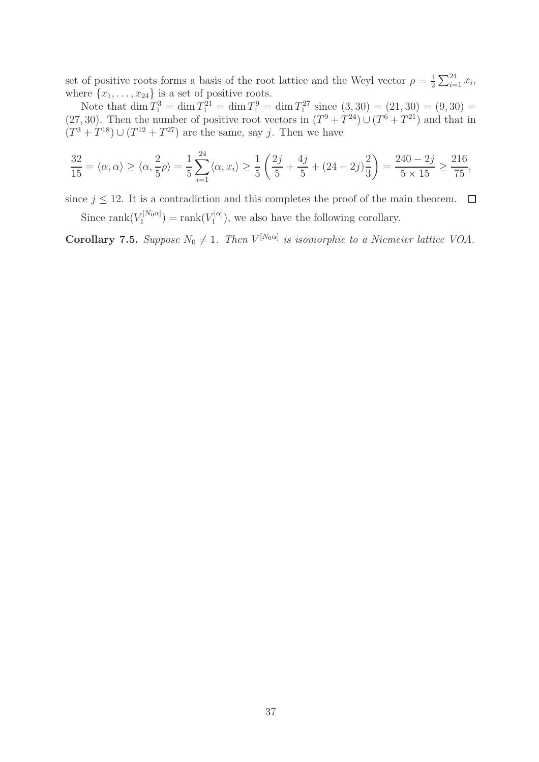set of positive roots forms a basis of the root lattice and the Weyl vector  $\rho = \frac{1}{2}$  $\frac{1}{2} \sum_{i=1}^{24} x_i,$ where  $\{x_1, \ldots, x_{24}\}$  is a set of positive roots.

Note that  $\dim T_1^3 = \dim T_1^{21} = \dim T_1^9 = \dim T_1^{27}$  since  $(3, 30) = (21, 30) = (9, 30) =$  $(27, 30)$ . Then the number of positive root vectors in  $(T^9 + T^{24}) \cup (T^6 + T^{21})$  and that in  $(T^{3} + T^{18}) \cup (T^{12} + T^{27})$  are the same, say j. Then we have

$$
\frac{32}{15} = \langle \alpha, \alpha \rangle \ge \langle \alpha, \frac{2}{5} \rho \rangle = \frac{1}{5} \sum_{i=1}^{24} \langle \alpha, x_i \rangle \ge \frac{1}{5} \left( \frac{2j}{5} + \frac{4j}{5} + (24 - 2j) \frac{2}{3} \right) = \frac{240 - 2j}{5 \times 15} \ge \frac{216}{75},
$$

since  $j \leq 12$ . It is a contradiction and this completes the proof of the main theorem.  $\Box$ 

Since rank $(V_1^{[N_0\alpha]}$  $\Gamma_1^{[N_0\alpha]}) = \mathrm{rank}(V_1^{[\alpha]}$  $I_1^{\text{eq}}$ , we also have the following corollary.

**Corollary 7.5.** *Suppose*  $N_0 \neq 1$ . *Then*  $V^{[N_0\alpha]}$  *is isomorphic to a Niemeier lattice VOA.*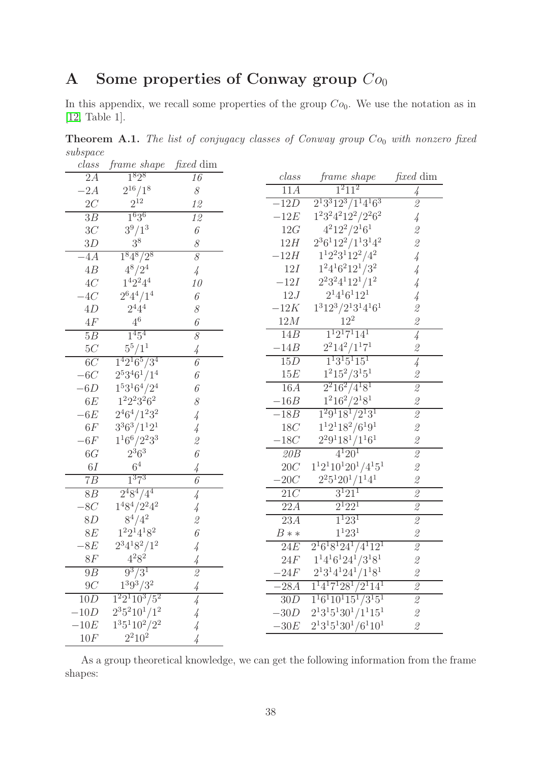# A Some properties of Conway group  $Co<sub>0</sub>$

In this appendix, we recall some properties of the group  $Co_0$ . We use the notation as in [\[12,](#page-39-21) Table 1].

<span id="page-37-0"></span>Theorem A.1. *The list of conjugacy classes of Conway group*  $Co_0$  *with nonzero fixed subspace class frame shape fixed* dim

| class                    | frame shape                   | <i>fixed</i> dim                                                                           |                    |                                    |                                                           |
|--------------------------|-------------------------------|--------------------------------------------------------------------------------------------|--------------------|------------------------------------|-----------------------------------------------------------|
| 2A                       | $1^8 2^8$                     | 16                                                                                         | class              | <i>frame shape</i>                 | <i>fixed</i> dim                                          |
| $-2A$                    | $2^{16}/1^8$                  | $\mathcal S$                                                                               | 11A                | $\overline{1}^{2}11^{2}$           | 4                                                         |
| $2\cal C$                | $2^{12}\,$                    | 12                                                                                         | $-12D$             | $2^13^312^3/1^14^16^3$             | $\mathcal{Q}$                                             |
| 3B                       | $1^{636}$                     | 12                                                                                         | $-12E$             | $1^23^24^212^2/2^26^2$             | 4                                                         |
| 3C                       | $3^{9}/1^{3}$                 | 6                                                                                          | 12G                | $4^212^2/2^16^1$                   | $\overline{\mathcal{Z}}$                                  |
| 3D                       | 3 <sup>8</sup>                | $\mathcal S$                                                                               | 12H                | $2^3 6^1 12^2 / 1^1 3^1 4^2$       | $\overline{\mathcal{Z}}$                                  |
| $-4A$                    | $\overline{1^8 4^8/2^8}$      | $\overline{\mathcal{S}}$                                                                   | $-12H$             | $1^12^23^112^2/4^2$                | 4                                                         |
| $4\ensuremath{B}\xspace$ | $4^{8}/2^{4}$                 | $\frac{1}{4}$                                                                              | 12I                | $1^24^16^212^1/3^2$                | 4                                                         |
| 4C                       | $1^4 2^2 4^4$                 | 10                                                                                         | $-12I$             | $2^23^24^112^1/1^2$                | 4                                                         |
| $-4C$                    | $2^{6}4^{4}/1^{4}$            | $\boldsymbol{\mathit{6}}$                                                                  | 12J                | $2^14^16^112^1$                    | 4                                                         |
| 4D                       | $2^{4}4^{4}$                  | $\mathcal S$                                                                               | $-12K$             | $1^3 12^3 / 2^1 3^1 4^1 6^1$       | $\overline{\mathcal{Z}}$                                  |
| $4\mathcal{F}$           | $4^6$                         | 6                                                                                          | 12M                | $12^{2}$                           | $\overline{\mathcal{Z}}$                                  |
| 5B                       | $1^{4}5^{4}$                  | $\overline{\mathcal{S}}$                                                                   | 14B                | $1^12^17^114^1$                    | $\overline{4}$                                            |
| $5\cal{C}$               | $5^5/1^1$                     | 4                                                                                          | $-14B$             | $2^2 14^2 / 1^1 7^1$               | $\mathcal{Q}% _{M_{1},M_{2}}^{\alpha,\beta}(\varepsilon)$ |
| 6C                       | $1^4 2^1 6^5 / 3^4$           | $\overline{6}$                                                                             | 15D                | $1^13^15^115^1$                    | $\overline{4}$                                            |
| $-6C$                    | $2^53^46^1/1^4$               | 6                                                                                          | 15E                | $1^2 15^2 / 3^1 5^1$               | $\mathcal{Q}$                                             |
| $-6D$                    | $1^53^16^4/2^4$               | 6                                                                                          | 16A                | $2^2 16^2 / 4^1 8^1$               | $\overline{\mathcal{Z}}$                                  |
| 6E                       | $1^22^23^26^2$                | 8                                                                                          | $-16B$             | $1^2 16^2 / 2^1 8^1$               | $\mathscr{Q}$                                             |
| $-6E$                    | $2^46^4/1^23^2$               | 4                                                                                          | $-18B$             | $1^2 9^1 18^1 / 2^1 3^1$           | $\overline{2}$                                            |
| 6F                       | $3^3 6^3 / 1^1 2^1$           | 4                                                                                          | 18C                | $1^12^118^2/6^19^1$                | $\overline{\mathcal{Z}}$                                  |
| $-6F$                    | $1^16^6/2^23^3$               | $\mathcal{Q}$                                                                              | $-18C$             | $2^2 9^1 18^1 / 1^1 6^1$           | $\overline{\mathcal{Z}}$                                  |
| 6G                       | $2^3 6^3$                     | 6                                                                                          | 20B                | $4^{1}20^{1}$                      | $\overline{\mathcal{Q}}$                                  |
| 6I                       | 6 <sup>4</sup>                | 4                                                                                          | $20\ensuremath{C}$ | $1^12^110^120^1/4^15^1$            | $\overline{\mathcal{Z}}$                                  |
| 7B                       | 1 <sup>3</sup> 7 <sup>3</sup> | 6                                                                                          | $-20C$             | $2^2 5^1 20^1 / 1^1 4^1$           | $\mathcal{Q}$                                             |
| 8B                       | $\sqrt{2^4 8^4 / 4^4}$        | $\frac{1}{4}$                                                                              | 21C                | $3^{1}21^{1}$                      | $\it 2$                                                   |
| $-8C$                    | $1^48^4/2^24^2$               | 4                                                                                          | 22A                | $2^{1}22^{1}$                      | $\mathcal{Q}% _{M_{1},M_{2}}^{\alpha,\beta}(\varepsilon)$ |
| 8D                       | $8^4/4^2$                     | $\mathscr{Q}$                                                                              | 23A                | $1^{1}23^{1}$                      | $\overline{\mathcal{L}}$                                  |
| 8E                       | $1^22^14^18^2$                | 6                                                                                          | $B**$              | $1^{1}23^{1}$                      | $\mathcal{Q}% _{M_{1},M_{2}}^{\alpha,\beta}(\varepsilon)$ |
| $-8E$                    | $2^34^18^2/1^2$               | 4                                                                                          | 24E                | $2^16^18^124^1/4^112^1$            | $\overline{\mathbf{2}}$                                   |
| 8F                       | $4^28^2$                      |                                                                                            | 24F                | $1^14^16^124^1/3^18^1$             | $\overline{\mathcal{L}}$                                  |
| 9B                       | $9^{3}/3^{1}$                 | $\mathcal{Q}% _{M_{1},M_{2}}^{\prime }\!\left( \mathcal{Q}_{M_{1},M_{2}}^{\prime }\right)$ | $-24F$             | $2^13^14^124^1/1^18^1$             | $\mathscr{Q}$                                             |
| 9C                       | $1^3 9^3 / 3^2$               | 4                                                                                          | $-28A$             | $1^14^17^128^1/2^114^1$            | $\mathcal{Q}$                                             |
| 10D                      | $1^22^110^3/5^2$              | $\frac{1}{4}$                                                                              | 30D                | $\overline{1^16^110^115^1/3^15^1}$ | $\overline{\mathcal{Z}}$                                  |
| $-10D$                   | $2^3 5^2 10^1 / 1^2$          | 4                                                                                          | $-30D$             | $2^13^15^130^1/1^115^1$            | $\mathscr{Q}$                                             |
| $-10E$                   | $1351102/22$                  | 4                                                                                          | $-30E$             | $2^1 3^1 5^1 30^1 / 6^1 10^1$      | $\mathcal{Q}% _{M_{1},M_{2}}^{\alpha,\beta}(\varepsilon)$ |
| 10F                      | $2^2 10^2$                    | 4                                                                                          |                    |                                    |                                                           |

As a group theoretical knowledge, we can get the following information from the frame shapes: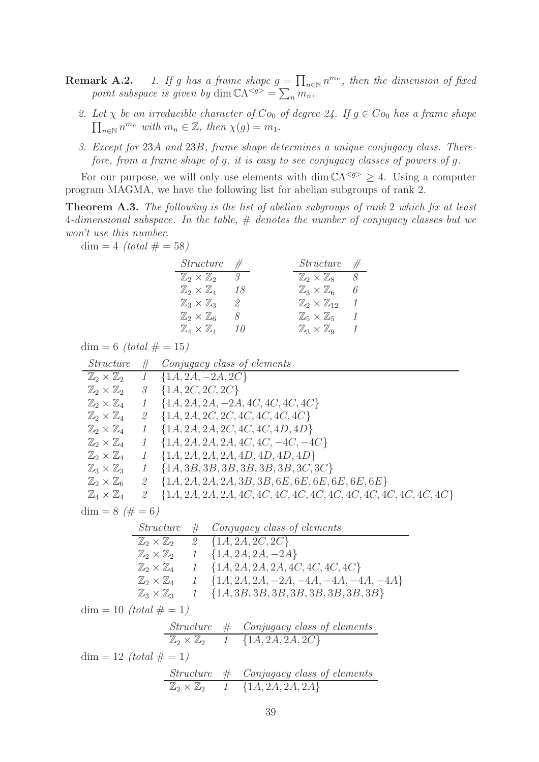- **Remark A.2.** *1. If g has a frame shape*  $g = \prod_{n \in \mathbb{N}} n^{m_n}$ , then the dimension of fixed *point subspace is given by* dim  $\mathbb{C}\Lambda^{< g>} = \sum_{n} m_n$ .
	- 2. Let  $\chi$  be an irreducible character of  $Co_0$  of degree 24. If  $g \in Co_0$  has a frame shape  $\prod_{n\in\mathbb{N}} n^{m_n}$  with  $m_n \in \mathbb{Z}$ , then  $\chi(g) = m_1$ .
	- *3. Except for* 23A *and* 23B*, frame shape determines a unique conjugacy class. Therefore, from a frame shape of* g*, it is easy to see conjugacy classes of powers of* g*.*

For our purpose, we will only use elements with dim  $\mathbb{C}\Lambda^{< g>} \geq 4$ . Using a computer program MAGMA, we have the following list for abelian subgroups of rank 2.

<span id="page-38-0"></span>Theorem A.3. *The following is the list of abelian subgroups of rank* 2 *which fix at least* 4*-dimensional subspace. In the table,* # *denotes the number of conjugacy classes but we won't use this number.*

 $dim = 4$  *(total #* = 58*)* 

| <i>Structure</i>                   | $\#$    | $Structure \#$                      |     |
|------------------------------------|---------|-------------------------------------|-----|
| $\mathbb{Z}_2\times\mathbb{Z}_2$   | $\beta$ | $\mathbb{Z}_2\times\mathbb{Z}_8$ 8  |     |
| $\mathbb{Z}_2\times \mathbb{Z}_4$  | 18      | $\mathbb{Z}_3\times \mathbb{Z}_6$   | - 6 |
| $\mathbb{Z}_3\times\mathbb{Z}_3$   | 2       | $\mathbb{Z}_2\times\mathbb{Z}_{12}$ |     |
| $\mathbb{Z}_2\times\mathbb{Z}_6$   | 8       | $\mathbb{Z}_5\times\mathbb{Z}_5$    | 1   |
| $\mathbb{Z}_4 \times \mathbb{Z}_4$ | 10      | $\mathbb{Z}_3\times\mathbb{Z}_9$    | 1   |

 $dim = 6$  *(total # = 15)* 

| <i>Structure</i>                  | #                | Conjugacy class of elements                          |
|-----------------------------------|------------------|------------------------------------------------------|
| $\mathbb{Z}_2\times\mathbb{Z}_2$  | $1$ <sup>-</sup> | ${1A, 2A, -2A, 2C}$                                  |
| $\mathbb{Z}_2\times\mathbb{Z}_2$  | 3                | ${1A, 2C, 2C, 2C}$                                   |
| $\mathbb{Z}_2\times\mathbb{Z}_4$  | 1                | ${1A, 2A, 2A, -2A, 4C, 4C, 4C, 4C}$                  |
| $\mathbb{Z}_2\times \mathbb{Z}_4$ | $\mathcal{Q}$    | $\{1A, 2A, 2C, 2C, 4C, 4C, 4C, 4C\}$                 |
| $\mathbb{Z}_2\times \mathbb{Z}_4$ | 1                | $\{1A, 2A, 2A, 2C, 4C, 4C, 4D, 4D\}$                 |
| $\mathbb{Z}_2\times\mathbb{Z}_4$  | 1                | $\{1A, 2A, 2A, 2A, 4C, 4C, -4C, -4C\}$               |
| $\mathbb{Z}_2\times\mathbb{Z}_4$  | 1                | $\{1A, 2A, 2A, 2A, 4D, 4D, 4D, 4D\}$                 |
| $\mathbb{Z}_3\times\mathbb{Z}_3$  | $\mathcal{I}$    | ${1A, 3B, 3B, 3B, 3B, 3B, 3B, 3C, 3C}$               |
| $\mathbb{Z}_2\times\mathbb{Z}_6$  | 2                | $\{1A, 2A, 2A, 2A, 3B, 3B, 6E, 6E, 6E, 6E, 6E, 6E\}$ |
| $\mathbb{Z}_4\times\mathbb{Z}_4$  | 2                |                                                      |
| $\dim = 8 \ (\# = 6)$             |                  |                                                      |
|                                   |                  | $Structure \# Conjugacy \ class \ of \ elements$     |

|                                  | $D\ddot{u}$ acture $H$ . Conflagued cluss of ciclication |
|----------------------------------|----------------------------------------------------------|
| $\mathbb{Z}_2\times\mathbb{Z}_2$ | 2 $\{1A, 2A, 2C, 2C\}$                                   |
| $\mathbb{Z}_2\times\mathbb{Z}_2$ | $1 \{1A, 2A, 2A, -2A\}$                                  |
| $\mathbb{Z}_2\times\mathbb{Z}_4$ | $1 \{1A, 2A, 2A, 2A, 4C, 4C, 4C, 4C\}$                   |
| $\mathbb{Z}_2\times\mathbb{Z}_4$ | $1 \{1A, 2A, 2A, -2A, -4A, -4A, -4A, -4A\}$              |
| $\mathbb{Z}_3\times\mathbb{Z}_3$ | $1 \{1A, 3B, 3B, 3B, 3B, 3B, 3B, 3B, 3B\}$               |
|                                  |                                                          |

 $dim = 10$  *(total*  $# = 1$ *)* 

$$
\frac{Structure \# Conjugacy \ class \ of \ elements}{\mathbb{Z}_2 \times \mathbb{Z}_2 \quad 1 \quad \{1A, 2A, 2A, 2C\}}
$$

 $dim = 12$  *(total # = 1)* 

$$
\frac{Structure \# Conjugacy \ class \ of \ elements}{\mathbb{Z}_2 \times \mathbb{Z}_2 \quad 1 \quad \{1A, 2A, 2A, 2A\}}
$$